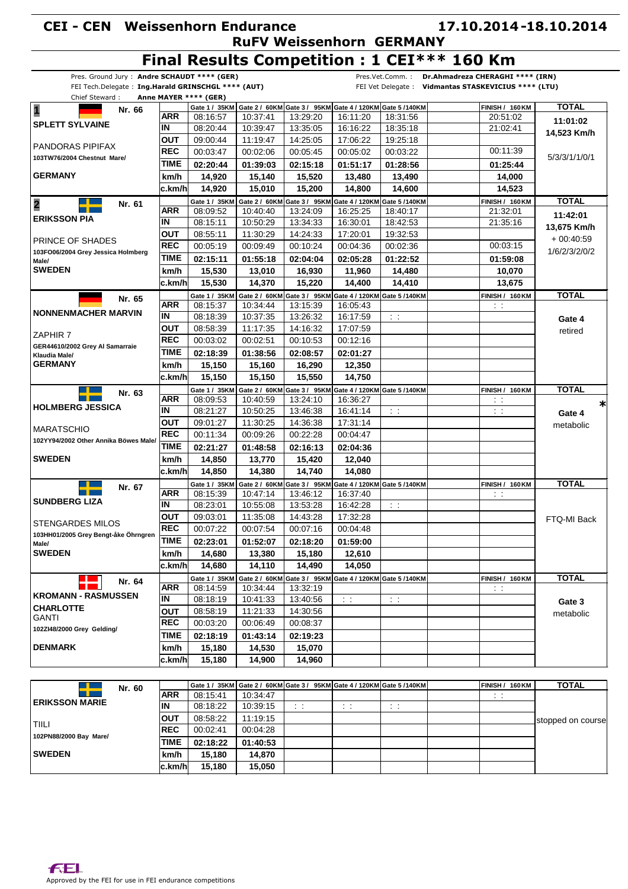### **Final Results Competition : 1 CEI\*\*\* 160 Km**

| Pres. Ground Jury: Andre SCHAUDT **** (GER)        |             |                       |          |           |                                                                                     | Pres.Vet.Comm.: | Dr.Ahmadreza CHERAGHI **** (IRN)                    |                   |
|----------------------------------------------------|-------------|-----------------------|----------|-----------|-------------------------------------------------------------------------------------|-----------------|-----------------------------------------------------|-------------------|
| FEI Tech.Delegate: Ing.Harald GRINSCHGL **** (AUT) |             |                       |          |           |                                                                                     |                 | FEI Vet Delegate: Vidmantas STASKEVICIUS **** (LTU) |                   |
| Chief Steward:                                     |             | Anne MAYER **** (GER) |          |           |                                                                                     |                 |                                                     | <b>TOTAL</b>      |
| $\overline{\mathbf{1}}$<br>Nr. 66                  | <b>ARR</b>  | 08:16:57              | 10:37:41 | 13:29:20  | Gate 1 / 35KM Gate 2 / 60KM Gate 3 / 95KM Gate 4 / 120KM Gate 5 / 140KM<br>16:11:20 | 18:31:56        | <b>FINISH / 160 KM</b><br>20:51:02                  |                   |
| <b>SPLETT SYLVAINE</b>                             | IN          | 08:20:44              | 10:39:47 | 13:35:05  | 16:16:22                                                                            | 18:35:18        | 21:02:41                                            | 11:01:02          |
|                                                    |             |                       |          |           |                                                                                     |                 |                                                     | 14,523 Km/h       |
| <b>PANDORAS PIPIFAX</b>                            | OUT         | 09:00:44              | 11:19:47 | 14:25:05  | 17:06:22                                                                            | 19:25:18        |                                                     |                   |
| 103TW76/2004 Chestnut Mare/                        | <b>REC</b>  | 00:03:47              | 00:02:06 | 00:05:45  | 00:05:02                                                                            | 00:03:22        | 00:11:39                                            | 5/3/3/1/1/0/1     |
|                                                    | <b>TIME</b> | 02:20:44              | 01:39:03 | 02:15:18  | 01:51:17                                                                            | 01:28:56        | 01:25:44                                            |                   |
| <b>GERMANY</b>                                     | km/h        | 14,920                | 15,140   | 15,520    | 13,480                                                                              | 13,490          | 14,000                                              |                   |
|                                                    | c.km/h      | 14.920                | 15.010   | 15,200    | 14,800                                                                              | 14,600          | 14,523                                              |                   |
|                                                    |             |                       |          |           | Gate 1 / 35KM Gate 2 / 60KM Gate 3 / 95KM Gate 4 / 120KM Gate 5 / 140KM             |                 | <b>FINISH / 160 KM</b>                              | <b>TOTAL</b>      |
| 2<br>Nr. 61                                        | ARR         | 08:09:52              | 10:40:40 | 13:24:09  | 16:25:25                                                                            | 18:40:17        | 21:32:01                                            |                   |
| <b>ERIKSSON PIA</b>                                | IN          | 08:15:11              | 10:50:29 | 13:34:33  | 16:30:01                                                                            | 18:42:53        | 21:35:16                                            | 11:42:01          |
|                                                    | OUT         | 08:55:11              | 11:30:29 | 14:24:33  | 17:20:01                                                                            | 19:32:53        |                                                     | 13,675 Km/h       |
| PRINCE OF SHADES                                   | <b>REC</b>  | 00:05:19              | 00:09:49 | 00:10:24  | 00:04:36                                                                            | 00:02:36        | 00:03:15                                            | $+00:40:59$       |
| 103FO06/2004 Grey Jessica Holmberg                 |             |                       |          |           |                                                                                     |                 |                                                     | 1/6/2/3/2/0/2     |
| Male/                                              | <b>TIME</b> | 02:15:11              | 01:55:18 | 02:04:04  | 02:05:28                                                                            | 01:22:52        | 01:59:08                                            |                   |
| <b>SWEDEN</b>                                      | km/h        | 15,530                | 13,010   | 16,930    | 11,960                                                                              | 14,480          | 10,070                                              |                   |
|                                                    | c.km/h      | 15,530                | 14,370   | 15,220    | 14,400                                                                              | 14,410          | 13,675                                              |                   |
| Nr. 65                                             |             | Gate 1 / 35KM         |          |           | Gate 2 / 60KM Gate 3 / 95KM Gate 4 / 120KM Gate 5 /140KM                            |                 | <b>FINISH / 160 KM</b>                              | <b>TOTAL</b>      |
|                                                    | <b>ARR</b>  | 08:15:37              | 10:34:44 | 13:15:39  | 16:05:43                                                                            |                 | $\sim$ $\sim$                                       |                   |
| <b>NONNENMACHER MARVIN</b>                         | IN          | 08:18:39              | 10:37:35 | 13:26:32  | 16:17:59                                                                            | $\sim$ 1        |                                                     | Gate 4            |
|                                                    | <b>OUT</b>  | 08:58:39              | 11:17:35 | 14:16:32  | 17:07:59                                                                            |                 |                                                     | retired           |
| <b>ZAPHIR 7</b>                                    | <b>REC</b>  | 00:03:02              | 00:02:51 | 00:10:53  | 00:12:16                                                                            |                 |                                                     |                   |
| GER44610/2002 Grey Al Samarraie                    | TIME        | 02:18:39              | 01:38:56 | 02:08:57  | 02:01:27                                                                            |                 |                                                     |                   |
| Klaudia Male/<br><b>GERMANY</b>                    |             |                       |          |           |                                                                                     |                 |                                                     |                   |
|                                                    | km/h        | 15,150                | 15,160   | 16,290    | 12,350                                                                              |                 |                                                     |                   |
|                                                    | ∣c.km/hl    | 15,150                | 15,150   | 15,550    | 14,750                                                                              |                 |                                                     |                   |
| Nr. 63                                             |             | Gate 1 / 35KM         |          |           | Gate 2 / 60KM Gate 3 / 95KM Gate 4 / 120KM Gate 5 /140KM                            |                 | <b>FINISH / 160 KM</b>                              | <b>TOTAL</b>      |
| <b>HOLMBERG JESSICA</b>                            | ARR         | 08:09:53              | 10:40:59 | 13:24:10  | 16:36:27                                                                            |                 | $\sim$ 1                                            | $\ast$            |
|                                                    | IN          | 08:21:27              | 10:50:25 | 13:46:38  | 16:41:14                                                                            | $\sim 10$       | $\sim$ 1                                            | Gate 4            |
|                                                    | <b>OUT</b>  | 09:01:27              | 11:30:25 | 14:36:38  | 17:31:14                                                                            |                 |                                                     | metabolic         |
| <b>MARATSCHIO</b>                                  | <b>REC</b>  | 00:11:34              | 00:09:26 | 00:22:28  | 00:04:47                                                                            |                 |                                                     |                   |
| 102YY94/2002 Other Annika Böwes Male/              | <b>TIME</b> | 02:21:27              | 01:48:58 | 02:16:13  | 02:04:36                                                                            |                 |                                                     |                   |
| <b>SWEDEN</b>                                      | km/h        | 14,850                | 13,770   | 15,420    | 12,040                                                                              |                 |                                                     |                   |
|                                                    | c.km/h      | 14,850                | 14,380   | 14,740    | 14,080                                                                              |                 |                                                     |                   |
|                                                    |             |                       |          |           |                                                                                     |                 |                                                     |                   |
| Nr. 67                                             | ARR         | Gate 1 / 35KM         |          |           | Gate 2 / 60KM Gate 3 / 95KM Gate 4 / 120KM Gate 5 /140KM                            |                 | <b>FINISH / 160 KM</b>                              | <b>TOTAL</b>      |
| <b>SUNDBERG LIZA</b>                               | IN          | 08:15:39              | 10:47:14 | 13:46:12  | 16:37:40                                                                            |                 | $\sim$                                              |                   |
|                                                    |             | 08:23:01              | 10:55:08 | 13:53:28  | 16:42:28                                                                            | $\sim$ 1.       |                                                     |                   |
| <b>STENGARDES MILOS</b>                            | ΟUΤ         | 09:03:01              | 11:35:08 | 14:43:28  | 17:32:28                                                                            |                 |                                                     | FTQ-MI Back       |
| 103HH01/2005 Grey Bengt-åke Öhrngren               | <b>REC</b>  | 00:07:22              | 00:07:54 | 00:07:16  | 00:04:48                                                                            |                 |                                                     |                   |
| Male/                                              | <b>TIME</b> | 02:23:01              | 01:52:07 | 02:18:20  | 01:59:00                                                                            |                 |                                                     |                   |
| <b>SWEDEN</b>                                      | km/h        | 14,680                | 13,380   | 15,180    | 12,610                                                                              |                 |                                                     |                   |
|                                                    | c.km/h      | 14,680                | 14,110   | 14,490    | 14.050                                                                              |                 |                                                     |                   |
|                                                    |             |                       |          |           | Gate 1 / 35KM   Gate 2 / 60KM   Gate 3 / 95KM   Gate 4 / 120KM   Gate 5 / 140KM     |                 | <b>FINISH / 160 KM</b>                              | <b>TOTAL</b>      |
| Nr. 64                                             | ARR         | 08:14:59              | 10:34:44 | 13:32:19  |                                                                                     |                 | $\sim 1$                                            |                   |
| <b>KROMANN - RASMUSSEN</b>                         | ΙN          | 08:18:19              | 10:41:33 | 13:40:56  | $\sim 10$                                                                           | $\sim 10$       |                                                     | Gate 3            |
| <b>CHARLOTTE</b>                                   | ΟUΤ         | 08:58:19              | 11:21:33 | 14:30:56  |                                                                                     |                 |                                                     |                   |
| GANTI                                              | <b>REC</b>  | 00:03:20              | 00:06:49 | 00:08:37  |                                                                                     |                 |                                                     | metabolic         |
| 102ZI48/2000 Grey Gelding/                         |             |                       |          |           |                                                                                     |                 |                                                     |                   |
|                                                    | <b>TIME</b> | 02:18:19              | 01:43:14 | 02:19:23  |                                                                                     |                 |                                                     |                   |
| <b>DENMARK</b>                                     | km/h        | 15,180                | 14,530   | 15,070    |                                                                                     |                 |                                                     |                   |
|                                                    | c.km/h      | 15,180                | 14,900   | 14,960    |                                                                                     |                 |                                                     |                   |
|                                                    |             |                       |          |           |                                                                                     |                 |                                                     |                   |
| Nr. 60                                             |             |                       |          |           | Gate 1 / 35KM Gate 2 / 60KM Gate 3 / 95KM Gate 4 / 120KM Gate 5 / 140KM             |                 | <b>FINISH / 160 KM</b>                              | <b>TOTAL</b>      |
|                                                    | <b>ARR</b>  | 08:15:41              | 10:34:47 |           |                                                                                     |                 | $\sim 1$                                            |                   |
| <b>ERIKSSON MARIE</b>                              | IN          | 08:18:22              | 10:39:15 | $\sim 10$ | $\sim 10$                                                                           | $\sim 10$       |                                                     |                   |
|                                                    | ουτ         | 08:58:22              | 11:19:15 |           |                                                                                     |                 |                                                     |                   |
| TIILI                                              | <b>REC</b>  | 00:02:41              | 00:04:28 |           |                                                                                     |                 |                                                     | stopped on course |
| 102PN88/2000 Bay Mare/                             | <b>TIME</b> |                       |          |           |                                                                                     |                 |                                                     |                   |
|                                                    |             | 02:18:22              | 01:40:53 |           |                                                                                     |                 |                                                     |                   |
| <b>SWEDEN</b>                                      | km/h        | 15,180                | 14,870   |           |                                                                                     |                 |                                                     |                   |
|                                                    | c.km/h      | 15,180                | 15,050   |           |                                                                                     |                 |                                                     |                   |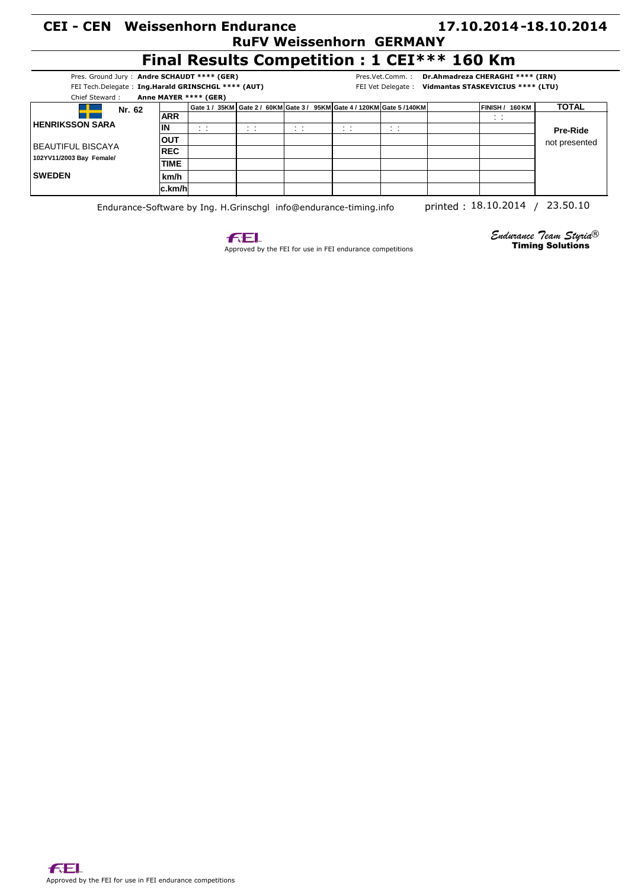## **Final Results Competition : 1 CEI\*\*\* 160 Km**

| Pres. Ground Jury: Andre SCHAUDT **** (GER)<br>Dr.Ahmadreza CHERAGHI **** (IRN)<br>Pres.Vet.Comm.: |                                                                                                           |                            |                         |                           |                                                                                 |                           |  |                                  |                 |
|----------------------------------------------------------------------------------------------------|-----------------------------------------------------------------------------------------------------------|----------------------------|-------------------------|---------------------------|---------------------------------------------------------------------------------|---------------------------|--|----------------------------------|-----------------|
|                                                                                                    | FEI Tech.Delegate: Ing.Harald GRINSCHGL **** (AUT)<br>FEI Vet Delegate: Vidmantas STASKEVICIUS **** (LTU) |                            |                         |                           |                                                                                 |                           |  |                                  |                 |
| Chief Steward:<br>Anne MAYER **** (GER)                                                            |                                                                                                           |                            |                         |                           |                                                                                 |                           |  |                                  |                 |
| Nr. 62                                                                                             |                                                                                                           |                            |                         |                           | Gate 1 / 35KM   Gate 2 / 60KM   Gate 3 / 95KM   Gate 4 / 120KM   Gate 5 / 140KM |                           |  | FINISH / 160 KM                  | <b>TOTAL</b>    |
|                                                                                                    | <b>ARR</b>                                                                                                |                            |                         |                           |                                                                                 |                           |  | $\sim$ $ \sim$<br>$\sim$ $ \sim$ |                 |
| <b>HENRIKSSON SARA</b>                                                                             | ΙN                                                                                                        | $\sim$<br>$\sim$ 100 $\pm$ | $\sim$ $\sim$<br>$\sim$ | $\cdot$ $\cdot$<br>$\sim$ | $\sim$ $\sim$<br>$\sim$ $ \sim$                                                 | $\cdot$ $\cdot$<br>$\sim$ |  |                                  | <b>Pre-Ride</b> |
| I BEAUTIFUL BISCAYA                                                                                | lout                                                                                                      |                            |                         |                           |                                                                                 |                           |  |                                  | not presented   |
| 102YV11/2003 Bay Female/                                                                           | <b>REC</b>                                                                                                |                            |                         |                           |                                                                                 |                           |  |                                  |                 |
|                                                                                                    | <b>TIME</b>                                                                                               |                            |                         |                           |                                                                                 |                           |  |                                  |                 |
| <b>SWEDEN</b>                                                                                      | km/h                                                                                                      |                            |                         |                           |                                                                                 |                           |  |                                  |                 |
|                                                                                                    | c.km/h                                                                                                    |                            |                         |                           |                                                                                 |                           |  |                                  |                 |

Endurance-Software by Ing. H.Grinschgl info@endurance-timing.info printed : 18.10.2014 / 23.50.10



Approved by the FEI for use in FEI endurance competitions

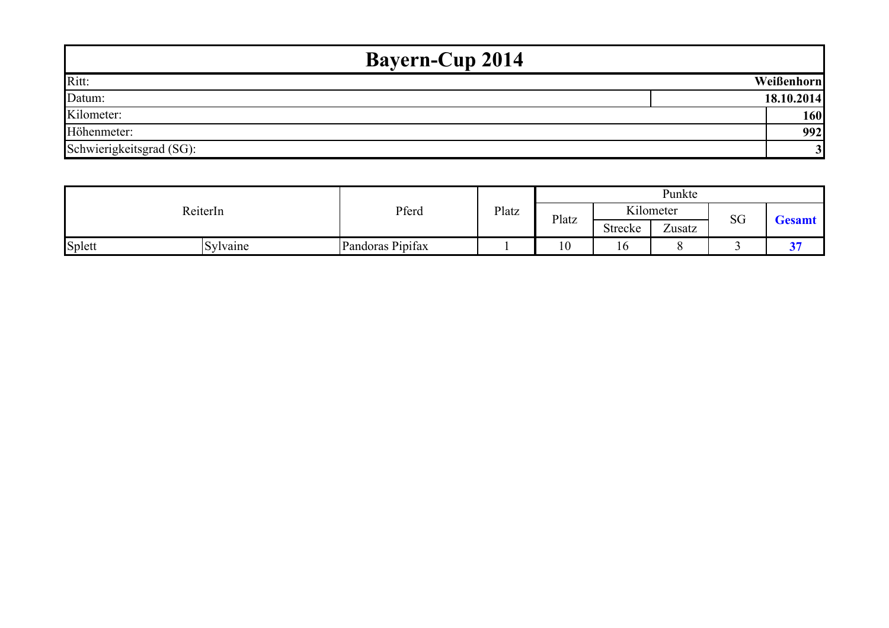| <b>Bayern-Cup 2014</b>   |                |
|--------------------------|----------------|
| Ritt:                    | Weißenhorn     |
| Datum:                   | 18.10.2014     |
| Kilometer:               | 160            |
| Höhenmeter:              | 992            |
| Schwierigkeitsgrad (SG): | 3 <sup>l</sup> |

| ReiterIn<br>Splett<br>Sylvaine |  |                  |       | Punkte           |           |                          |    |        |  |
|--------------------------------|--|------------------|-------|------------------|-----------|--------------------------|----|--------|--|
|                                |  | Pferd            | Platz | Platz            | Kilometer |                          | SG |        |  |
|                                |  |                  |       |                  | Strecke   | $\overline{ }$<br>Zusatz |    | Gesamt |  |
|                                |  | Pandoras Pipifax |       | $\sqrt{2}$<br>ΙV | 10        |                          |    | ູບ.    |  |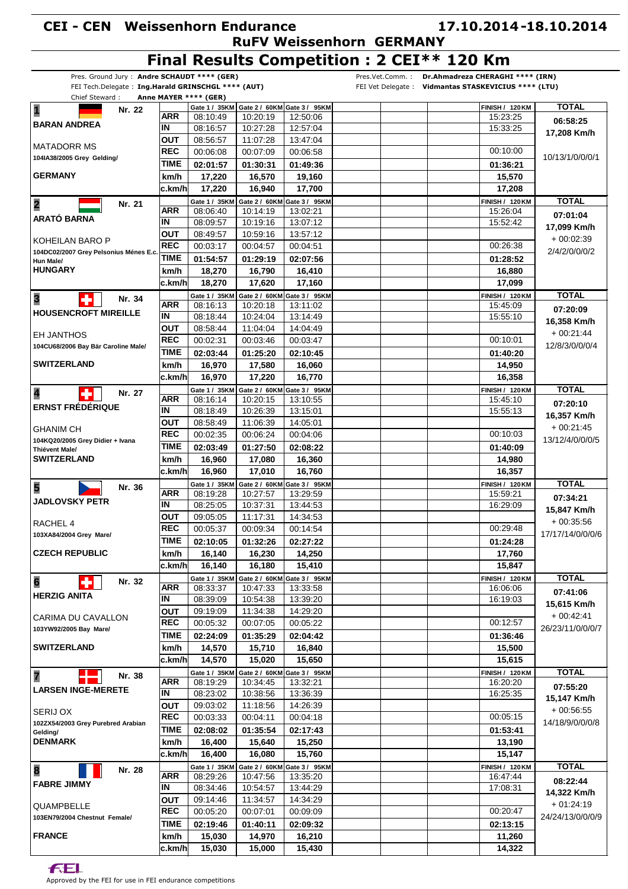### **Final Results Competition : 2 CEI\*\* 120 Km**

|                                                           |             | Pres. Ground Jury: Andre SCHAUDT **** (GER) |                                           |                             | Pres.Vet.Comm.: Dr.Ahmadreza CHERAGHI **** (IRN)    |                        |                  |
|-----------------------------------------------------------|-------------|---------------------------------------------|-------------------------------------------|-----------------------------|-----------------------------------------------------|------------------------|------------------|
| FEI Tech.Delegate: Ing.Harald GRINSCHGL **** (AUT)        |             |                                             |                                           |                             | FEI Vet Delegate: Vidmantas STASKEVICIUS **** (LTU) |                        |                  |
| Chief Steward:                                            |             | Anne MAYER **** (GER)                       |                                           |                             |                                                     |                        |                  |
| $\overline{\mathbf{1}}$<br>Nr. 22                         | ARR         |                                             | Gate 1 / 35KM Gate 2 / 60KM Gate 3 / 95KM |                             |                                                     | <b>FINISH / 120 KM</b> | <b>TOTAL</b>     |
| <b>BARAN ANDREA</b>                                       | IN          | 08:10:49<br>08:16:57                        | 10:20:19                                  | 12:50:06<br>12:57:04        |                                                     | 15:23:25<br>15:33:25   | 06:58:25         |
|                                                           | <b>OUT</b>  | 08:56:57                                    | 10:27:28<br>11:07:28                      |                             |                                                     |                        | 17,208 Km/h      |
| <b>MATADORR MS</b>                                        | <b>REC</b>  | 00:06:08                                    |                                           | 13:47:04                    |                                                     | 00:10:00               |                  |
| 104IA38/2005 Grey Gelding/                                |             |                                             | 00:07:09                                  | 00:06:58                    |                                                     |                        | 10/13/1/0/0/0/1  |
|                                                           | <b>TIME</b> | 02:01:57                                    | 01:30:31                                  | 01:49:36                    |                                                     | 01:36:21               |                  |
| <b>GERMANY</b>                                            | km/h        | 17,220                                      | 16,570                                    | 19,160                      |                                                     | 15,570                 |                  |
|                                                           | c.km/h      | 17,220                                      | 16,940                                    | 17,700                      |                                                     | 17,208                 |                  |
| $\overline{\mathbf{2}}$<br>Nr. 21                         |             | Gate 1 / 35KM                               | Gate 2 / 60KM Gate 3 / 95KM               |                             |                                                     | <b>FINISH / 120 KM</b> | <b>TOTAL</b>     |
| <b>ARATO BARNA</b>                                        | ARR         | 08:06:40                                    | 10:14:19                                  | 13:02:21                    |                                                     | 15:26:04               | 07:01:04         |
|                                                           | IN          | 08:09:57                                    | 10:19:16                                  | 13:07:12                    |                                                     | 15:52:42               | 17,099 Km/h      |
| KOHEILAN BARO P                                           | <b>OUT</b>  | 08:49:57                                    | 10:59:16                                  | 13:57:12                    |                                                     |                        | $+00:02:39$      |
| 104DC02/2007 Grey Pelsonius Ménes E.c.                    | <b>REC</b>  | 00:03:17                                    | 00:04:57                                  | 00:04:51                    |                                                     | 00:26:38               | 2/4/2/0/0/0/2    |
| Hun Male/                                                 | <b>TIME</b> | 01:54:57                                    | 01:29:19                                  | 02:07:56                    |                                                     | 01:28:52               |                  |
| <b>HUNGARY</b>                                            | km/h        | 18,270                                      | 16,790                                    | 16,410                      |                                                     | 16,880                 |                  |
|                                                           | c.km/h      | 18,270                                      | 17,620                                    | 17,160                      |                                                     | 17,099                 |                  |
| $\overline{\mathbf{3}}$<br>Nr. 34                         |             | Gate 1 / 35KM                               |                                           | Gate 2 / 60KM Gate 3 / 95KM |                                                     | <b>FINISH / 120 KM</b> | <b>TOTAL</b>     |
| <b>HOUSENCROFT MIREILLE</b>                               | ARR         | 08:16:13                                    | 10:20:18                                  | 13:11:02                    |                                                     | 15:45:09               | 07:20:09         |
|                                                           | IN          | 08:18:44                                    | 10:24:04                                  | 13:14:49                    |                                                     | 15:55:10               | 16,358 Km/h      |
| <b>EH JANTHOS</b>                                         | OUT         | 08:58:44                                    | 11:04:04                                  | 14:04:49                    |                                                     |                        | $+00:21:44$      |
|                                                           | <b>REC</b>  | 00:02:31                                    | 00:03:46                                  | 00:03:47                    |                                                     | 00:10:01               | 12/8/3/0/0/0/4   |
| 104CU68/2006 Bay Bär Caroline Male/                       | <b>TIME</b> | 02:03:44                                    | 01:25:20                                  | 02:10:45                    |                                                     | 01:40:20               |                  |
| <b>SWITZERLAND</b>                                        | km/h        | 16,970                                      | 17,580                                    | 16,060                      |                                                     | 14,950                 |                  |
|                                                           | c.km/h      | 16,970                                      | 17,220                                    | 16,770                      |                                                     | 16,358                 |                  |
| 4<br>Nr. 27                                               |             | Gate 1 / 35KM                               | Gate 2 / 60KM Gate 3 / 95KM               |                             |                                                     | <b>FINISH / 120 KM</b> | <b>TOTAL</b>     |
|                                                           | <b>ARR</b>  | 08:16:14                                    | 10:20:15                                  | 13:10:55                    |                                                     | 15:45:10               | 07:20:10         |
| <b>ERNST FRÉDÉRIQUE</b>                                   | IN          | 08:18:49                                    | 10:26:39                                  | 13:15:01                    |                                                     | 15:55:13               | 16,357 Km/h      |
|                                                           | <b>OUT</b>  | 08:58:49                                    | 11:06:39                                  | 14:05:01                    |                                                     |                        |                  |
| <b>GHANIM CH</b>                                          | <b>REC</b>  | 00:02:35                                    | 00:06:24                                  | 00:04:06                    |                                                     | 00:10:03               | $+00:21:45$      |
| 104KQ20/2005 Grey Didier + Ivana<br><b>Thiévent Male/</b> | <b>TIME</b> | 02:03:49                                    | 01:27:50                                  | 02:08:22                    |                                                     | 01:40:09               | 13/12/4/0/0/0/5  |
| <b>SWITZERLAND</b>                                        | km/h        | 16,960                                      | 17,080                                    | 16,360                      |                                                     | 14,980                 |                  |
|                                                           | c.km/h      | 16,960                                      | 17,010                                    | 16,760                      |                                                     | 16,357                 |                  |
|                                                           |             | Gate 1 / 35KM                               | Gate 2 / 60KM Gate 3 / 95KM               |                             |                                                     | <b>FINISH / 120 KM</b> | <b>TOTAL</b>     |
| 5<br>Nr. 36                                               | ARR         |                                             |                                           | 13:29:59                    |                                                     |                        |                  |
|                                                           |             |                                             |                                           |                             |                                                     |                        |                  |
| <b>JADLOVSKY PETR</b>                                     |             | 08:19:28                                    | 10:27:57                                  |                             |                                                     | 15:59:21               | 07:34:21         |
|                                                           | IN          | 08:25:05                                    | 10:37:31                                  | 13:44:53                    |                                                     | 16:29:09               | 15,847 Km/h      |
| RACHEL 4                                                  | OUT         | 09:05:05                                    | 11:17:31                                  | 14:34:53                    |                                                     |                        | $+00:35:56$      |
| 103XA84/2004 Grey Mare/                                   | <b>REC</b>  | 00:05:37                                    | 00:09:34                                  | 00:14:54                    |                                                     | 00:29:48               | 17/17/14/0/0/0/6 |
|                                                           | <b>TIME</b> | 02:10:05                                    | 01:32:26                                  | 02:27:22                    |                                                     | 01:24:28               |                  |
| <b>CZECH REPUBLIC</b>                                     | km/h        | 16,140                                      | 16,230                                    | 14,250                      |                                                     | 17,760                 |                  |
|                                                           | c.km/h      | 16,140                                      | 16,180                                    | 15,410                      |                                                     | 15,847                 |                  |
| Nr. 32                                                    |             | Gate 1 / 35KM                               | Gate 2 / 60KM Gate 3 / 95KM               |                             |                                                     | <b>FINISH / 120 KM</b> | <b>TOTAL</b>     |
| 6<br><b>HERZIG ANITA</b>                                  | <b>ARR</b>  | 08:33:37                                    | 10:47:33                                  | 13:33:58                    |                                                     | 16:06:06               | 07:41:06         |
|                                                           | IN          | 08:39:09                                    | 10:54:38                                  | 13:39:20                    |                                                     | 16:19:03               | 15,615 Km/h      |
| CARIMA DU CAVALLON                                        | <b>OUT</b>  | 09:19:09                                    | 11:34:38                                  | 14:29:20                    |                                                     |                        | $+00:42:41$      |
| 103YW92/2005 Bay Mare/                                    | <b>REC</b>  | 00:05:32                                    | 00:07:05                                  | 00:05:22                    |                                                     | 00:12:57               | 26/23/11/0/0/0/7 |
|                                                           | TIME        | 02:24:09                                    | 01:35:29                                  | 02:04:42                    |                                                     | 01:36:46               |                  |
| <b>SWITZERLAND</b>                                        | km/h        | 14,570                                      | 15,710                                    | 16,840                      |                                                     | 15,500                 |                  |
|                                                           | c.km/h      | 14,570                                      | 15,020                                    | 15,650                      |                                                     | 15,615                 |                  |
| Nr. 38                                                    |             | Gate 1 / 35KM                               |                                           | Gate 2 / 60KM Gate 3 / 95KM |                                                     | <b>FINISH / 120 KM</b> | <b>TOTAL</b>     |
| $\overline{\mathbf{z}}$                                   | <b>ARR</b>  | 08:19:29                                    | 10:34:45                                  | 13:32:21                    |                                                     | 16:20:20               | 07:55:20         |
| <b>LARSEN INGE-MERETE</b>                                 | IN          | 08:23:02                                    | 10:38:56                                  | 13:36:39                    |                                                     | 16:25:35               |                  |
|                                                           | <b>OUT</b>  | 09:03:02                                    | 11:18:56                                  | 14:26:39                    |                                                     |                        | 15,147 Km/h      |
| <b>SERIJ OX</b>                                           | <b>REC</b>  | 00:03:33                                    | 00:04:11                                  | 00:04:18                    |                                                     | 00:05:15               | + 00:56:55       |
| 102ZX54/2003 Grey Purebred Arabian<br>Gelding/            | <b>TIME</b> | 02:08:02                                    | 01:35:54                                  | 02:17:43                    |                                                     | 01:53:41               | 14/18/9/0/0/0/8  |
| <b>DENMARK</b>                                            | km/h        | 16,400                                      | 15,640                                    | 15,250                      |                                                     | 13,190                 |                  |
|                                                           | c.km/hl     | 16,400                                      | 16,080                                    | 15,760                      |                                                     | 15,147                 |                  |
|                                                           |             | Gate 1 / 35KM                               | Gate 2 / 60KM Gate 3 / 95KM               |                             |                                                     | <b>FINISH / 120 KM</b> | <b>TOTAL</b>     |
| 8<br>Nr. 28                                               | <b>ARR</b>  | 08:29:26                                    | 10:47:56                                  | 13:35:20                    |                                                     | 16:47:44               |                  |
| <b>FABRE JIMMY</b>                                        | IN          | 08:34:46                                    | 10:54:57                                  | 13:44:29                    |                                                     | 17:08:31               | 08:22:44         |
|                                                           | OUT         | 09:14:46                                    | 11:34:57                                  | 14:34:29                    |                                                     |                        | 14,322 Km/h      |
| QUAMPBELLE                                                | <b>REC</b>  | 00:05:20                                    | 00:07:01                                  | 00:09:09                    |                                                     | 00:20:47               | + 01:24:19       |
| 103EN79/2004 Chestnut Female/                             | <b>TIME</b> | 02:19:46                                    | 01:40:11                                  | 02:09:32                    |                                                     | 02:13:15               | 24/24/13/0/0/0/9 |
| <b>FRANCE</b>                                             | km/h        | 15,030                                      | 14,970                                    | 16,210                      |                                                     | 11,260                 |                  |

**FEL**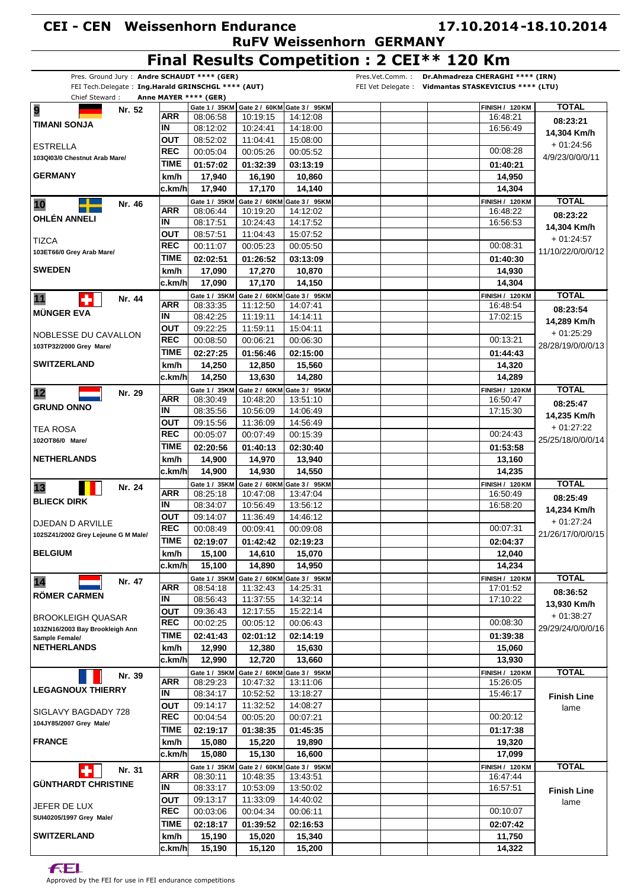### **Final Results Competition : 2 CEI\*\* 120 Km**

| Pres. Ground Jury: Andre SCHAUDT **** (GER)        |             |                                        |          |                                           | Pres.Vet.Comm.: | Dr.Ahmadreza CHERAGHI **** (IRN)                    |                    |
|----------------------------------------------------|-------------|----------------------------------------|----------|-------------------------------------------|-----------------|-----------------------------------------------------|--------------------|
| FEI Tech.Delegate: Ing.Harald GRINSCHGL **** (AUT) |             |                                        |          |                                           |                 | FEI Vet Delegate: Vidmantas STASKEVICIUS **** (LTU) |                    |
| Chief Steward:                                     |             | Anne MAYER **** (GER)<br>Gate 1 / 35KM |          | Gate 2 / 60KM Gate 3 / 95KM               |                 | <b>FINISH / 120 KM</b>                              | <b>TOTAL</b>       |
| 9<br>Nr. 52                                        | ARR         | 08:06:58                               | 10:19:15 | 14:12:08                                  |                 | 16:48:21                                            |                    |
| <b>TIMANI SONJA</b>                                | IN          | 08:12:02                               | 10:24:41 | 14:18:00                                  |                 | 16:56:49                                            | 08:23:21           |
|                                                    | <b>OUT</b>  | 08:52:02                               | 11:04:41 | 15:08:00                                  |                 |                                                     | 14,304 Km/h        |
| <b>ESTRELLA</b>                                    | <b>REC</b>  | 00:05:04                               | 00:05:26 | 00:05:52                                  |                 | 00:08:28                                            | + 01:24:56         |
| 103QI03/0 Chestnut Arab Mare/                      | <b>TIME</b> | 01:57:02                               | 01:32:39 | 03:13:19                                  |                 | 01:40:21                                            | 4/9/23/0/0/0/11    |
| <b>GERMANY</b>                                     | km/h        | 17,940                                 | 16,190   | 10,860                                    |                 | 14,950                                              |                    |
|                                                    | c.km/hl     | 17,940                                 | 17,170   | 14,140                                    |                 | 14,304                                              |                    |
|                                                    |             |                                        |          |                                           |                 |                                                     | <b>TOTAL</b>       |
| <u> i Li</u><br>10<br>Nr. 46                       | ARR         | Gate 1 / 35KM<br>08:06:44              | 10:19:20 | Gate 2 / 60KM Gate 3 / 95KM<br>14:12:02   |                 | <b>FINISH / 120 KM</b><br>16:48:22                  |                    |
| <b>OHLÉN ANNELI</b>                                | IN          | 08:17:51                               | 10:24:43 | 14:17:52                                  |                 | 16:56:53                                            | 08:23:22           |
|                                                    | <b>OUT</b>  | 08:57:51                               | 11:04:43 | 15:07:52                                  |                 |                                                     | 14,304 Km/h        |
| <b>TIZCA</b>                                       | <b>REC</b>  | 00:11:07                               | 00:05:23 | 00:05:50                                  |                 | 00:08:31                                            | $+01:24:57$        |
| 103ET66/0 Grey Arab Mare/                          | <b>TIME</b> | 02:02:51                               | 01:26:52 | 03:13:09                                  |                 | 01:40:30                                            | 11/10/22/0/0/0/12  |
| <b>SWEDEN</b>                                      | km/h        | 17,090                                 | 17,270   | 10,870                                    |                 | 14,930                                              |                    |
|                                                    |             |                                        |          |                                           |                 |                                                     |                    |
|                                                    | c.km/hl     | 17,090                                 | 17,170   | 14,150                                    |                 | 14,304                                              |                    |
| 11<br>Nr. 44                                       | ARR         | Gate 1 / 35KM<br>08:33:35              | 11:12:50 | Gate 2 / 60KM Gate 3 / 95KM<br>14:07:41   |                 | <b>FINISH / 120 KM</b><br>16:48:54                  | <b>TOTAL</b>       |
| <b>MÜNGER EVA</b>                                  | IN          | 08:42:25                               | 11:19:11 | 14:14:11                                  |                 | 17:02:15                                            | 08:23:54           |
|                                                    | <b>OUT</b>  | 09:22:25                               | 11:59:11 | 15:04:11                                  |                 |                                                     | 14,289 Km/h        |
| NOBLESSE DU CAVALLON                               | <b>REC</b>  | 00:08:50                               | 00:06:21 | 00:06:30                                  |                 | 00:13:21                                            | $+01:25:29$        |
| 103TP32/2000 Grey Mare/                            | <b>TIME</b> |                                        |          |                                           |                 |                                                     | 28/28/19/0/0/0/13  |
|                                                    |             | 02:27:25                               | 01:56:46 | 02:15:00                                  |                 | 01:44:43                                            |                    |
| <b>SWITZERLAND</b>                                 | km/h        | 14,250                                 | 12,850   | 15,560                                    |                 | 14,320                                              |                    |
|                                                    | lc.km/hl    | 14,250                                 | 13,630   | 14,280                                    |                 | 14,289                                              |                    |
| 12<br>Nr. 29                                       |             | Gate 1 / 35KM                          |          | Gate 2 / 60KM Gate 3 / 95KM               |                 | <b>FINISH / 120 KM</b>                              | <b>TOTAL</b>       |
| <b>GRUND ONNO</b>                                  | ARR<br>IN   | 08:30:49                               | 10:48:20 | 13:51:10                                  |                 | 16:50:47                                            | 08:25:47           |
|                                                    |             | 08:35:56                               | 10:56:09 | 14:06:49                                  |                 | 17:15:30                                            | 14,235 Km/h        |
| <b>TEA ROSA</b>                                    | <b>OUT</b>  | 09:15:56                               | 11:36:09 | 14:56:49                                  |                 |                                                     | + 01:27:22         |
| 102OT86/0 Mare/                                    | <b>REC</b>  | 00:05:07                               | 00:07:49 | 00:15:39                                  |                 | 00:24:43                                            | 25/25/18/0/0/0/14  |
|                                                    | <b>TIME</b> | 02:20:56                               | 01:40:13 | 02:30:40                                  |                 | 01:53:58                                            |                    |
| <b>NETHERLANDS</b>                                 | km/h        | 14,900                                 | 14,970   | 13,940                                    |                 | 13,160                                              |                    |
|                                                    | c.km/hl     | 14,900                                 | 14,930   | 14,550                                    |                 | 14,235                                              |                    |
| 13<br>Nr. 24                                       |             | Gate 1 / 35KM                          |          | Gate 2 / 60KM Gate 3 / 95KM               |                 | <b>FINISH / 120 KM</b>                              | <b>TOTAL</b>       |
| <b>BLIECK DIRK</b>                                 | ARR         | 08:25:18                               | 10:47:08 | 13:47:04                                  |                 | 16:50:49                                            | 08:25:49           |
|                                                    | IN          | 08:34:07                               | 10:56:49 | 13:56:12                                  |                 | 16:58:20                                            | 14,234 Km/h        |
| DJEDAN D ARVILLE                                   | OUT         | 09:14:07                               | 11:36:49 | 14:46:12                                  |                 |                                                     | $+01:27:24$        |
| 102SZ41/2002 Grey Lejeune G M Male/                | <b>REC</b>  | 00:08:49                               | 00:09:41 | 00:09:08                                  |                 | 00:07:31                                            | 21/26/17/0/0/0/15  |
|                                                    | <b>TIME</b> | 02:19:07                               | 01:42:42 | 02:19:23                                  |                 | 02:04:37                                            |                    |
| <b>BELGIUM</b>                                     | km/h        | 15,100                                 | 14,610   | 15,070                                    |                 | 12,040                                              |                    |
|                                                    | c.km/h      | 15,100                                 | 14,890   | 14,950                                    |                 | 14,234                                              |                    |
| 14<br>Nr. 47                                       |             |                                        |          | Gate 1 / 35KM Gate 2 / 60KM Gate 3 / 95KM |                 | <b>FINISH / 120 KM</b>                              | <b>TOTAL</b>       |
| <b>RÖMER CARMEN</b>                                | ARR         | 08:54:18                               | 11:32:43 | 14:25:31                                  |                 | 17:01:52                                            | 08:36:52           |
|                                                    | IN          | 08:56:43                               | 11:37:55 | 14:32:14                                  |                 | 17:10:22                                            | 13,930 Km/h        |
| <b>BROOKLEIGH QUASAR</b>                           | OUT         | 09:36:43                               | 12:17:55 | 15:22:14                                  |                 |                                                     | + 01:38:27         |
| 103ZN16/2003 Bay Brookleigh Ann                    | <b>REC</b>  | 00:02:25                               | 00:05:12 | 00:06:43                                  |                 | 00:08:30                                            | 29/29/24/0/0/0/16  |
| Sample Female/                                     | <b>TIME</b> | 02:41:43                               | 02:01:12 | 02:14:19                                  |                 | 01:39:38                                            |                    |
| <b>NETHERLANDS</b>                                 | km/h        | 12,990                                 | 12,380   | 15,630                                    |                 | 15,060                                              |                    |
|                                                    | c.km/h      | 12,990                                 | 12,720   | 13,660                                    |                 | 13.930                                              |                    |
| Nr. 39                                             |             | Gate 1 / 35KM                          |          | Gate 2 / 60KM Gate 3 / 95KM               |                 | <b>FINISH / 120 KM</b>                              | <b>TOTAL</b>       |
|                                                    | <b>ARR</b>  | 08:29:23                               | 10:47:32 | 13:11:06                                  |                 | 15:26:05                                            |                    |
| <b>LEGAGNOUX THIERRY</b>                           | IN          | 08:34:17                               | 10:52:52 | 13:18:27                                  |                 | 15:46:17                                            | <b>Finish Line</b> |
|                                                    | <b>OUT</b>  | 09:14:17                               | 11:32:52 | 14:08:27                                  |                 |                                                     | lame               |
| SIGLAVY BAGDADY 728                                | <b>REC</b>  | 00:04:54                               | 00:05:20 | 00:07:21                                  |                 | 00:20:12                                            |                    |
| 104JY85/2007 Grey Male/                            | <b>TIME</b> | 02:19:17                               | 01:38:35 | 01:45:35                                  |                 | 01:17:38                                            |                    |
| <b>FRANCE</b>                                      | km/h        | 15,080                                 | 15,220   | 19,890                                    |                 | 19,320                                              |                    |
|                                                    | c.km/hl     | 15,080                                 | 15,130   | 16,600                                    |                 | 17,099                                              |                    |
|                                                    |             | Gate 1 / 35KM                          |          | Gate 2 / 60KM Gate 3 / 95KM               |                 | <b>FINISH / 120 KM</b>                              | <b>TOTAL</b>       |
| $\boldsymbol{\Theta}$<br>Nr. 31                    | ARR         | 08:30:11                               | 10:48:35 | 13:43:51                                  |                 | 16:47:44                                            |                    |
| <b>GÜNTHARDT CHRISTINE</b>                         | IN          | 08:33:17                               | 10:53:09 | 13:50:02                                  |                 | 16:57:51                                            | <b>Finish Line</b> |
|                                                    | OUT         | 09:13:17                               | 11:33:09 | 14:40:02                                  |                 |                                                     | lame               |
| JEFER DE LUX                                       | <b>REC</b>  | 00:03:06                               | 00:04:34 | 00:06:11                                  |                 | 00:10:07                                            |                    |
| SUI40205/1997 Grey Male/                           | TIME        | 02:18:17                               | 01:39:52 | 02:16:53                                  |                 | 02:07:42                                            |                    |
| <b>SWITZERLAND</b>                                 | km/h        | 15,190                                 | 15,020   | 15,340                                    |                 | 11,750                                              |                    |
|                                                    | c.km/h      | 15,190                                 | 15,120   | 15,200                                    |                 | 14,322                                              |                    |
|                                                    |             |                                        |          |                                           |                 |                                                     |                    |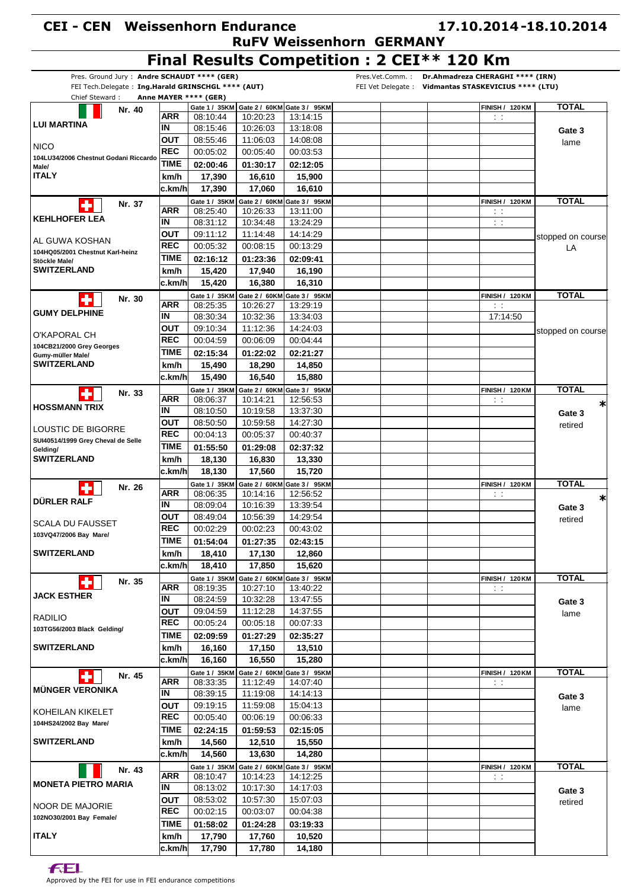**Final Results Competition : 2 CEI\*\* 120 Km**

| Pres. Ground Jury: Andre SCHAUDT **** (GER)        |                  |                           |                      |                                           | Pres.Vet.Comm.: | Dr.Ahmadreza CHERAGHI **** (IRN)                    |                   |
|----------------------------------------------------|------------------|---------------------------|----------------------|-------------------------------------------|-----------------|-----------------------------------------------------|-------------------|
| FEI Tech.Delegate: Ing.Harald GRINSCHGL **** (AUT) |                  |                           |                      |                                           |                 | FEI Vet Delegate: Vidmantas STASKEVICIUS **** (LTU) |                   |
| Chief Steward:                                     |                  | Anne MAYER **** (GER)     |                      |                                           |                 |                                                     |                   |
| Nr. 40                                             |                  |                           |                      | Gate 1 / 35KM Gate 2 / 60KM Gate 3 / 95KM |                 | <b>FINISH / 120 KM</b>                              | <b>TOTAL</b>      |
| <b>LUI MARTINA</b>                                 | ARR<br>ΙN        | 08:10:44                  | 10:20:23             | 13:14:15                                  |                 | $\sim 10$                                           |                   |
|                                                    |                  | 08:15:46                  | 10:26:03             | 13:18:08                                  |                 |                                                     | Gate 3            |
| <b>NICO</b>                                        | <b>OUT</b>       | 08:55:46                  | 11:06:03             | 14:08:08                                  |                 |                                                     | lame              |
| 104LU34/2006 Chestnut Godani Riccardo              | <b>REC</b>       | 00:05:02                  | 00:05:40             | 00:03:53                                  |                 |                                                     |                   |
| Male/                                              | <b>TIME</b>      | 02:00:46                  | 01:30:17             | 02:12:05                                  |                 |                                                     |                   |
| <b>ITALY</b>                                       | km/h             | 17,390                    | 16,610               | 15,900                                    |                 |                                                     |                   |
|                                                    | c.km/h           | 17,390                    | 17,060               | 16.610                                    |                 |                                                     |                   |
| Nr. 37                                             |                  | Gate 1 / 35KM             |                      | Gate 2 / 60KM Gate 3 / 95KM               |                 | <b>FINISH / 120 KM</b>                              | <b>TOTAL</b>      |
| KEHLHOFER LEA                                      | <b>ARR</b>       | 08:25:40                  | 10:26:33             | 13:11:00                                  |                 | $\sim$                                              |                   |
|                                                    | ΙN               | 08:31:12                  | 10:34:48             | 13:24:29                                  |                 | $\mathbb{Z}^{\mathbb{Z}}$ .                         |                   |
| AL GUWA KOSHAN                                     | <b>OUT</b>       | 09:11:12                  | 11:14:48             | 14:14:29                                  |                 |                                                     | stopped on course |
| 104HQ05/2001 Chestnut Karl-heinz                   | <b>REC</b>       | 00:05:32                  | 00:08:15             | 00:13:29                                  |                 |                                                     | LA                |
| Stöckle Male/                                      | <b>TIME</b>      | 02:16:12                  | 01:23:36             | 02:09:41                                  |                 |                                                     |                   |
| <b>SWITZERLAND</b>                                 | km/h             | 15,420                    | 17,940               | 16,190                                    |                 |                                                     |                   |
|                                                    | c.km/hl          | 15,420                    | 16,380               | 16,310                                    |                 |                                                     |                   |
| Nr. 30                                             |                  | Gate 1 / 35KM             |                      | Gate 2 / 60KM Gate 3 / 95KM               |                 | <b>FINISH / 120 KM</b>                              | <b>TOTAL</b>      |
|                                                    | ARR              | 08:25:35                  | 10:26:27             | 13:29:19                                  |                 | $\sim$ 1                                            |                   |
| <b>GUMY DELPHINE</b>                               | ΙN               | 08:30:34                  | 10:32:36             | 13:34:03                                  |                 | 17:14:50                                            |                   |
|                                                    | OUT              | 09:10:34                  | 11:12:36             | 14:24:03                                  |                 |                                                     | stopped on course |
| O'KAPORAL CH                                       | <b>REC</b>       | 00:04:59                  | 00:06:09             | 00:04:44                                  |                 |                                                     |                   |
| 104CB21/2000 Grey Georges<br>Gumv-müller Male/     | <b>TIME</b>      | 02:15:34                  | 01:22:02             | 02:21:27                                  |                 |                                                     |                   |
| <b>SWITZERLAND</b>                                 | km/h             | 15,490                    | 18,290               | 14,850                                    |                 |                                                     |                   |
|                                                    | c.km/h           | 15,490                    | 16,540               | 15,880                                    |                 |                                                     |                   |
|                                                    |                  | Gate 1 / 35KM             |                      | Gate 2 / 60KM Gate 3 / 95KM               |                 | <b>FINISH / 120 KM</b>                              | <b>TOTAL</b>      |
| Nr. 33                                             | ARR              | 08:06:37                  | 10:14:21             | 12:56:53                                  |                 | $\sim$ 1                                            |                   |
| <b>HOSSMANN TRIX</b>                               | IN               | 08:10:50                  | 10:19:58             | 13:37:30                                  |                 |                                                     | ∗                 |
|                                                    | OUT              | 08:50:50                  | 10:59:58             | 14:27:30                                  |                 |                                                     | Gate 3            |
| LOUSTIC DE BIGORRE                                 | <b>REC</b>       | 00:04:13                  | 00:05:37             | 00:40:37                                  |                 |                                                     | retired           |
| SUI40514/1999 Grey Cheval de Selle                 | <b>TIME</b>      | 01:55:50                  | 01:29:08             | 02:37:32                                  |                 |                                                     |                   |
| Gelding/<br><b>SWITZERLAND</b>                     | km/h             | 18,130                    | 16,830               | 13,330                                    |                 |                                                     |                   |
|                                                    |                  |                           |                      | 15,720                                    |                 |                                                     |                   |
|                                                    | c.km/h           | 18,130                    | 17,560               |                                           |                 |                                                     |                   |
| Nr. 26                                             | ARR              | Gate 1 / 35KM<br>08:06:35 | 10:14:16             | Gate 2 / 60KM Gate 3 / 95KM<br>12:56:52   |                 | <b>FINISH / 120 KM</b>                              | <b>TOTAL</b>      |
| DÜRLER RALF                                        | IN               | 08:09:04                  | 10:16:39             | 13:39:54                                  |                 | $\sim$ $\sim$                                       | $\ast$            |
|                                                    | OUT              | 08:49:04                  | 10:56:39             | 14:29:54                                  |                 |                                                     | Gate 3            |
| <b>SCALA DU FAUSSET</b>                            | <b>REC</b>       | 00:02:29                  | 00:02:23             | 00:43:02                                  |                 |                                                     | retired           |
| 103VQ47/2006 Bay Mare/                             |                  |                           |                      |                                           |                 |                                                     |                   |
|                                                    | <b>TIME</b>      | 01:54:04                  | 01:27:35             | 02:43:15                                  |                 |                                                     |                   |
| <b>SWITZERLAND</b>                                 | km/h             | 18,410                    | 17,130               | 12,860                                    |                 |                                                     |                   |
|                                                    | c.km/h           | 18,410                    | 17.850               | 15,620                                    |                 |                                                     |                   |
| Nr. 35                                             | ARR              | Gate 1 / 35KM<br>08:19:35 |                      | Gate 2 / 60KM Gate 3 / 95KM               |                 | <b>FINISH / 120 KM</b>                              | <b>TOTAL</b>      |
| <b>JACK ESTHER</b>                                 | IN               | 08:24:59                  | 10:27:10<br>10:32:28 | 13:40:22<br>13:47:55                      |                 | $\sim$ $\sim$                                       |                   |
|                                                    | <b>OUT</b>       | 09:04:59                  | 11:12:28             | 14:37:55                                  |                 |                                                     | Gate 3            |
| RADILIO                                            | <b>REC</b>       | 00:05:24                  | 00:05:18             | 00:07:33                                  |                 |                                                     | lame              |
| 103TG56/2003 Black Gelding/                        |                  |                           |                      |                                           |                 |                                                     |                   |
|                                                    | TIME             | 02:09:59                  | 01:27:29             | 02:35:27                                  |                 |                                                     |                   |
| SWITZERLAND                                        | km/h             | 16,160                    | 17,150               | 13,510                                    |                 |                                                     |                   |
|                                                    | c.km/hl          | 16,160                    | 16,550               | 15,280                                    |                 |                                                     |                   |
| Nr. 45                                             |                  | Gate 1 / 35KM             |                      | Gate 2 / 60KM Gate 3 / 95KM               |                 | <b>FINISH / 120 KM</b>                              | <b>TOTAL</b>      |
| <b>MÜNGER VERONIKA</b>                             | <b>ARR</b><br>ΙN | 08:33:35                  | 11:12:49             | 14:07:40                                  |                 | $\sim$ 1                                            |                   |
|                                                    |                  | 08:39:15                  | 11:19:08             | 14:14:13                                  |                 |                                                     | Gate 3            |
| KOHEILAN KIKELET                                   | ΟUΤ              | 09:19:15                  | 11:59:08             | 15:04:13                                  |                 |                                                     | lame              |
| 104HS24/2002 Bay Mare/                             | <b>REC</b>       | 00:05:40                  | 00:06:19             | 00:06:33                                  |                 |                                                     |                   |
|                                                    | TIME             | 02:24:15                  | 01:59:53             | 02:15:05                                  |                 |                                                     |                   |
| SWITZERLAND                                        | km/h             | 14,560                    | 12,510               | 15,550                                    |                 |                                                     |                   |
|                                                    | c.km/h           | 14,560                    | 13,630               | 14,280                                    |                 |                                                     |                   |
| Nr. 43                                             |                  | Gate 1 / 35KM             |                      | Gate 2 / 60KM Gate 3 / 95KM               |                 | <b>FINISH / 120 KM</b>                              | <b>TOTAL</b>      |
| <b>MONETA PIETRO MARIA</b>                         | <b>ARR</b>       | 08:10:47                  | 10:14:23             | 14:12:25                                  |                 | $\sim 10$                                           |                   |
|                                                    | IN               | 08:13:02                  | 10:17:30             | 14:17:03                                  |                 |                                                     | Gate 3            |
| NOOR DE MAJORIE                                    | OUT              | 08:53:02                  | 10:57:30             | 15:07:03                                  |                 |                                                     | retired           |
| 102NO30/2001 Bay Female/                           | <b>REC</b>       | 00:02:15                  | 00:03:07             | 00:04:38                                  |                 |                                                     |                   |
|                                                    | <b>TIME</b>      | 01:58:02                  | 01:24:28             | 03:19:33                                  |                 |                                                     |                   |
| <b>ITALY</b>                                       | km/h             | 17,790                    | 17,760               | 10,520                                    |                 |                                                     |                   |
|                                                    | c.km/h           | 17,790                    | 17,780               | 14,180                                    |                 |                                                     |                   |

**FEL**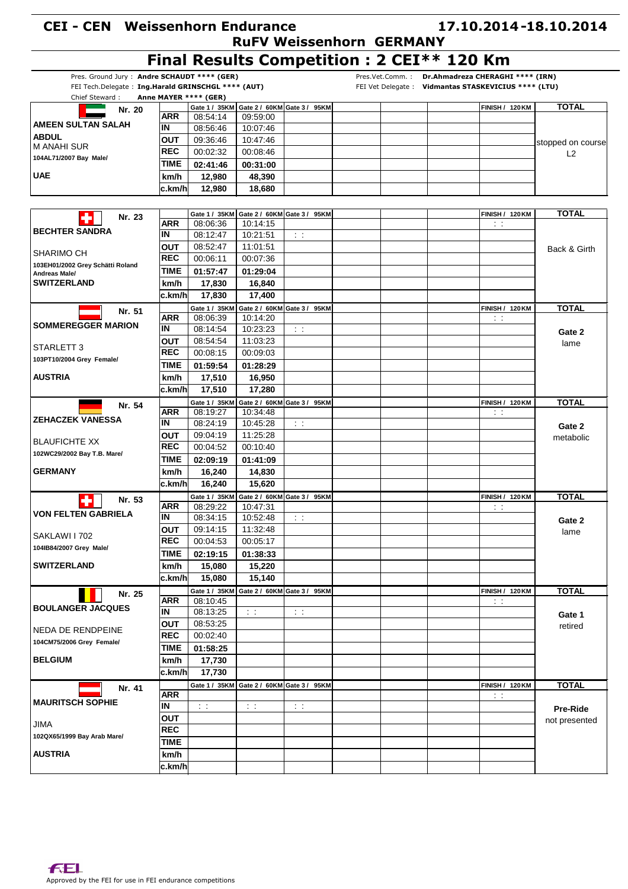**Final Results Competition : 2 CEI\*\* 120 Km**

| Pres. Ground Jury: Andre SCHAUDT **** (GER)        |             |                       |                            |                                           | Pres.Vet.Comm.: Dr.Ahmadreza CHERAGHI **** (IRN)    |                   |
|----------------------------------------------------|-------------|-----------------------|----------------------------|-------------------------------------------|-----------------------------------------------------|-------------------|
| FEI Tech.Delegate: Ing.Harald GRINSCHGL **** (AUT) |             |                       |                            |                                           | FEI Vet Delegate: Vidmantas STASKEVICIUS **** (LTU) |                   |
| Chief Steward:                                     |             | Anne MAYER **** (GER) |                            |                                           |                                                     |                   |
| Nr. 20                                             |             |                       |                            | Gate 1 / 35KM Gate 2 / 60KM Gate 3 / 95KM | <b>FINISH / 120 KM</b>                              | <b>TOTAL</b>      |
| <b>AMEEN SULTAN SALAH</b>                          | ARR         | 08:54:14              | 09:59:00                   |                                           |                                                     |                   |
| <b>ABDUL</b>                                       | IN          | 08:56:46              | 10:07:46                   |                                           |                                                     |                   |
| <b>M ANAHI SUR</b>                                 | <b>OUT</b>  | 09:36:46              | 10:47:46                   |                                           |                                                     | stopped on course |
| 104AL71/2007 Bay Male/                             | <b>REC</b>  | 00:02:32              | 00:08:46                   |                                           |                                                     | L2                |
|                                                    | TIME        | 02:41:46              | 00:31:00                   |                                           |                                                     |                   |
| <b>UAE</b>                                         | km/h        | 12,980                | 48,390                     |                                           |                                                     |                   |
|                                                    | c.km/hl     | 12,980                | 18,680                     |                                           |                                                     |                   |
|                                                    |             |                       |                            |                                           |                                                     |                   |
| Nr. 23                                             |             |                       |                            | Gate 1 / 35KM Gate 2 / 60KM Gate 3 / 95KM | <b>FINISH / 120 KM</b>                              | <b>TOTAL</b>      |
|                                                    | ARR         | 08:06:36              | 10:14:15                   |                                           | $\sim$ 1                                            |                   |
| <b>BECHTER SANDRA</b>                              | IN          | 08:12:47              | 10:21:51                   | $\sim 10$                                 |                                                     |                   |
| <b>SHARIMO CH</b>                                  | <b>OUT</b>  | 08:52:47              | 11:01:51                   |                                           |                                                     | Back & Girth      |
| 103EH01/2002 Grey Schätti Roland                   | <b>REC</b>  | 00:06:11              | 00:07:36                   |                                           |                                                     |                   |
| <b>Andreas Male/</b>                               | <b>TIME</b> | 01:57:47              | 01:29:04                   |                                           |                                                     |                   |
| <b>SWITZERLAND</b>                                 | km/h        | 17,830                | 16,840                     |                                           |                                                     |                   |
|                                                    | c.km/h      | 17,830                | 17,400                     |                                           |                                                     |                   |
| Nr. 51                                             |             | Gate 1 / 35KM         |                            | Gate 2 / 60KM Gate 3 / 95KM               | <b>FINISH / 120 KM</b>                              | <b>TOTAL</b>      |
|                                                    | ARR         | 08:06:39              | 10:14:20                   |                                           | $\sim 10$                                           |                   |
| <b>SOMMEREGGER MARION</b>                          | IN          | 08:14:54              | 10:23:23                   | $\sim 10$                                 |                                                     | Gate 2            |
|                                                    | <b>OUT</b>  | 08:54:54              | 11:03:23                   |                                           |                                                     | lame              |
| STARLETT <sub>3</sub>                              | <b>REC</b>  | 00:08:15              | 00:09:03                   |                                           |                                                     |                   |
| 103PT10/2004 Grey Female/                          | <b>TIME</b> | 01:59:54              | 01:28:29                   |                                           |                                                     |                   |
| <b>AUSTRIA</b>                                     | km/h        | 17,510                | 16,950                     |                                           |                                                     |                   |
|                                                    | c.km/hl     | 17,510                | 17,280                     |                                           |                                                     |                   |
|                                                    |             | Gate 1 / 35KM         |                            | Gate 2 / 60KM Gate 3 / 95KM               | <b>FINISH / 120 KM</b>                              | <b>TOTAL</b>      |
| Nr. 54                                             | ARR         | 08:19:27              | 10:34:48                   |                                           | $\sim$ $\sim$                                       |                   |
| <b>ZEHACZEK VANESSA</b>                            | IN          | 08:24:19              | 10:45:28                   | $\sim 10$                                 |                                                     | Gate 2            |
|                                                    | OUT         | 09:04:19              | 11:25:28                   |                                           |                                                     | metabolic         |
| <b>BLAUFICHTE XX</b>                               | <b>REC</b>  | 00:04:52              | 00:10:40                   |                                           |                                                     |                   |
| 102WC29/2002 Bay T.B. Mare/                        | TIME        | 02:09:19              | 01:41:09                   |                                           |                                                     |                   |
| <b>GERMANY</b>                                     | km/h        | 16,240                | 14,830                     |                                           |                                                     |                   |
|                                                    | c.km/h      | 16,240                | 15,620                     |                                           |                                                     |                   |
|                                                    |             | Gate 1 / 35KM         |                            | Gate 2 / 60KM Gate 3 / 95KM               | <b>FINISH / 120 KM</b>                              | <b>TOTAL</b>      |
| Nr. 53                                             | ARR         | 08:29:22              | 10:47:31                   |                                           | $\sim$                                              |                   |
| <b>VON FELTEN GABRIELA</b>                         | IN          | 08:34:15              | 10:52:48                   | $\sim 10$                                 |                                                     | Gate 2            |
|                                                    | OUT         | 09:14:15              | 11:32:48                   |                                           |                                                     | lame              |
| SAKLAWI I 702                                      | <b>REC</b>  | 00:04:53              | 00:05:17                   |                                           |                                                     |                   |
| 104IB84/2007 Grey Male/                            | TIME        | 02:19:15              | 01:38:33                   |                                           |                                                     |                   |
| <b>SWITZERLAND</b>                                 | km/h        | 15,080                | 15,220                     |                                           |                                                     |                   |
|                                                    | c.km/hl     | 15,080                | 15,140                     |                                           |                                                     |                   |
|                                                    |             | Gate 1 / 35KM         |                            | Gate 2 / 60KM Gate 3 / 95KM               |                                                     | <b>TOTAL</b>      |
| Nr. 25                                             | ARR         | 08:10:45              |                            |                                           | <b>FINISH / 120 KM</b><br>$\sim$ $\sim$             |                   |
| <b>BOULANGER JACQUES</b>                           | IN          | 08:13:25              | $\mathcal{L}(\mathcal{A})$ | $\sim 1$                                  |                                                     |                   |
|                                                    | <b>OUT</b>  | 08:53:25              |                            |                                           |                                                     | Gate 1            |
| NEDA DE RENDPEINE                                  | <b>REC</b>  | 00:02:40              |                            |                                           |                                                     | retired           |
| 104CM75/2006 Grey Female/                          | TIME        | 01:58:25              |                            |                                           |                                                     |                   |
|                                                    |             |                       |                            |                                           |                                                     |                   |
| <b>BELGIUM</b>                                     | km/h        | 17,730                |                            |                                           |                                                     |                   |
|                                                    | c.km/hl     | 17,730                |                            |                                           |                                                     |                   |
| Nr. 41                                             | <b>ARR</b>  | Gate 1 / 35KM         |                            | Gate 2 / 60KM Gate 3 / 95KM               | <b>FINISH / 120 KM</b>                              | <b>TOTAL</b>      |
| <b>MAURITSCH SOPHIE</b>                            | IN          |                       |                            |                                           | $\sim$ $\sim$                                       |                   |
|                                                    |             | $\sim$ 1              | $\mathcal{L}(\mathcal{A})$ | $\mathcal{L}(\mathcal{A})$                |                                                     | Pre-Ride          |
| <b>JIMA</b>                                        | <b>OUT</b>  |                       |                            |                                           |                                                     | not presented     |
| 102QX65/1999 Bay Arab Mare/                        | <b>REC</b>  |                       |                            |                                           |                                                     |                   |
|                                                    | TIME        |                       |                            |                                           |                                                     |                   |
| <b>AUSTRIA</b>                                     | km/h        |                       |                            |                                           |                                                     |                   |
|                                                    | c.km/h      |                       |                            |                                           |                                                     |                   |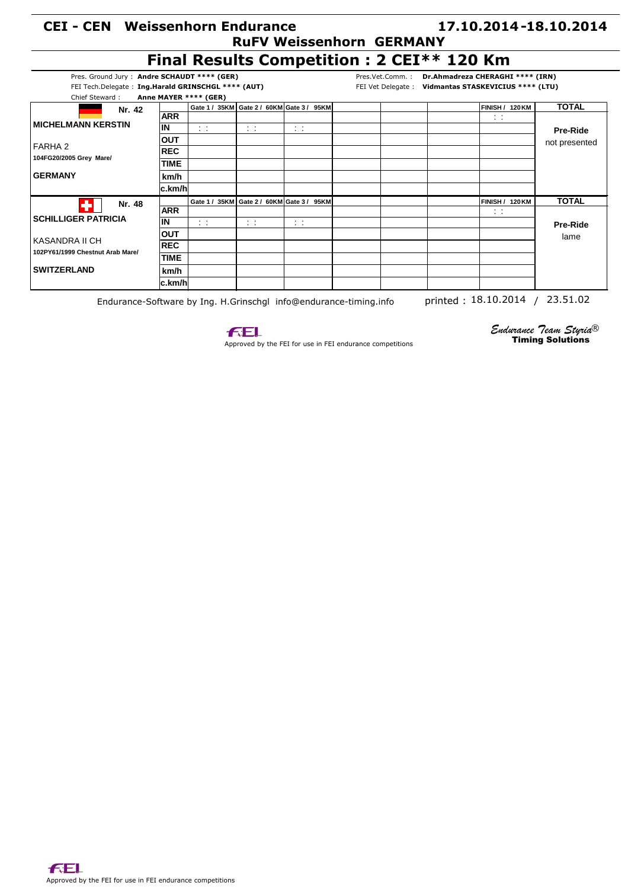## **Final Results Competition : 2 CEI\*\* 120 Km**

| Pres. Ground Jury: Andre SCHAUDT **** (GER)        |             |                       |                  |                                               | Pres.Vet.Comm.: | Dr.Ahmadreza CHERAGHI **** (IRN)                    |                           |                 |
|----------------------------------------------------|-------------|-----------------------|------------------|-----------------------------------------------|-----------------|-----------------------------------------------------|---------------------------|-----------------|
| FEI Tech.Delegate: Ing.Harald GRINSCHGL **** (AUT) |             |                       |                  |                                               |                 | FEI Vet Delegate: Vidmantas STASKEVICIUS **** (LTU) |                           |                 |
| Chief Steward:                                     |             | Anne MAYER **** (GER) |                  |                                               |                 |                                                     |                           |                 |
| Nr. 42                                             |             |                       |                  | Gate 1 / 35KM   Gate 2 / 60KM   Gate 3 / 95KM |                 |                                                     | FINISH / 120 KM           | <b>TOTAL</b>    |
|                                                    | <b>ARR</b>  |                       |                  |                                               |                 |                                                     | $\sim$ $\sim$             |                 |
| <b>MICHELMANN KERSTIN</b>                          | İΝ          | $\sim$ 1              | $\sim$ 1         | $\sim$ $\sim$                                 |                 |                                                     |                           | <b>Pre-Ride</b> |
|                                                    | <b>OUT</b>  |                       |                  |                                               |                 |                                                     |                           | not presented   |
| lFARHA 2                                           | <b>REC</b>  |                       |                  |                                               |                 |                                                     |                           |                 |
| 104FG20/2005 Grey Mare/                            | <b>TIME</b> |                       |                  |                                               |                 |                                                     |                           |                 |
| <b>GERMANY</b>                                     | km/h        |                       |                  |                                               |                 |                                                     |                           |                 |
|                                                    | c.km/hl     |                       |                  |                                               |                 |                                                     |                           |                 |
| Nr. 48                                             |             |                       |                  | Gate 1 / 35KM   Gate 2 / 60KM   Gate 3 / 95KM |                 |                                                     | FINISH / 120KM            | <b>TOTAL</b>    |
|                                                    | <b>ARR</b>  |                       |                  |                                               |                 |                                                     | $\sim$<br>$\sim$ 10 $\pm$ |                 |
| <b>SCHILLIGER PATRICIA</b>                         | İIN         | $\sim$ 1              | $\sim$<br>$\sim$ | $\sim$<br>$\sim$ $ \sim$                      |                 |                                                     |                           | <b>Pre-Ride</b> |
|                                                    | lout        |                       |                  |                                               |                 |                                                     |                           | lame            |
| KASANDRA II CH                                     | REC         |                       |                  |                                               |                 |                                                     |                           |                 |
| 102PY61/1999 Chestnut Arab Mare/                   | <b>TIME</b> |                       |                  |                                               |                 |                                                     |                           |                 |
| <b>SWITZERLAND</b>                                 | km/h        |                       |                  |                                               |                 |                                                     |                           |                 |
|                                                    | ∣c.km/hl    |                       |                  |                                               |                 |                                                     |                           |                 |

Endurance-Software by Ing. H.Grinschgl info@endurance-timing.info printed : 18.10.2014 / 23.51.02

**FEL** 

Approved by the FEI for use in FEI endurance competitions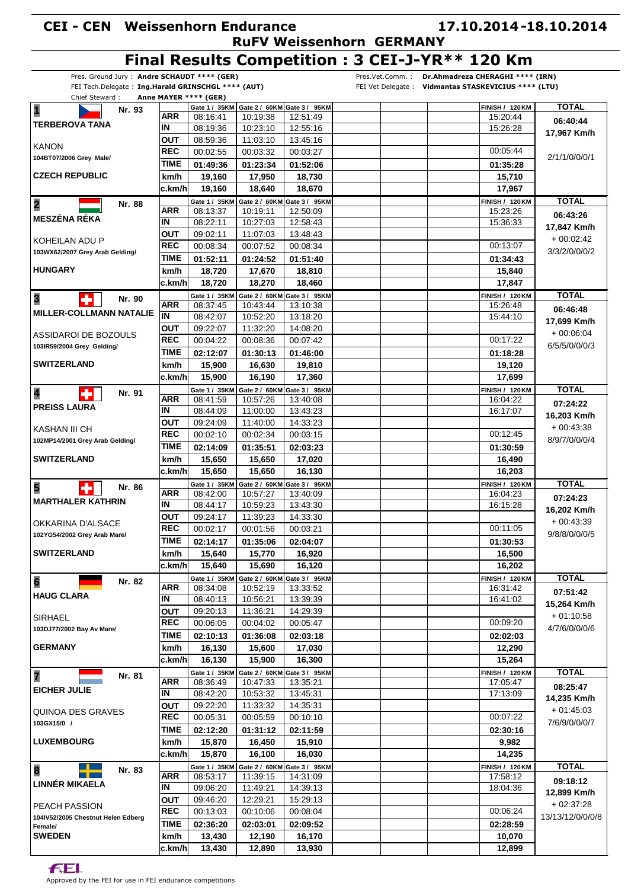## **Final Results Competition : 3 CEI-J-YR\*\* 120 Km**

| Pres. Ground Jury: Andre SCHAUDT **** (GER)                          |             |                           |                                           |                      | Pres.Vet.Comm.: | Dr.Ahmadreza CHERAGHI **** (IRN)                     |                                    |                  |
|----------------------------------------------------------------------|-------------|---------------------------|-------------------------------------------|----------------------|-----------------|------------------------------------------------------|------------------------------------|------------------|
| FEI Tech.Delegate: Ing.Harald GRINSCHGL **** (AUT)<br>Chief Steward: |             | Anne MAYER **** (GER)     |                                           |                      |                 | FEI Vet Delegate : Vidmantas STASKEVICIUS **** (LTU) |                                    |                  |
| $\overline{\mathbf{1}}$                                              |             |                           | Gate 1 / 35KM Gate 2 / 60KM Gate 3 / 95KM |                      |                 |                                                      | <b>FINISH / 120 KM</b>             | <b>TOTAL</b>     |
| Nr. 93                                                               | ARR         | 08:16:41                  | 10:19:38                                  | 12:51:49             |                 |                                                      | 15:20:44                           | 06:40:44         |
| <b>TERBEROVA TANA</b>                                                | IN          | 08:19:36                  | 10:23:10                                  | 12:55:16             |                 |                                                      | 15:26:28                           | 17,967 Km/h      |
|                                                                      | <b>OUT</b>  | 08:59:36                  | 11:03:10                                  | 13:45:16             |                 |                                                      |                                    |                  |
| <b>KANON</b><br>104BT07/2006 Grey Male/                              | <b>REC</b>  | 00:02:55                  | 00:03:32                                  | 00:03:27             |                 |                                                      | 00:05:44                           | 2/1/1/0/0/0/1    |
|                                                                      | <b>TIME</b> | 01:49:36                  | 01:23:34                                  | 01:52:06             |                 |                                                      | 01:35:28                           |                  |
| <b>CZECH REPUBLIC</b>                                                | km/h        | 19,160                    | 17,950                                    | 18,730               |                 |                                                      | 15,710                             |                  |
|                                                                      | c.km/h      | 19,160                    | 18.640                                    | 18,670               |                 |                                                      | 17,967                             |                  |
| $\overline{\mathbf{2}}$<br>Nr. 88                                    |             | Gate 1 / 35KM             | Gate 2 / 60KM Gate 3 / 95KM               |                      |                 |                                                      | <b>FINISH / 120 KM</b>             | <b>TOTAL</b>     |
| <b>MESZÉNA RÉKA</b>                                                  | <b>ARR</b>  | 08:13:37                  | 10:19:11                                  | 12:50:09             |                 |                                                      | 15:23:26                           | 06:43:26         |
|                                                                      | IN          | 08:22:11                  | 10:27:03                                  | 12:58:43             |                 |                                                      | 15:36:33                           | 17,847 Km/h      |
| KOHEILAN ADU P                                                       | <b>OUT</b>  | 09:02:11                  | 11:07:03                                  | 13:48:43             |                 |                                                      |                                    | $+00:02:42$      |
| 103WX62/2007 Grey Arab Gelding/                                      | <b>REC</b>  | 00:08:34                  | 00:07:52                                  | 00:08:34             |                 |                                                      | 00:13:07                           | 3/3/2/0/0/0/2    |
|                                                                      | TIME        | 01:52:11                  | 01:24:52                                  | 01:51:40             |                 |                                                      | 01:34:43                           |                  |
| <b>HUNGARY</b>                                                       | km/h        | 18,720                    | 17,670                                    | 18,810               |                 |                                                      | 15,840                             |                  |
|                                                                      | c.km/hl     | 18,720                    | 18,270                                    | 18,460               |                 |                                                      | 17,847                             |                  |
| 3<br>Nr. 90                                                          | <b>ARR</b>  | Gate 1 / 35KM<br>08:37:45 | Gate 2 / 60KM Gate 3 / 95KM<br>10:43:44   | 13:10:38             |                 |                                                      | <b>FINISH / 120 KM</b><br>15:26:48 | <b>TOTAL</b>     |
| <b>MILLER-COLLMANN NATALIE</b>                                       | İΝ          | 08:42:07                  | 10:52:20                                  | 13:18:20             |                 |                                                      | 15:44:10                           | 06:46:48         |
|                                                                      | <b>OUT</b>  | 09:22:07                  | 11:32:20                                  | 14:08:20             |                 |                                                      |                                    | 17,699 Km/h      |
| ASSIDAROI DE BOZOULS                                                 | <b>REC</b>  | 00:04:22                  | 00:08:36                                  | 00:07:42             |                 |                                                      | 00:17:22                           | $+00:06:04$      |
| 103IR59/2004 Grey Gelding/                                           | <b>TIME</b> | 02:12:07                  | 01:30:13                                  | 01:46:00             |                 |                                                      | 01:18:28                           | 6/5/5/0/0/0/3    |
| <b>SWITZERLAND</b>                                                   | km/h        | 15,900                    | 16,630                                    | 19,810               |                 |                                                      | 19,120                             |                  |
|                                                                      | c.km/h      | 15,900                    | 16,190                                    | 17,360               |                 |                                                      | 17,699                             |                  |
|                                                                      |             | Gate 1 / 35KM             | Gate 2 / 60KM Gate 3 / 95KM               |                      |                 |                                                      | <b>FINISH / 120 KM</b>             | <b>TOTAL</b>     |
| $\overline{\mathbf{4}}$<br>Nr. 91                                    | <b>ARR</b>  | 08:41:59                  | 10:57:26                                  | 13:40:08             |                 |                                                      | 16:04:22                           | 07:24:22         |
| <b>PREISS LAURA</b>                                                  | IN          | 08:44:09                  | 11:00:00                                  | 13:43:23             |                 |                                                      | 16:17:07                           | 16,203 Km/h      |
|                                                                      | <b>OUT</b>  | 09:24:09                  | 11:40:00                                  | 14:33:23             |                 |                                                      |                                    | $+00:43:38$      |
| KASHAN III CH                                                        | <b>REC</b>  | 00:02:10                  | 00:02:34                                  | 00:03:15             |                 |                                                      | 00:12:45                           | 8/9/7/0/0/0/4    |
| 102MP14/2001 Grey Arab Gelding/                                      | <b>TIME</b> | 02:14:09                  | 01:35:51                                  | 02:03:23             |                 |                                                      | 01:30:59                           |                  |
| <b>SWITZERLAND</b>                                                   | km/h        | 15,650                    | 15,650                                    | 17,020               |                 |                                                      | 16,490                             |                  |
|                                                                      | c.km/h      | 15,650                    | 15,650                                    | 16,130               |                 |                                                      | 16,203                             |                  |
| 5<br>Nr. 86                                                          |             | Gate 1 / 35KM             | Gate 2 / 60KM Gate 3 / 95KM               |                      |                 |                                                      | <b>FINISH / 120 KM</b>             | <b>TOTAL</b>     |
| <b>MARTHALER KATHRIN</b>                                             | <b>ARR</b>  | 08:42:00                  | 10:57:27                                  | 13:40:09             |                 |                                                      | 16:04:23                           | 07:24:23         |
|                                                                      | IN          | 08:44:17                  | 10:59:23                                  | 13:43:30             |                 |                                                      | 16:15:28                           | 16,202 Km/h      |
| OKKARINA D'ALSACE                                                    | OUT         | 09:24:17                  | 11:39:23                                  | 14:33:30             |                 |                                                      |                                    | $+00:43:39$      |
| 102YG54/2002 Grey Arab Mare/                                         | <b>REC</b>  | 00:02:17                  | 00:01:56                                  | 00:03:21             |                 |                                                      | 00:11:05                           | 9/8/8/0/0/0/5    |
|                                                                      | <b>TIME</b> | 02:14:17                  | 01:35:06                                  | 02:04:07             |                 |                                                      | 01:30:53                           |                  |
| <b>SWITZERLAND</b>                                                   | km/h        | 15,640                    | 15,770                                    | 16,920               |                 |                                                      | 16,500                             |                  |
|                                                                      | c.km/h      | 15,640                    | 15,690                                    | 16,120               |                 |                                                      | 16,202                             |                  |
| $6\phantom{a}$<br>Nr. 82                                             | <b>ARR</b>  | Gate 1 / 35KM             | Gate 2 / 60KM Gate 3 / 95KM               |                      |                 |                                                      | <b>FINISH / 120 KM</b>             | <b>TOTAL</b>     |
| <b>HAUG CLARA</b>                                                    | IN          | 08:34:08<br>08:40:13      | 10:52:19<br>10:56:21                      | 13:33:52<br>13:39:39 |                 |                                                      | 16:31:42<br>16:41:02               | 07:51:42         |
|                                                                      | OUT         | 09:20:13                  | 11:36:21                                  | 14:29:39             |                 |                                                      |                                    | 15,264 Km/h      |
| SIRHAEL                                                              | <b>REC</b>  | 00:06:05                  | 00:04:02                                  | 00:05:47             |                 |                                                      | 00:09:20                           | $+01:10:58$      |
| 103DJ77/2002 Bay Av Mare/                                            | <b>TIME</b> | 02:10:13                  | 01:36:08                                  | 02:03:18             |                 |                                                      | 02:02:03                           | 4/7/6/0/0/0/6    |
| <b>GERMANY</b>                                                       | km/h        | 16,130                    | 15,600                                    | 17,030               |                 |                                                      | 12,290                             |                  |
|                                                                      | c.km/h      | 16,130                    | 15,900                                    | 16,300               |                 |                                                      | 15,264                             |                  |
|                                                                      |             | Gate 1 / 35KM             | Gate 2 / 60KM Gate 3 / 95KM               |                      |                 |                                                      | <b>FINISH / 120 KM</b>             | <b>TOTAL</b>     |
| 7<br>Nr. 81                                                          | ARR         | 08:36:49                  | 10:47:33                                  | 13:35:21             |                 |                                                      | 17:05:47                           | 08:25:47         |
| <b>EICHER JULIE</b>                                                  | IN          | 08:42:20                  | 10:53:32                                  | 13:45:31             |                 |                                                      | 17:13:09                           | 14,235 Km/h      |
| QUINOA DES GRAVES                                                    | OUT         | 09:22:20                  | 11:33:32                                  | 14:35:31             |                 |                                                      |                                    | $+01:45:03$      |
| 103GX15/0 /                                                          | <b>REC</b>  | 00:05:31                  | 00:05:59                                  | 00:10:10             |                 |                                                      | 00:07:22                           | 7/6/9/0/0/0/7    |
|                                                                      | TIME        | 02:12:20                  | 01:31:12                                  | 02:11:59             |                 |                                                      | 02:30:16                           |                  |
| <b>LUXEMBOURG</b>                                                    | km/h        | 15,870                    | 16,450                                    | 15,910               |                 |                                                      | 9,982                              |                  |
|                                                                      | c.km/h      | 15,870                    | 16,100                                    | 16,030               |                 |                                                      | 14,235                             |                  |
| $\bf{8}$<br>Nr. 83                                                   |             | Gate 1 / 35KM             | Gate 2 / 60KM Gate 3 / 95KM               |                      |                 |                                                      | <b>FINISH / 120 KM</b>             | <b>TOTAL</b>     |
| <b>LINNÉR MIKAELA</b>                                                | <b>ARR</b>  | 08:53:17                  | 11:39:15                                  | 14:31:09             |                 |                                                      | 17:58:12                           | 09:18:12         |
|                                                                      | IN          | 09:06:20                  | 11:49:21                                  | 14:39:13             |                 |                                                      | 18:04:36                           | 12,899 Km/h      |
| <b>PEACH PASSION</b>                                                 | <b>OUT</b>  | 09:46:20                  | 12:29:21                                  | 15:29:13             |                 |                                                      |                                    | $+02:37:28$      |
| 104IV52/2005 Chestnut Helen Edberg                                   | <b>REC</b>  | 00:13:03                  | 00:10:06                                  | 00:08:04             |                 |                                                      | 00:06:24                           | 13/13/12/0/0/0/8 |
| Female/                                                              | <b>TIME</b> | 02:36:20                  | 02:03:01                                  | 02:09:52             |                 |                                                      | 02:28:59                           |                  |
| <b>SWEDEN</b>                                                        | km/h        | 13,430                    | 12,190                                    | 16,170               |                 |                                                      | 10,070                             |                  |
|                                                                      | c.km/h      | 13,430                    | 12,890                                    | 13,930               |                 |                                                      | 12,899                             |                  |

**FEL**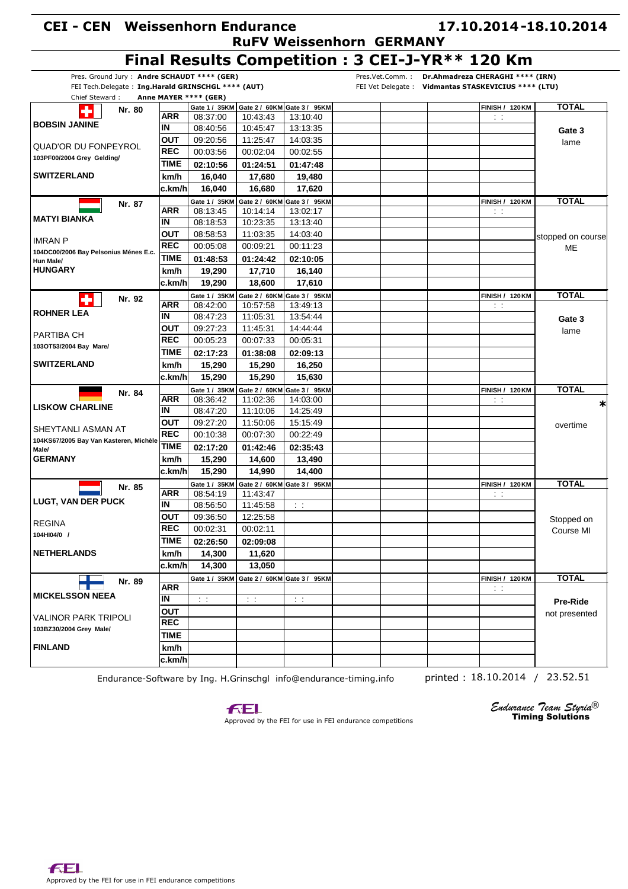#### **CEI - CEN Weissenhorn Endurance RuFV Weissenhorn GERMANY 17.10.2014 18.10.2014 - Final Results Competition : 3 CEI-J-YR\*\* 120 Km**

|                                                    |             |                       |                            | <b>FINAL RESUITS COMPETITION : 3 CEL-J-TR <math>\pi</math></b> |                 | 120 KM                                               |                   |
|----------------------------------------------------|-------------|-----------------------|----------------------------|----------------------------------------------------------------|-----------------|------------------------------------------------------|-------------------|
| Pres. Ground Jury: Andre SCHAUDT **** (GER)        |             |                       |                            |                                                                | Pres.Vet.Comm.: | Dr.Ahmadreza CHERAGHI **** (IRN)                     |                   |
| FEI Tech.Delegate: Ing.Harald GRINSCHGL **** (AUT) |             |                       |                            |                                                                |                 | FEI Vet Delegate : Vidmantas STASKEVICIUS **** (LTU) |                   |
| Chief Steward:                                     |             | Anne MAYER **** (GER) |                            |                                                                |                 |                                                      |                   |
| Nr. 80                                             |             |                       |                            | Gate 1 / 35KM Gate 2 / 60KM Gate 3 / 95KM                      |                 | <b>FINISH / 120 KM</b>                               | <b>TOTAL</b>      |
| <b>BOBSIN JANINE</b>                               | ARR         | 08:37:00              | 10:43:43                   | 13:10:40                                                       |                 | $\sim$                                               |                   |
|                                                    | IN          | 08:40:56              | 10:45:47                   | 13:13:35                                                       |                 |                                                      | Gate 3            |
| <b>QUAD'OR DU FONPEYROL</b>                        | OUT         | 09:20:56              | 11:25:47                   | 14:03:35                                                       |                 |                                                      | lame              |
| 103PF00/2004 Grey Gelding/                         | <b>REC</b>  | 00:03:56              | 00:02:04                   | 00:02:55                                                       |                 |                                                      |                   |
|                                                    | <b>TIME</b> | 02:10:56              | 01:24:51                   | 01:47:48                                                       |                 |                                                      |                   |
| <b>SWITZERLAND</b>                                 | km/h        | 16,040                | 17,680                     | 19,480                                                         |                 |                                                      |                   |
|                                                    | c.km/h      | 16,040                | 16,680                     | 17,620                                                         |                 |                                                      |                   |
| Nr. 87                                             |             | Gate 1 / 35KM         |                            | Gate 2 / 60KM Gate 3 / 95KM                                    |                 | <b>FINISH / 120 KM</b>                               | <b>TOTAL</b>      |
| <b>MATYI BIANKA</b>                                | ARR<br>IN   | 08:13:45              | 10:14:14                   | 13:02:17                                                       |                 | $\sim$ 1                                             |                   |
|                                                    |             | 08:18:53              | 10:23:35                   | 13:13:40                                                       |                 |                                                      |                   |
| <b>IMRAN P</b>                                     | OUT         | 08:58:53              | 11:03:35                   | 14:03:40                                                       |                 |                                                      | stopped on course |
| 104DC00/2006 Bay Pelsonius Ménes E.c.              | <b>REC</b>  | 00:05:08              | 00:09:21                   | 00:11:23                                                       |                 |                                                      | ME                |
| Hun Male/                                          | <b>TIME</b> | 01:48:53              | 01:24:42                   | 02:10:05                                                       |                 |                                                      |                   |
| <b>HUNGARY</b>                                     | km/h        | 19,290                | 17,710                     | 16,140                                                         |                 |                                                      |                   |
|                                                    | ∣c.km/h     | 19,290                | 18,600                     | 17,610                                                         |                 |                                                      |                   |
| Nr. 92                                             |             |                       |                            | Gate 1 / 35KM Gate 2 / 60KM Gate 3 / 95KM                      |                 | <b>FINISH / 120 KM</b>                               | <b>TOTAL</b>      |
| <b>ROHNER LEA</b>                                  | ARR         | 08:42:00              | 10:57:58                   | 13:49:13                                                       |                 | $\sim$ $\sim$                                        |                   |
|                                                    | IN          | 08:47:23              | 11:05:31                   | 13:54:44                                                       |                 |                                                      | Gate 3            |
| PARTIBA CH                                         | OUT         | 09:27:23              | 11:45:31                   | 14:44:44                                                       |                 |                                                      | lame              |
| 103OT53/2004 Bay Mare/                             | <b>REC</b>  | 00:05:23              | 00:07:33                   | 00:05:31                                                       |                 |                                                      |                   |
|                                                    | TIME        | 02:17:23              | 01:38:08                   | 02:09:13                                                       |                 |                                                      |                   |
| <b>SWITZERLAND</b>                                 | km/h        | 15,290                | 15,290                     | 16,250                                                         |                 |                                                      |                   |
|                                                    | ∣c.km/h     | 15,290                | 15,290                     | 15,630                                                         |                 |                                                      |                   |
| Nr. 84                                             |             | Gate 1 / 35KM         |                            | Gate 2 / 60KM Gate 3 / 95KM                                    |                 | <b>FINISH / 120 KM</b>                               | <b>TOTAL</b>      |
| <b>LISKOW CHARLINE</b>                             | ARR<br>IN   | 08:36:42              | 11:02:36                   | 14:03:00                                                       |                 | $\sim$ 1                                             | $\ast$            |
|                                                    | <b>OUT</b>  | 08:47:20              | 11:10:06                   | 14:25:49                                                       |                 |                                                      |                   |
| SHEYTANLI ASMAN AT                                 | <b>REC</b>  | 09:27:20<br>00:10:38  | 11:50:06<br>00:07:30       | 15:15:49                                                       |                 |                                                      | overtime          |
| 104KS67/2005 Bay Van Kasteren, Michèle             | <b>TIME</b> |                       |                            | 00:22:49                                                       |                 |                                                      |                   |
| Male/<br><b>GERMANY</b>                            |             | 02:17:20              | 01:42:46                   | 02:35:43                                                       |                 |                                                      |                   |
|                                                    | km/h        | 15,290                | 14,600                     | 13,490                                                         |                 |                                                      |                   |
|                                                    | c.km/h      | 15,290                | 14,990                     | 14,400                                                         |                 |                                                      |                   |
| Nr. 85                                             | <b>ARR</b>  |                       |                            | Gate 1 / 35KM Gate 2 / 60KM Gate 3 / 95KM                      |                 | <b>FINISH / 120 KM</b>                               | <b>TOTAL</b>      |
| <b>LUGT, VAN DER PUCK</b>                          | IN          | 08:54:19<br>08:56:50  | 11:43:47<br>11:45:58       | $\sim 1$                                                       |                 | $\sim$ $\sim$                                        |                   |
|                                                    | OUT         | 09:36:50              | 12:25:58                   |                                                                |                 |                                                      |                   |
| <b>REGINA</b>                                      | <b>REC</b>  | 00:02:31              | 00:02:11                   |                                                                |                 |                                                      | Stopped on        |
| 104HI04/0 /                                        | TIME        | 02:26:50              | 02:09:08                   |                                                                |                 |                                                      | Course MI         |
| <b>NETHERLANDS</b>                                 | km/h        | 14,300                | 11,620                     |                                                                |                 |                                                      |                   |
|                                                    | c.km/h      | 14,300                | 13,050                     |                                                                |                 |                                                      |                   |
|                                                    |             |                       |                            |                                                                |                 |                                                      |                   |
| Nr. 89                                             | <b>ARR</b>  |                       |                            | Gate 1 / 35KM Gate 2 / 60KM Gate 3 / 95KM                      |                 | <b>FINISH / 120 KM</b><br>$\sim$ $\sim$              | <b>TOTAL</b>      |
| <b>MICKELSSON NEEA</b>                             | IN          | $\sim$ $\pm$          | $\mathcal{L}(\mathcal{A})$ | $\sim$                                                         |                 |                                                      |                   |
|                                                    | ΟUΤ         |                       |                            |                                                                |                 |                                                      | Pre-Ride          |
| VALINOR PARK TRIPOLI                               | <b>REC</b>  |                       |                            |                                                                |                 |                                                      | not presented     |
| 103BZ30/2004 Grey Male/                            | <b>TIME</b> |                       |                            |                                                                |                 |                                                      |                   |
| <b>FINLAND</b>                                     | km/h        |                       |                            |                                                                |                 |                                                      |                   |
|                                                    | c.km/h      |                       |                            |                                                                |                 |                                                      |                   |
|                                                    |             |                       |                            |                                                                |                 |                                                      |                   |

Endurance-Software by Ing. H.Grinschgl info@endurance-timing.info printed : 18.10.2014 / 23.52.51

®



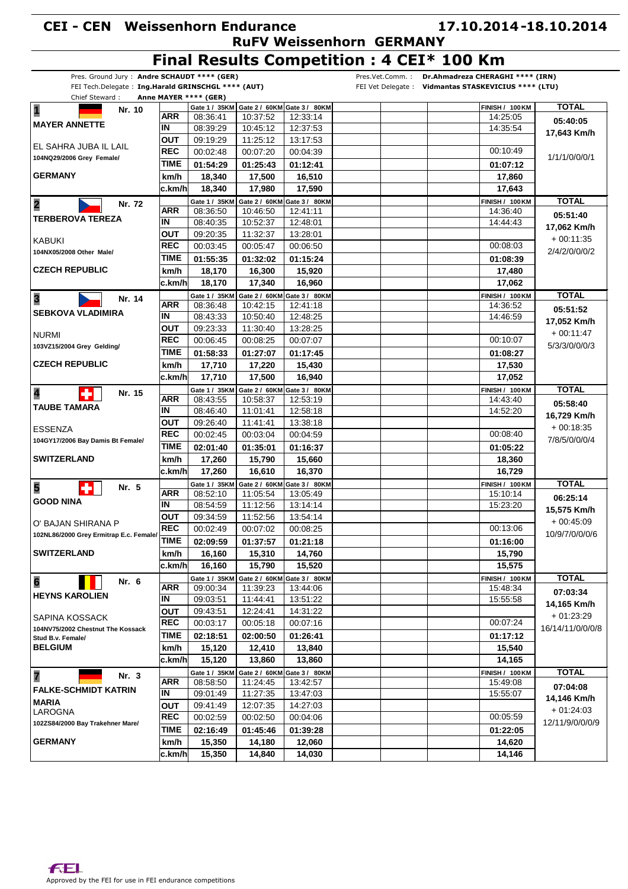### **Final Results Competition : 4 CEI\* 100 Km**

| Pres. Ground Jury: Andre SCHAUDT **** (GER)        |             |                           |          |                                         | Pres.Vet.Comm.: | Dr.Ahmadreza CHERAGHI **** (IRN)                    |                  |
|----------------------------------------------------|-------------|---------------------------|----------|-----------------------------------------|-----------------|-----------------------------------------------------|------------------|
| FEI Tech.Delegate: Ing.Harald GRINSCHGL **** (AUT) |             |                           |          |                                         |                 | FEI Vet Delegate: Vidmantas STASKEVICIUS **** (LTU) |                  |
| Chief Steward:                                     |             | Anne MAYER **** (GER)     |          |                                         |                 |                                                     |                  |
| $\overline{\mathbf{1}}$<br>Nr. 10                  |             | Gate 1 / 35KM             |          | Gate 2 / 60KM Gate 3 / 80KM             |                 | <b>FINISH / 100 KM</b>                              | <b>TOTAL</b>     |
| <b>MAYER ANNETTE</b>                               | ARR         | 08:36:41                  | 10:37:52 | 12:33:14                                |                 | 14:25:05                                            | 05:40:05         |
|                                                    | IN          | 08:39:29                  | 10:45:12 | 12:37:53                                |                 | 14:35:54                                            | 17,643 Km/h      |
| EL SAHRA JUBA IL LAIL                              | OUT         | 09:19:29                  | 11:25:12 | 13:17:53                                |                 |                                                     |                  |
| 104NQ29/2006 Grey Female/                          | <b>REC</b>  | 00:02:48                  | 00:07:20 | 00:04:39                                |                 | 00:10:49                                            | 1/1/1/0/0/0/1    |
|                                                    | <b>TIME</b> | 01:54:29                  | 01:25:43 | 01:12:41                                |                 | 01:07:12                                            |                  |
| <b>GERMANY</b>                                     | km/h        | 18,340                    | 17,500   | 16,510                                  |                 | 17,860                                              |                  |
|                                                    | c.km/h      | 18,340                    | 17,980   | 17,590                                  |                 | 17,643                                              |                  |
| $\overline{\mathbf{2}}$<br>Nr. 72                  |             | Gate 1 / 35KM             |          | Gate 2 / 60KM Gate 3 / 80KM             |                 | <b>FINISH / 100 KM</b>                              | <b>TOTAL</b>     |
|                                                    | ARR         | 08:36:50                  | 10:46:50 | 12:41:11                                |                 | 14:36:40                                            | 05:51:40         |
| <b>TERBEROVA TEREZA</b>                            | IN          | 08:40:35                  | 10:52:37 | 12:48:01                                |                 | 14:44:43                                            | 17,062 Km/h      |
|                                                    | OUT         | 09:20:35                  | 11:32:37 | 13:28:01                                |                 |                                                     |                  |
| <b>KABUKI</b>                                      | <b>REC</b>  | 00:03:45                  | 00:05:47 | 00:06:50                                |                 | 00:08:03                                            | $+00:11:35$      |
| 104NX05/2008 Other Male/                           | <b>TIME</b> | 01:55:35                  | 01:32:02 | 01:15:24                                |                 | 01:08:39                                            | 2/4/2/0/0/0/2    |
| <b>CZECH REPUBLIC</b>                              | km/h        | 18,170                    | 16,300   | 15,920                                  |                 | 17,480                                              |                  |
|                                                    | c.km/h      | 18,170                    | 17,340   | 16,960                                  |                 | 17,062                                              |                  |
|                                                    |             |                           |          |                                         |                 |                                                     |                  |
| 3<br>Nr. 14                                        | ARR         | Gate 1 / 35KM<br>08:36:48 | 10:42:15 | Gate 2 / 60KM Gate 3 / 80KM<br>12:41:18 |                 | <b>FINISH / 100 KM</b><br>14:36:52                  | <b>TOTAL</b>     |
| <b>SEBKOVA VLADIMIRA</b>                           | IN          | 08:43:33                  | 10:50:40 | 12:48:25                                |                 |                                                     | 05:51:52         |
|                                                    | <b>OUT</b>  |                           |          |                                         |                 | 14:46:59                                            | 17,052 Km/h      |
| <b>NURMI</b>                                       | <b>REC</b>  | 09:23:33                  | 11:30:40 | 13:28:25                                |                 |                                                     | $+00:11:47$      |
| 103VZ15/2004 Grey Gelding/                         |             | 00:06:45                  | 00:08:25 | 00:07:07                                |                 | 00:10:07                                            | 5/3/3/0/0/0/3    |
|                                                    | <b>TIME</b> | 01:58:33                  | 01:27:07 | 01:17:45                                |                 | 01:08:27                                            |                  |
| <b>CZECH REPUBLIC</b>                              | km/h        | 17,710                    | 17,220   | 15,430                                  |                 | 17,530                                              |                  |
|                                                    | c.km/hl     | 17,710                    | 17,500   | 16,940                                  |                 | 17,052                                              |                  |
| 4<br>Nr. 15                                        |             | Gate 1 / 35KM             |          | Gate 2 / 60KM Gate 3 / 80KM             |                 | <b>FINISH / 100 KM</b>                              | <b>TOTAL</b>     |
| <b>TAUBE TAMARA</b>                                | ARR         | 08:43:55                  | 10:58:37 | 12:53:19                                |                 | 14:43:40                                            | 05:58:40         |
|                                                    | IN          | 08:46:40                  | 11:01:41 | 12:58:18                                |                 | 14:52:20                                            | 16,729 Km/h      |
|                                                    | <b>OUT</b>  | 09:26:40                  | 11:41:41 | 13:38:18                                |                 |                                                     | $+00:18:35$      |
| <b>ESSENZA</b>                                     | <b>REC</b>  | 00:02:45                  | 00:03:04 | 00:04:59                                |                 | 00:08:40                                            |                  |
| 104GY17/2006 Bay Damis Bt Female/                  | <b>TIME</b> | 02:01:40                  | 01:35:01 | 01:16:37                                |                 | 01:05:22                                            | 7/8/5/0/0/0/4    |
| <b>SWITZERLAND</b>                                 | km/h        | 17,260                    | 15,790   | 15,660                                  |                 | 18,360                                              |                  |
|                                                    | c.km/h      | 17,260                    | 16,610   | 16,370                                  |                 | 16,729                                              |                  |
|                                                    |             | Gate 1 / 35KM             |          | Gate 2 / 60KM Gate 3 / 80KM             |                 | <b>FINISH / 100 KM</b>                              | <b>TOTAL</b>     |
| 5<br>Nr. 5                                         | ARR         | 08:52:10                  | 11:05:54 | 13:05:49                                |                 | 15:10:14                                            |                  |
| <b>GOOD NINA</b>                                   | IN          | 08:54:59                  | 11:12:56 | 13:14:14                                |                 | 15:23:20                                            | 06:25:14         |
|                                                    | <b>OUT</b>  | 09:34:59                  | 11:52:56 | 13:54:14                                |                 |                                                     | 15,575 Km/h      |
| O' BAJAN SHIRANA P                                 | <b>REC</b>  | 00:02:49                  | 00:07:02 | 00:08:25                                |                 | 00:13:06                                            | $+00:45:09$      |
| 102NL86/2000 Grey Ermitrap E.c. Female/            | <b>TIME</b> |                           |          |                                         |                 |                                                     | 10/9/7/0/0/0/6   |
|                                                    |             | 02:09:59                  | 01:37:57 | 01:21:18                                |                 | 01:16:00                                            |                  |
| <b>SWITZERLAND</b>                                 | km/h        | 16,160                    | 15,310   | 14,760                                  |                 | 15,790                                              |                  |
|                                                    | c.km/h      | 16,160                    | 15.790   | 15,520                                  |                 | 15,575                                              |                  |
| 6<br>Nr. 6                                         |             | Gate 1 / 35KM             |          | Gate 2 / 60KM Gate 3 / 80KM             |                 | <b>FINISH / 100 KM</b>                              | <b>TOTAL</b>     |
| <b>HEYNS KAROLIEN</b>                              | <b>ARR</b>  | 09:00:34                  | 11:39:23 | 13:44:06                                |                 | 15:48:34                                            | 07:03:34         |
|                                                    | IN          | 09:03:51                  | 11:44:41 | 13:51:22                                |                 | 15:55:58                                            | 14,165 Km/h      |
| SAPINA KOSSACK                                     | <b>OUT</b>  | 09:43:51                  | 12:24:41 | 14:31:22                                |                 |                                                     | $+01:23:29$      |
| 104NV75/2002 Chestnut The Kossack                  | <b>REC</b>  | 00:03:17                  | 00:05:18 | 00:07:16                                |                 | 00:07:24                                            | 16/14/11/0/0/0/8 |
| Stud B.v. Female/                                  | <b>TIME</b> | 02:18:51                  | 02:00:50 | 01:26:41                                |                 | 01:17:12                                            |                  |
| <b>BELGIUM</b>                                     | km/h        | 15,120                    | 12,410   | 13,840                                  |                 | 15,540                                              |                  |
|                                                    | c.km/hl     | 15,120                    | 13,860   | 13,860                                  |                 | 14,165                                              |                  |
| Nr. 3                                              |             | Gate 1 / 35KM             |          | Gate 2 / 60KM Gate 3 / 80KM             |                 | <b>FINISH / 100 KM</b>                              | <b>TOTAL</b>     |
| $\overline{z}$                                     | ARR         | 08:58:50                  | 11:24:45 | 13:42:57                                |                 | 15:49:08                                            |                  |
| <b>FALKE-SCHMIDT KATRIN</b>                        | IN          | 09:01:49                  | 11:27:35 | 13:47:03                                |                 | 15:55:07                                            | 07:04:08         |
| <b>MARIA</b>                                       | <b>OUT</b>  | 09:41:49                  | 12:07:35 | 14:27:03                                |                 |                                                     | 14,146 Km/h      |
| LAROGNA                                            | <b>REC</b>  | 00:02:59                  | 00:02:50 | 00:04:06                                |                 | 00:05:59                                            | $+01:24:03$      |
| 102ZS84/2000 Bay Trakehner Mare/                   | <b>TIME</b> | 02:16:49                  | 01:45:46 | 01:39:28                                |                 | 01:22:05                                            | 12/11/9/0/0/0/9  |
| <b>GERMANY</b>                                     | km/h        | 15,350                    | 14,180   | 12,060                                  |                 | 14,620                                              |                  |
|                                                    |             |                           |          |                                         |                 |                                                     |                  |
|                                                    | c.km/h      | 15,350                    | 14,840   | 14,030                                  |                 | 14,146                                              |                  |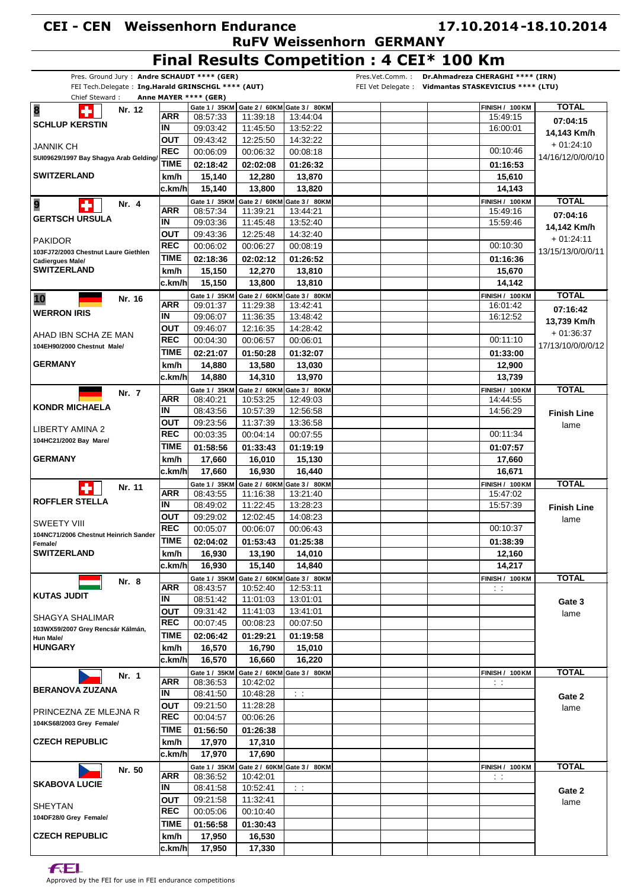### **Final Results Competition : 4 CEI\* 100 Km**

| Pres. Ground Jury: Andre SCHAUDT **** (GER)                          |             |                           |                                           |                                           | Pres.Vet.Comm.: Dr.Ahmadreza CHERAGHI **** (IRN)    |                        |                    |
|----------------------------------------------------------------------|-------------|---------------------------|-------------------------------------------|-------------------------------------------|-----------------------------------------------------|------------------------|--------------------|
| FEI Tech.Delegate: Ing.Harald GRINSCHGL **** (AUT)<br>Chief Steward: |             | Anne MAYER **** (GER)     |                                           |                                           | FEI Vet Delegate: Vidmantas STASKEVICIUS **** (LTU) |                        |                    |
|                                                                      |             |                           | Gate 1 / 35KM Gate 2 / 60KM Gate 3 / 80KM |                                           |                                                     | <b>FINISH / 100 KM</b> | <b>TOTAL</b>       |
| $\overline{\mathbf{8}}$<br>Nr. 12                                    | ARR         | 08:57:33                  | 11:39:18                                  | 13:44:04                                  |                                                     | 15:49:15               | 07:04:15           |
| <b>SCHLUP KERSTIN</b>                                                | IN          | 09:03:42                  | 11:45:50                                  | 13:52:22                                  |                                                     | 16:00:01               | 14,143 Km/h        |
|                                                                      | <b>OUT</b>  | 09:43:42                  | 12:25:50                                  | 14:32:22                                  |                                                     |                        | $+01:24:10$        |
| JANNIK CH                                                            | <b>REC</b>  | 00:06:09                  | 00:06:32                                  | 00:08:18                                  |                                                     | 00:10:46               |                    |
| SUI09629/1997 Bay Shagya Arab Gelding/                               | <b>TIME</b> | 02:18:42                  | 02:02:08                                  | 01:26:32                                  |                                                     | 01:16:53               | 14/16/12/0/0/0/10  |
| <b>SWITZERLAND</b>                                                   | km/h        | 15,140                    | 12,280                                    | 13,870                                    |                                                     | 15,610                 |                    |
|                                                                      | lc.km/hl    | 15,140                    | 13,800                                    | 13,820                                    |                                                     | 14.143                 |                    |
|                                                                      |             | Gate 1 / 35KM             |                                           | Gate 2 / 60KM Gate 3 / 80KM               |                                                     | <b>FINISH / 100 KM</b> | <b>TOTAL</b>       |
| $\overline{9}$<br>Nr. 4                                              | ARR         | 08:57:34                  | 11:39:21                                  | 13:44:21                                  |                                                     | 15:49:16               |                    |
| <b>GERTSCH URSULA</b>                                                | IN          | 09:03:36                  | 11:45:48                                  | 13:52:40                                  |                                                     | 15:59:46               | 07:04:16           |
|                                                                      | <b>OUT</b>  | 09:43:36                  | 12:25:48                                  | 14:32:40                                  |                                                     |                        | 14,142 Km/h        |
| <b>PAKIDOR</b>                                                       | <b>REC</b>  | 00:06:02                  | 00:06:27                                  | 00:08:19                                  |                                                     | 00:10:30               | $+01:24:11$        |
| 103FJ72/2003 Chestnut Laure Giethlen                                 | <b>TIME</b> |                           |                                           |                                           |                                                     |                        | 13/15/13/0/0/0/11  |
| <b>Cadiergues Male/</b><br><b>SWITZERLAND</b>                        |             | 02:18:36                  | 02:02:12                                  | 01:26:52                                  |                                                     | 01:16:36               |                    |
|                                                                      | km/h        | 15,150                    | 12,270                                    | 13,810                                    |                                                     | 15,670                 |                    |
|                                                                      | lc.km/hl    | 15,150                    | 13,800                                    | 13,810                                    |                                                     | 14,142                 |                    |
| 10<br>Nr. 16                                                         |             | Gate 1 / 35KM             |                                           | Gate 2 / 60KM Gate 3 / 80KM               |                                                     | <b>FINISH / 100 KM</b> | <b>TOTAL</b>       |
| <b>WERRON IRIS</b>                                                   | ARR<br>IN   | 09:01:37                  | 11:29:38                                  | 13:42:41                                  |                                                     | 16:01:42               | 07:16:42           |
|                                                                      |             | 09:06:07                  | 11:36:35                                  | 13:48:42                                  |                                                     | 16:12:52               | 13,739 Km/h        |
| AHAD IBN SCHA ZE MAN                                                 | <b>OUT</b>  | 09:46:07                  | 12:16:35                                  | 14:28:42                                  |                                                     |                        | $+01:36:37$        |
| 104EH90/2000 Chestnut Male/                                          | <b>REC</b>  | 00:04:30                  | 00:06:57                                  | 00:06:01                                  |                                                     | 00:11:10               | 17/13/10/0/0/0/12  |
|                                                                      | <b>TIME</b> | 02:21:07                  | 01:50:28                                  | 01:32:07                                  |                                                     | 01:33:00               |                    |
| <b>GERMANY</b>                                                       | km/h        | 14,880                    | 13,580                                    | 13,030                                    |                                                     | 12,900                 |                    |
|                                                                      | c.km/hl     | 14,880                    | 14,310                                    | 13,970                                    |                                                     | 13,739                 |                    |
| Nr. 7                                                                |             | Gate 1 / 35KM             |                                           | Gate 2 / 60KM Gate 3 / 80KM               |                                                     | <b>FINISH / 100 KM</b> | <b>TOTAL</b>       |
| <b>KONDR MICHAELA</b>                                                | <b>ARR</b>  | 08:40:21                  | 10:53:25                                  | 12:49:03                                  |                                                     | 14:44:55               |                    |
|                                                                      | ΙN          | 08:43:56                  | 10:57:39                                  | 12:56:58                                  |                                                     | 14:56:29               | <b>Finish Line</b> |
| LIBERTY AMINA 2                                                      | <b>OUT</b>  | 09:23:56                  | 11:37:39                                  | 13:36:58                                  |                                                     |                        | lame               |
| 104HC21/2002 Bay Mare/                                               | <b>REC</b>  | 00:03:35                  | 00:04:14                                  | 00:07:55                                  |                                                     | 00:11:34               |                    |
|                                                                      | <b>TIME</b> | 01:58:56                  | 01:33:43                                  | 01:19:19                                  |                                                     | 01:07:57               |                    |
| <b>GERMANY</b>                                                       | km/h        | 17,660                    | 16,010                                    | 15,130                                    |                                                     | 17,660                 |                    |
|                                                                      | c.km/h      | 17,660                    | 16,930                                    | 16,440                                    |                                                     | 16,671                 |                    |
| Nr. 11                                                               |             | Gate 1 / 35KM             |                                           | Gate 2 / 60KM Gate 3 / 80KM               |                                                     | <b>FINISH / 100 KM</b> | <b>TOTAL</b>       |
|                                                                      | <b>ARR</b>  | 08:43:55                  | 11:16:38                                  | 13:21:40                                  |                                                     | 15:47:02               |                    |
| <b>ROFFLER STELLA</b>                                                | ΙN          | 08:49:02                  | 11:22:45                                  | 13:28:23                                  |                                                     | 15:57:39               | <b>Finish Line</b> |
|                                                                      | <b>OUT</b>  | 09:29:02                  | 12:02:45                                  | 14:08:23                                  |                                                     |                        | lame               |
| <b>SWEETY VIII</b>                                                   | <b>REC</b>  | 00:05:07                  | 00:06:07                                  | 00:06:43                                  |                                                     | 00:10:37               |                    |
| 104NC71/2006 Chestnut Heinrich Sander<br>Female/                     | <b>TIME</b> | 02:04:02                  | 01:53:43                                  | 01:25:38                                  |                                                     | 01:38:39               |                    |
| <b>SWITZERLAND</b>                                                   | km/h        | 16,930                    | 13,190                                    | 14,010                                    |                                                     | 12,160                 |                    |
|                                                                      | c.km/h      | 16,930                    | 15,140                                    | 14,840                                    |                                                     | 14,217                 |                    |
|                                                                      |             |                           |                                           | Gate 1 / 35KM Gate 2 / 60KM Gate 3 / 80KM |                                                     | <b>FINISH / 100 KM</b> | <b>TOTAL</b>       |
| Nr. 8                                                                | <b>ARR</b>  | 08:43:57                  | 10:52:40                                  | 12:53:11                                  |                                                     | $\sim 10$              |                    |
| <b>KUTAS JUDIT</b>                                                   | IN          | 08:51:42                  | 11:01:03                                  | 13:01:01                                  |                                                     |                        | Gate 3             |
|                                                                      | <b>OUT</b>  | 09:31:42                  | 11:41:03                                  | 13:41:01                                  |                                                     |                        | lame               |
| SHAGYA SHALIMAR                                                      | <b>REC</b>  | 00:07:45                  | 00:08:23                                  | 00:07:50                                  |                                                     |                        |                    |
| 103WX59/2007 Grey Rencsár Kálmán,                                    | <b>TIME</b> | 02:06:42                  | 01:29:21                                  | 01:19:58                                  |                                                     |                        |                    |
| Hun Male/<br><b>HUNGARY</b>                                          | km/h        | 16,570                    | 16,790                                    | 15,010                                    |                                                     |                        |                    |
|                                                                      | c.km/h      | 16.570                    | 16,660                                    | 16,220                                    |                                                     |                        |                    |
|                                                                      |             |                           |                                           |                                           |                                                     |                        |                    |
| Nr. 1                                                                | <b>ARR</b>  | Gate 1 / 35KM<br>08:36:53 |                                           | Gate 2 / 60KM Gate 3 / 80KM               |                                                     | <b>FINISH / 100 KM</b> | <b>TOTAL</b>       |
| <b>BERANOVA ZUZANA</b>                                               | IN          | 08:41:50                  | 10:42:02<br>10:48:28                      | $\sim 10$                                 |                                                     | $\sim$ 1               |                    |
|                                                                      |             |                           |                                           |                                           |                                                     |                        | Gate 2             |
| PRINCEZNA ZE MLEJNA R                                                | <b>OUT</b>  | 09:21:50                  | 11:28:28                                  |                                           |                                                     |                        | lame               |
| 104KS68/2003 Grey Female/                                            | <b>REC</b>  | 00:04:57                  | 00:06:26                                  |                                           |                                                     |                        |                    |
|                                                                      | <b>TIME</b> | 01:56:50                  | 01:26:38                                  |                                           |                                                     |                        |                    |
| <b>CZECH REPUBLIC</b>                                                | km/h        | 17,970                    | 17,310                                    |                                           |                                                     |                        |                    |
|                                                                      | c.km/hl     | 17,970                    | 17,690                                    |                                           |                                                     |                        |                    |
| Nr. 50                                                               |             | Gate 1 / 35KM             |                                           | Gate 2 / 60KM Gate 3 / 80KM               |                                                     | <b>FINISH / 100 KM</b> | <b>TOTAL</b>       |
|                                                                      | <b>ARR</b>  | 08:36:52                  | 10:42:01                                  |                                           |                                                     | $\sim$ 1               |                    |
| <b>SKABOVA LUCIE</b>                                                 | IN          | 08:41:58                  | 10:52:41                                  | $\sim 10$                                 |                                                     |                        | Gate 2             |
|                                                                      | <b>OUT</b>  | 09:21:58                  | 11:32:41                                  |                                           |                                                     |                        | lame               |
| <b>SHEYTAN</b>                                                       | <b>REC</b>  | 00:05:06                  | 00:10:40                                  |                                           |                                                     |                        |                    |
| 104DF28/0 Grey Female/                                               | <b>TIME</b> | 01:56:58                  | 01:30:43                                  |                                           |                                                     |                        |                    |
| <b>CZECH REPUBLIC</b>                                                | km/h        | 17,950                    | 16,530                                    |                                           |                                                     |                        |                    |
|                                                                      |             |                           |                                           |                                           |                                                     |                        |                    |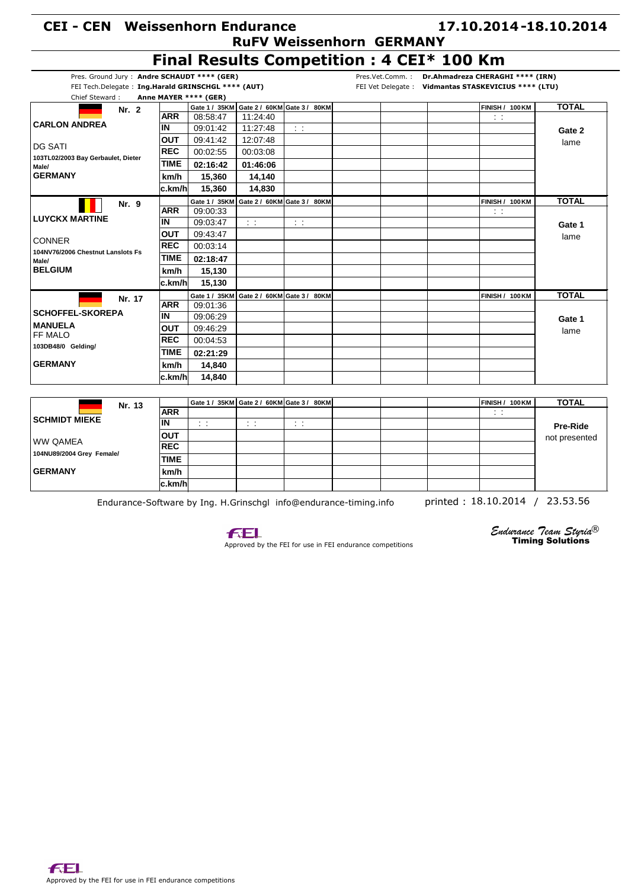### **Final Results Competition : 4 CEI\* 100 Km**

| Pres. Ground Jury: Andre SCHAUDT **** (GER)        |                       |               |                        |                                           | Pres.Vet.Comm.: | Dr.Ahmadreza CHERAGHI **** (IRN)                    |               |
|----------------------------------------------------|-----------------------|---------------|------------------------|-------------------------------------------|-----------------|-----------------------------------------------------|---------------|
| FEI Tech.Delegate: Ing.Harald GRINSCHGL **** (AUT) |                       |               |                        |                                           |                 | FEI Vet Delegate: Vidmantas STASKEVICIUS **** (LTU) |               |
| Chief Steward:                                     | Anne MAYER **** (GER) |               |                        |                                           |                 |                                                     |               |
| Nr. 2                                              |                       |               |                        | Gate 1 / 35KM Gate 2 / 60KM Gate 3 / 80KM |                 | <b>FINISH / 100 KM</b>                              | <b>TOTAL</b>  |
| <b>CARLON ANDREA</b>                               | <b>ARR</b>            | 08:58:47      | 11:24:40               |                                           |                 | $\sim$ $\sim$                                       |               |
|                                                    | IN                    | 09:01:42      | 11:27:48               | $\sim 10$                                 |                 |                                                     | Gate 2        |
| <b>DG SATI</b>                                     | lout                  | 09:41:42      | 12:07:48               |                                           |                 |                                                     | lame          |
| 103TL02/2003 Bay Gerbaulet, Dieter                 | <b>REC</b>            | 00:02:55      | 00:03:08               |                                           |                 |                                                     |               |
| Male/                                              | <b>TIME</b>           | 02:16:42      | 01:46:06               |                                           |                 |                                                     |               |
| <b>GERMANY</b>                                     | km/h                  | 15,360        | 14,140                 |                                           |                 |                                                     |               |
|                                                    | lc.km/hl              | 15,360        | 14.830                 |                                           |                 |                                                     |               |
| Nr. 9                                              |                       | Gate 1 / 35KM | Gate 2 / 60KM Gate 3 / | <b>80KM</b>                               |                 | <b>FINISH / 100 KM</b>                              | <b>TOTAL</b>  |
|                                                    | <b>ARR</b>            | 09:00:33      |                        |                                           |                 | $\sim$ $\sim$                                       |               |
| <b>LUYCKX MARTINE</b>                              | İΝ                    | 09:03:47      | $\sim 10$              | $\sim 10$                                 |                 |                                                     | Gate 1        |
| <b>CONNER</b>                                      | lout                  | 09:43:47      |                        |                                           |                 |                                                     | lame          |
|                                                    | <b>REC</b>            | 00:03:14      |                        |                                           |                 |                                                     |               |
| 104NV76/2006 Chestnut Lanslots Fs<br>Male/         | <b>TIME</b>           | 02:18:47      |                        |                                           |                 |                                                     |               |
| <b>BELGIUM</b>                                     | km/h                  | 15,130        |                        |                                           |                 |                                                     |               |
|                                                    | lc.km/hl              | 15,130        |                        |                                           |                 |                                                     |               |
|                                                    |                       |               |                        | Gate 1 / 35KM Gate 2 / 60KM Gate 3 / 80KM |                 | <b>FINISH / 100 KM</b>                              | <b>TOTAL</b>  |
| Nr. 17                                             | <b>ARR</b>            | 09:01:36      |                        |                                           |                 |                                                     |               |
| <b>SCHOFFEL-SKOREPA</b>                            | <b>IN</b>             | 09:06:29      |                        |                                           |                 |                                                     | Gate 1        |
| <b>MANUELA</b>                                     | lout                  | 09:46:29      |                        |                                           |                 |                                                     | lame          |
| FF MALO                                            | <b>REC</b>            | 00:04:53      |                        |                                           |                 |                                                     |               |
| 103DB48/0 Gelding/                                 | <b>TIME</b>           | 02:21:29      |                        |                                           |                 |                                                     |               |
| <b>GERMANY</b>                                     | km/h                  | 14,840        |                        |                                           |                 |                                                     |               |
|                                                    | lc.km/hl              | 14,840        |                        |                                           |                 |                                                     |               |
|                                                    |                       |               |                        |                                           |                 |                                                     |               |
|                                                    |                       |               |                        | Gate 1 / 35KM Gate 2 / 60KM Gate 3 / 80KM |                 | FINISH / 100 KM                                     | <b>TOTAL</b>  |
| Nr. 13                                             | <b>ARR</b>            |               |                        |                                           |                 | $\sim 10$                                           |               |
| <b>SCHMIDT MIEKE</b>                               | <b>IN</b>             | $\sim 10$     | $\sim 10$              | $\sim 10$                                 |                 |                                                     | Pre-Ride      |
|                                                    | lout                  |               |                        |                                           |                 |                                                     |               |
| <b>WW OAMEA</b>                                    | <b>REC</b>            |               |                        |                                           |                 |                                                     | not presented |
| 104NU89/2004 Grey Female/                          | <b>TIME</b>           |               |                        |                                           |                 |                                                     |               |
| <b>GERMANY</b>                                     |                       |               |                        |                                           |                 |                                                     |               |
|                                                    | km/h                  |               |                        |                                           |                 |                                                     |               |

Endurance-Software by Ing. H.Grinschgl info@endurance-timing.info printed : 18.10.2014 / 23.53.56

**c.km/h**



Approved by the FEI for use in FEI endurance competitions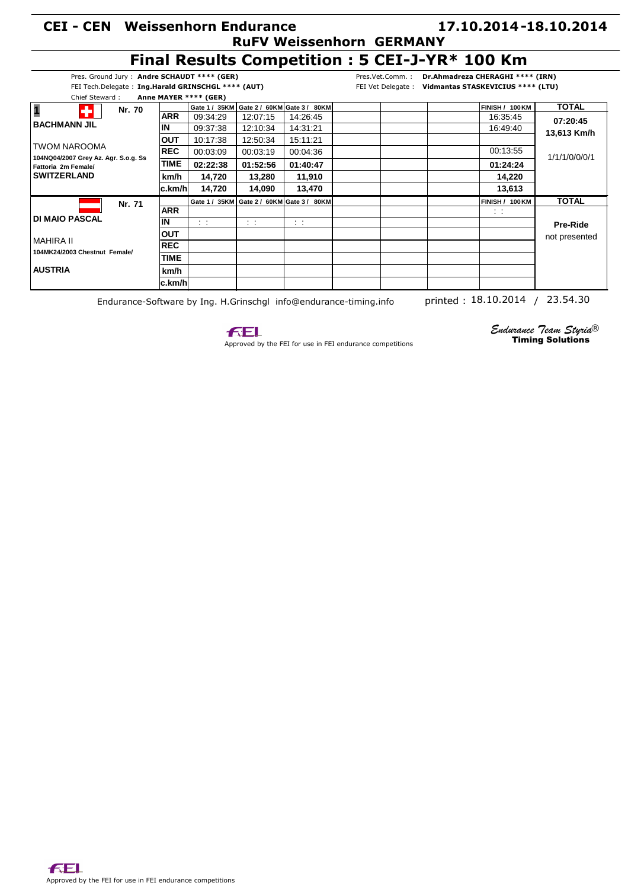### **Final Results Competition : 5 CEI-J-YR\* 100 Km**

| Pres. Ground Jury: Andre SCHAUDT **** (GER)          |             |                       |                                 |                                               | Pres.Vet.Comm.:<br>Dr.Ahmadreza CHERAGHI **** (IRN) |                 |                 |  |  |
|------------------------------------------------------|-------------|-----------------------|---------------------------------|-----------------------------------------------|-----------------------------------------------------|-----------------|-----------------|--|--|
| FEI Tech.Delegate: Ing.Harald GRINSCHGL **** (AUT)   |             |                       |                                 |                                               | FEI Vet Delegate: Vidmantas STASKEVICIUS **** (LTU) |                 |                 |  |  |
| Chief Steward:                                       |             | Anne MAYER **** (GER) |                                 |                                               |                                                     |                 |                 |  |  |
| $\overline{\mathbf{1}}$<br>Nr. 70                    |             |                       |                                 | Gate 1 / 35KM   Gate 2 / 60KM   Gate 3 / 80KM |                                                     | FINISH / 100 KM | <b>TOTAL</b>    |  |  |
|                                                      | <b>ARR</b>  | 09:34:29              | 12:07:15                        | 14:26:45                                      |                                                     | 16:35:45        | 07:20:45        |  |  |
| <b>BACHMANN JIL</b>                                  | İΝ          | 09:37:38              | 12:10:34                        | 14:31:21                                      |                                                     | 16:49:40        | 13,613 Km/h     |  |  |
|                                                      | <b>OUT</b>  | 10:17:38              | 12:50:34                        | 15:11:21                                      |                                                     |                 |                 |  |  |
| TWOM NAROOMA<br>104NQ04/2007 Grey Az. Agr. S.o.g. Ss | <b>REC</b>  | 00:03:09              | 00:03:19                        | 00:04:36                                      |                                                     | 00:13:55        | 1/1/1/0/0/0/1   |  |  |
| Fattoria 2m Female/                                  | TIME        | 02:22:38              | 01:52:56                        | 01:40:47                                      |                                                     | 01:24:24        |                 |  |  |
| <b>SWITZERLAND</b>                                   | km/h        | 14,720                | 13,280                          | 11,910                                        |                                                     | 14,220          |                 |  |  |
|                                                      | lc.km/hl    | 14,720                | 14,090                          | 13,470                                        |                                                     | 13,613          |                 |  |  |
| Nr. 71                                               |             |                       |                                 | Gate 1 / 35KM Gate 2 / 60KM Gate 3 / 80KM     |                                                     | FINISH / 100 KM | <b>TOTAL</b>    |  |  |
|                                                      | <b>ARR</b>  |                       |                                 |                                               |                                                     | $\sim$ $\sim$   |                 |  |  |
| <b>DI MAIO PASCAL</b>                                | IN          | $\sim$ 1              | $\sim$ $ \sim$<br>$\sim$ $\sim$ | $\sim$<br>$\sim$ $-$                          |                                                     |                 | <b>Pre-Ride</b> |  |  |
|                                                      | <b>OUT</b>  |                       |                                 |                                               |                                                     |                 | not presented   |  |  |
| <b>MAHIRA II</b><br>104MK24/2003 Chestnut Female/    | <b>REC</b>  |                       |                                 |                                               |                                                     |                 |                 |  |  |
|                                                      | <b>TIME</b> |                       |                                 |                                               |                                                     |                 |                 |  |  |
| <b>AUSTRIA</b>                                       | km/h        |                       |                                 |                                               |                                                     |                 |                 |  |  |
|                                                      | ∣c.km/hl    |                       |                                 |                                               |                                                     |                 |                 |  |  |

Endurance-Software by Ing. H.Grinschgl info@endurance-timing.info printed : 18.10.2014 / 23.54.30

**FEL** 

Approved by the FEI for use in FEI endurance competitions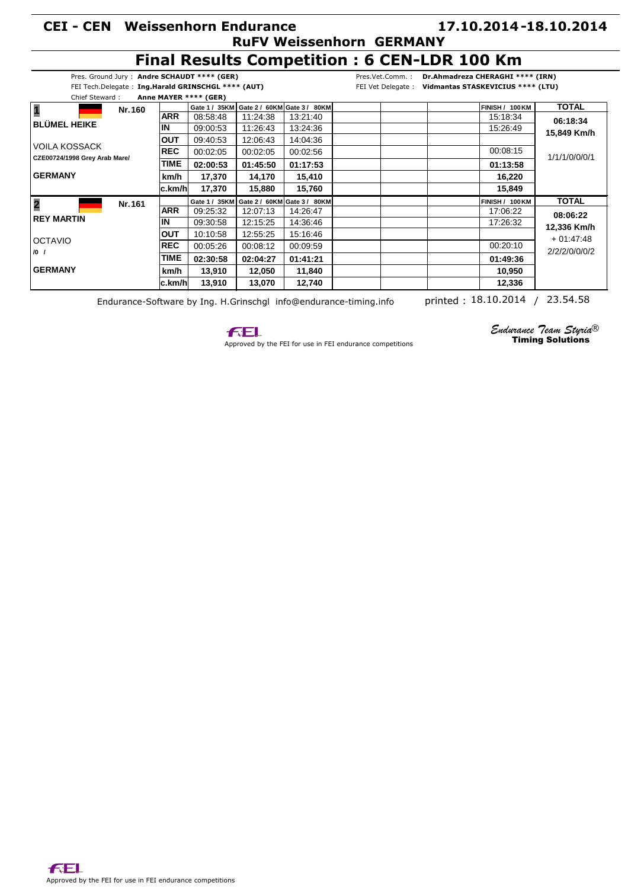### **Final Results Competition : 6 CEN-LDR 100 Km**

| Pres. Ground Jury: Andre SCHAUDT **** (GER)        |         |             |                       |          |                                               | Pres.Vet.Comm.: | Dr.Ahmadreza CHERAGHI **** (IRN)                    |               |
|----------------------------------------------------|---------|-------------|-----------------------|----------|-----------------------------------------------|-----------------|-----------------------------------------------------|---------------|
| FEI Tech.Delegate: Ing.Harald GRINSCHGL **** (AUT) |         |             |                       |          |                                               |                 | FEI Vet Delegate: Vidmantas STASKEVICIUS **** (LTU) |               |
| Chief Steward:                                     |         |             | Anne MAYER **** (GER) |          |                                               |                 |                                                     |               |
| $\overline{\mathbf{1}}$                            | Nr. 160 |             |                       |          | Gate 1 / 35KM   Gate 2 / 60KM   Gate 3 / 80KM |                 | FINISH / 100 KM                                     | TOTAL         |
|                                                    |         | <b>ARR</b>  | 08:58:48              | 11:24:38 | 13:21:40                                      |                 | 15:18:34                                            | 06:18:34      |
| <b>BLÜMEL HEIKE</b>                                |         | IN          | 09:00:53              | 11:26:43 | 13:24:36                                      |                 | 15:26:49                                            | 15,849 Km/h   |
|                                                    |         | Ιουτ        | 09:40:53              | 12:06:43 | 14:04:36                                      |                 |                                                     |               |
| <b>VOILA KOSSACK</b>                               |         | <b>REC</b>  | 00:02:05              | 00:02:05 | 00:02:56                                      |                 | 00:08:15                                            | 1/1/1/0/0/0/1 |
| CZE00724/1998 Grey Arab Mare/                      |         | <b>TIME</b> | 02:00:53              | 01:45:50 | 01:17:53                                      |                 | 01:13:58                                            |               |
| <b>GERMANY</b>                                     |         | km/h        | 17,370                | 14,170   | 15,410                                        |                 | 16,220                                              |               |
|                                                    |         | lc.km/hl    | 17,370                | 15,880   | 15,760                                        |                 | 15,849                                              |               |
| $\overline{\mathbf{2}}$                            | Nr. 161 |             |                       |          | Gate 1 / 35KM   Gate 2 / 60KM   Gate 3 / 80KM |                 | FINISH / 100 KM                                     | <b>TOTAL</b>  |
|                                                    |         | <b>ARR</b>  | 09:25:32              | 12:07:13 | 14:26:47                                      |                 | 17:06:22                                            | 08:06:22      |
| <b>REY MARTIN</b>                                  |         | IN          | 09:30:58              | 12:15:25 | 14:36:46                                      |                 | 17:26:32                                            | 12,336 Km/h   |
|                                                    |         | <b>OUT</b>  | 10:10:58              | 12:55:25 | 15:16:46                                      |                 |                                                     | $+01:47:48$   |
| <b>IOCTAVIO</b><br>10 <sub>1</sub>                 |         | <b>REC</b>  | 00:05:26              | 00:08:12 | 00:09:59                                      |                 | 00:20:10                                            | 2/2/2/0/0/0/2 |
|                                                    |         | TIME        | 02:30:58              | 02:04:27 | 01:41:21                                      |                 | 01:49:36                                            |               |
| <b>GERMANY</b>                                     |         | km/h        | 13,910                | 12,050   | 11,840                                        |                 | 10,950                                              |               |
|                                                    |         | c.km/hl     | 13,910                | 13,070   | 12,740                                        |                 | 12,336                                              |               |

Endurance-Software by Ing. H.Grinschgl info@endurance-timing.info printed : 18.10.2014 / 23.54.58

**FEL** 

Approved by the FEI for use in FEI endurance competitions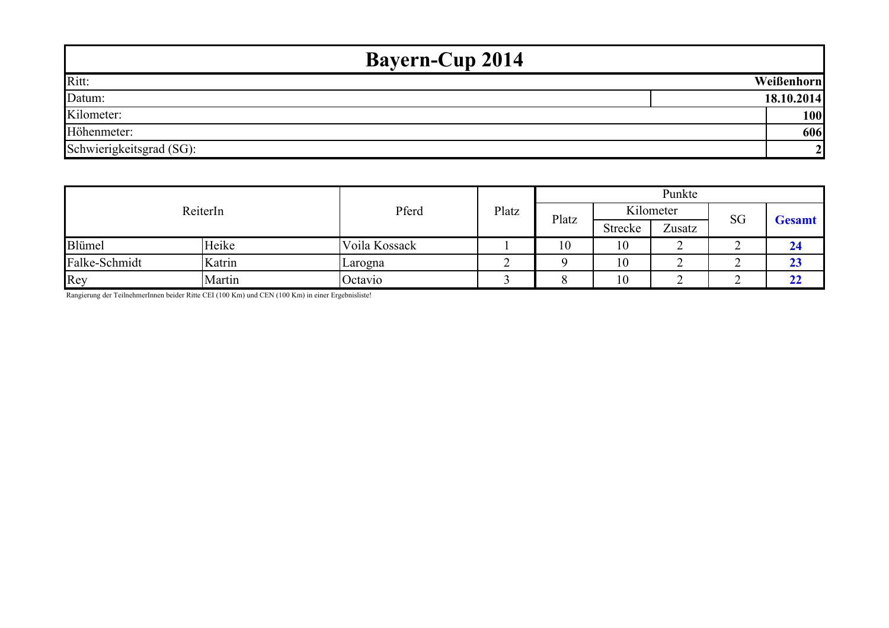| <b>Bayern-Cup 2014</b>   |                |
|--------------------------|----------------|
| Ritt:                    | Weißenhorn     |
| Datum:                   | 18.10.2014     |
| Kilometer:               | 100            |
| Höhenmeter:              | 606            |
| Schwierigkeitsgrad (SG): | $\overline{2}$ |

| ReiterIn      |        |               |       | Punkte |                   |  |           |               |  |
|---------------|--------|---------------|-------|--------|-------------------|--|-----------|---------------|--|
|               |        | Pferd         | Platz | Platz  | Kilometer         |  | <b>SG</b> |               |  |
|               |        |               |       |        | Zusatz<br>Strecke |  |           | <b>Gesamt</b> |  |
| <b>Blümel</b> | Heike  | Voila Kossack |       | 10     | 10                |  |           | <u>24</u>     |  |
| Falke-Schmidt | Katrin | Larogna       |       |        | 10                |  |           | 23            |  |
| Rey           | Martin | Octavio       |       |        | 10                |  |           | 22            |  |

Rangierung der TeilnehmerInnen beider Ritte CEI (100 Km) und CEN (100 Km) in einer Ergebnisliste!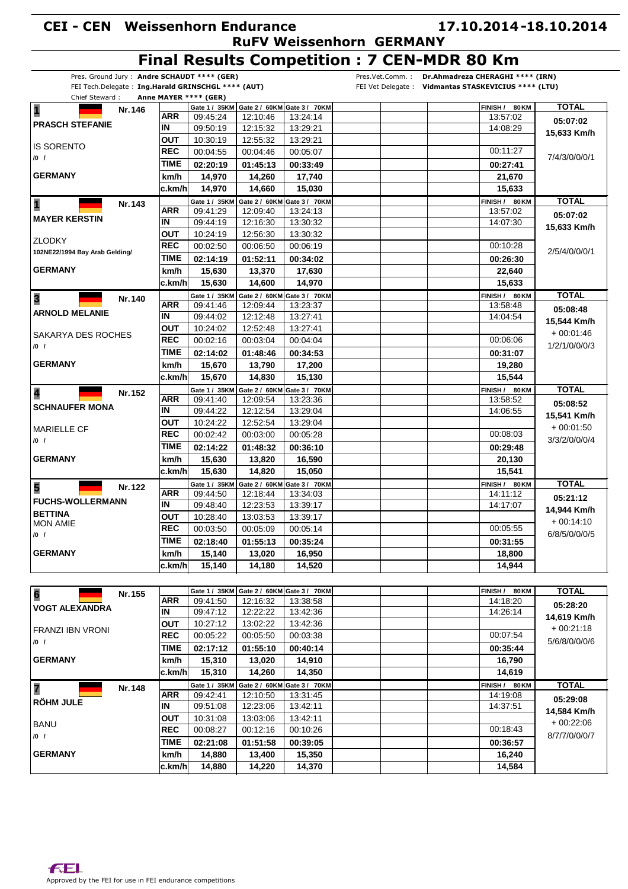### **Final Results Competition : 7 CEN-MDR 80 Km**

| Pres. Ground Jury: Andre SCHAUDT **** (GER)        |                          |                           |                      |                                                       | Pres.Vet.Comm.: Dr.Ahmadreza CHERAGHI **** (IRN)    |               |
|----------------------------------------------------|--------------------------|---------------------------|----------------------|-------------------------------------------------------|-----------------------------------------------------|---------------|
| FEI Tech.Delegate: Ing.Harald GRINSCHGL **** (AUT) |                          |                           |                      |                                                       | FEI Vet Delegate: Vidmantas STASKEVICIUS **** (LTU) |               |
| Chief Steward:                                     |                          | Anne MAYER **** (GER)     |                      |                                                       |                                                     |               |
| $\overline{\mathbf{1}}$<br>Nr. 146                 | ARR                      |                           |                      | Gate 1 / 35KM Gate 2 / 60KM Gate 3 / 70KM<br>13:24:14 | FINISH / 80 KM<br>13:57:02                          | <b>TOTAL</b>  |
| <b>PRASCH STEFANIE</b>                             | IN                       | 09:45:24<br>09:50:19      | 12:10:46<br>12:15:32 | 13:29:21                                              | 14:08:29                                            | 05:07:02      |
|                                                    |                          | 10:30:19                  | 12:55:32             |                                                       |                                                     | 15,633 Km/h   |
| <b>IS SORENTO</b>                                  | <b>OUT</b><br><b>REC</b> | 00:04:55                  |                      | 13:29:21                                              | 00:11:27                                            |               |
| $\frac{1}{0}$                                      |                          |                           | 00:04:46             | 00:05:07                                              |                                                     | 7/4/3/0/0/0/1 |
|                                                    | <b>TIME</b>              | 02:20:19                  | 01:45:13             | 00:33:49                                              | 00:27:41                                            |               |
| <b>GERMANY</b>                                     | km/h                     | 14,970                    | 14,260               | 17,740                                                | 21,670                                              |               |
|                                                    | c.km/h                   | 14,970                    | 14,660               | 15,030                                                | 15,633                                              |               |
| $\overline{\mathbf{1}}$<br>Nr.143                  | <b>ARR</b>               | Gate 1 / 35KM             |                      | Gate 2 / 60KM Gate 3 / 70KM                           | FINISH / 80 KM                                      | <b>TOTAL</b>  |
| <b>MAYER KERSTIN</b>                               | ΙN                       | 09:41:29                  | 12:09:40             | 13:24:13                                              | 13:57:02                                            | 05:07:02      |
|                                                    |                          | 09:44:19                  | 12:16:30             | 13:30:32                                              | 14:07:30                                            | 15,633 Km/h   |
| <b>IZLODKY</b>                                     | <b>OUT</b><br><b>REC</b> | 10:24:19                  | 12:56:30             | 13:30:32                                              | 00:10:28                                            |               |
| 102NE22/1994 Bay Arab Gelding/                     |                          | 00:02:50                  | 00:06:50             | 00:06:19                                              |                                                     | 2/5/4/0/0/0/1 |
|                                                    | <b>TIME</b>              | 02:14:19                  | 01:52:11             | 00:34:02                                              | 00:26:30                                            |               |
| <b>GERMANY</b>                                     | km/h                     | 15,630                    | 13,370               | 17,630                                                | 22,640                                              |               |
|                                                    | c.km/h                   | 15,630                    | 14.600               | 14,970                                                | 15,633                                              |               |
| 3<br>Nr. 140                                       | <b>ARR</b>               | Gate 1 / 35KM             |                      | Gate 2 / 60KM Gate 3 / 70KM<br>13:23:37               | FINISH / 80 KM                                      | <b>TOTAL</b>  |
| <b>ARNOLD MELANIE</b>                              | ΙN                       | 09:41:46<br>09:44:02      | 12:09:44<br>12:12:48 | 13:27:41                                              | 13:58:48<br>14:04:54                                | 05:08:48      |
|                                                    | OUT                      | 10:24:02                  | 12:52:48             | 13:27:41                                              |                                                     | 15,544 Km/h   |
| SAKARYA DES ROCHES                                 | <b>REC</b>               | 00:02:16                  | 00:03:04             | 00:04:04                                              | 00:06:06                                            | $+00.01.46$   |
| $\frac{1}{0}$                                      | <b>TIME</b>              | 02:14:02                  |                      |                                                       |                                                     | 1/2/1/0/0/0/3 |
| <b>GERMANY</b>                                     |                          |                           | 01:48:46             | 00:34:53                                              | 00:31:07                                            |               |
|                                                    | km/h                     | 15,670                    | 13,790<br>14,830     | 17,200                                                | 19,280                                              |               |
|                                                    | c.km/hl                  | 15,670                    |                      | 15,130                                                | 15,544                                              |               |
| $\overline{\mathbf{4}}$<br>Nr. 152                 | <b>ARR</b>               | Gate 1 / 35KM<br>09:41:40 | 12:09:54             | Gate 2 / 60KM Gate 3 / 70KM<br>13:23:36               | FINISH / 80 KM<br>13:58:52                          | <b>TOTAL</b>  |
| <b>SCHNAUFER MONA</b>                              | IN                       | 09:44:22                  | 12:12:54             | 13:29:04                                              | 14:06:55                                            | 05:08:52      |
|                                                    | <b>OUT</b>               | 10:24:22                  | 12:52:54             | 13:29:04                                              |                                                     | 15,541 Km/h   |
| MARIELLE CF                                        | <b>REC</b>               | 00:02:42                  | 00:03:00             | 00:05:28                                              | 00:08:03                                            | $+00:01:50$   |
| 101                                                | <b>TIME</b>              | 02:14:22                  | 01:48:32             | 00:36:10                                              | 00:29:48                                            | 3/3/2/0/0/0/4 |
| <b>GERMANY</b>                                     | km/h                     | 15,630                    | 13,820               | 16,590                                                | 20,130                                              |               |
|                                                    | c.km/hl                  | 15,630                    | 14,820               | 15,050                                                | 15,541                                              |               |
|                                                    |                          | Gate 1 / 35KM             |                      | Gate 2 / 60KM Gate 3 / 70KM                           | FINISH / 80 KM                                      | <b>TOTAL</b>  |
| 5<br>Nr. 122                                       | ARR                      | 09:44:50                  | 12:18:44             | 13:34:03                                              | 14:11:12                                            |               |
| <b>FUCHS-WOLLERMANN</b>                            | IN                       | 09:48:40                  | 12:23:53             | 13:39:17                                              | 14:17:07                                            | 05:21:12      |
| <b>BETTINA</b>                                     | <b>OUT</b>               | 10:28:40                  | 13:03:53             | 13:39:17                                              |                                                     | 14,944 Km/h   |
| <b>MON AMIE</b>                                    | <b>REC</b>               | 00:03:50                  | 00:05:09             | 00:05:14                                              | 00:05:55                                            | $+00.14.10$   |
| $\frac{1}{0}$                                      | TIME                     | 02:18:40                  | 01:55:13             | 00:35:24                                              | 00:31:55                                            | 6/8/5/0/0/0/5 |
| <b>GERMANY</b>                                     | km/h                     | 15,140                    | 13,020               | 16,950                                                | 18,800                                              |               |
|                                                    | c.km/h                   | 15,140                    | 14,180               | 14,520                                                | 14,944                                              |               |
|                                                    |                          |                           |                      |                                                       |                                                     |               |
|                                                    |                          | Gate 1 / 35KM             |                      | Gate 2 / 60KM Gate 3 / 70KM                           | FINISH / 80 KM                                      | <b>TOTAL</b>  |
| $6\phantom{a}$<br>Nr. 155                          | <b>ARR</b>               | 09:41:50                  | 12:16:32             | 13:38:58                                              | 14:18:20                                            |               |
| <b>VOGT ALEXANDRA</b>                              | IN                       | 09:47:12                  | 12:22:22             | 13:42:36                                              | 14:26:14                                            | 05:28:20      |
|                                                    | ΟUΤ                      | 10:27:12                  | 13:02:22             | 13:42:36                                              |                                                     | 14,619 Km/h   |
| FRANZI IBN VRONI                                   | <b>REC</b>               | 00:05:22                  | 00:05:50             | 00:03:38                                              | 00:07:54                                            | $+00:21:18$   |
| $\frac{1}{0}$                                      | <b>TIME</b>              | 02:17:12                  | 01:55:10             | 00:40:14                                              | 00:35:44                                            | 5/6/8/0/0/0/6 |
| <b>GERMANY</b>                                     | km/h                     | 15,310                    | 13,020               | 14,910                                                | 16,790                                              |               |
|                                                    | c.km/h                   | 15,310                    | 14,260               | 14,350                                                | 14,619                                              |               |
|                                                    |                          | Gate 1 / 35KM             |                      | Gate 2 / 60KM Gate 3 / 70KM                           | FINISH / 80 KM                                      | <b>TOTAL</b>  |
| $\overline{7}$<br>Nr.148                           | <b>ARR</b>               | 09:42:41                  | 12:10:50             | 13:31:45                                              | 14:19:08                                            |               |
| <b>RÖHM JULE</b>                                   | IN                       | 09:51:08                  | 12:23:06             | 13:42:11                                              | 14:37:51                                            | 05:29:08      |
|                                                    | OUT                      | 10:31:08                  | 13:03:06             | 13:42:11                                              |                                                     | 14,584 Km/h   |
| BANU                                               | <b>REC</b>               | 00:08:27                  | 00:12:16             | 00:10:26                                              | 00:18:43                                            | $+00:22:06$   |
| $\frac{1}{0}$                                      | <b>TIME</b>              | 02:21:08                  | 01:51:58             | 00:39:05                                              | 00:36:57                                            | 8/7/7/0/0/0/7 |
| <b>GERMANY</b>                                     | km/h                     | 14,880                    | 13,400               | 15,350                                                | 16,240                                              |               |
|                                                    | c.km/h                   | 14,880                    | 14,220               | 14,370                                                | 14,584                                              |               |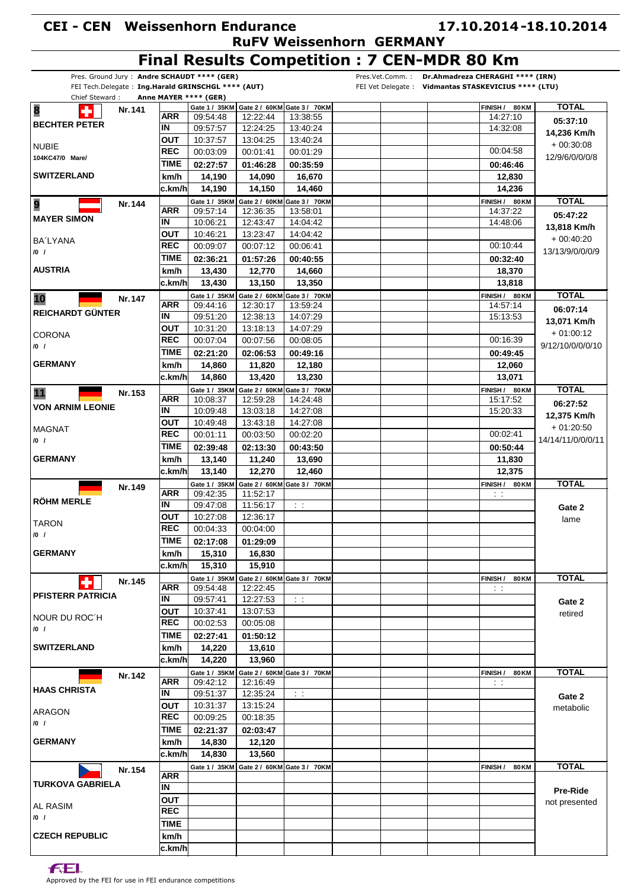## **Final Results Competition : 7 CEN-MDR 80 Km**

|                                                           |         |                  | FEI Tech.Delegate: Ing.Harald GRINSCHGL **** (AUT) |          |                                           | FEI Vet Delegate: Vidmantas STASKEVICIUS **** (LTU) |                   |
|-----------------------------------------------------------|---------|------------------|----------------------------------------------------|----------|-------------------------------------------|-----------------------------------------------------|-------------------|
| Chief Steward:                                            |         |                  | Anne MAYER **** (GER)                              |          |                                           |                                                     |                   |
| 8                                                         | Nr. 141 |                  |                                                    |          | Gate 1 / 35KM Gate 2 / 60KM Gate 3 / 70KM | FINISH / 80 KM                                      | <b>TOTAL</b>      |
| <b>BECHTER PETER</b>                                      |         | ARR              | 09:54:48                                           | 12:22:44 | 13:38:55                                  | 14:27:10                                            | 05:37:10          |
|                                                           |         | İΝ               | 09:57:57                                           | 12:24:25 | 13:40:24                                  | 14:32:08                                            | 14,236 Km/h       |
| <b>NUBIE</b>                                              |         | <b>OUT</b>       | 10:37:57                                           | 13:04:25 | 13:40:24                                  |                                                     | $+00:30:08$       |
| 104KC47/0 Mare/                                           |         | <b>REC</b>       | 00:03:09                                           | 00:01:41 | 00:01:29                                  | 00:04:58                                            | 12/9/6/0/0/0/8    |
|                                                           |         | <b>TIME</b>      | 02:27:57                                           | 01:46:28 | 00:35:59                                  | 00:46:46                                            |                   |
| <b>SWITZERLAND</b>                                        |         | km/h             | 14,190                                             | 14,090   | 16,670                                    | 12,830                                              |                   |
|                                                           |         | c.km/hl          | 14,190                                             | 14,150   | 14,460                                    | 14,236                                              |                   |
| 9                                                         | Nr. 144 |                  | Gate 1 / 35KM                                      |          | Gate 2 / 60KM Gate 3 / 70KM               | FINISH / 80 KM                                      | <b>TOTAL</b>      |
|                                                           |         | <b>ARR</b>       | 09:57:14                                           | 12:36:35 | 13:58:01                                  | 14:37:22                                            | 05:47:22          |
| <b>MAYER SIMON</b>                                        |         | IN               | 10:06:21                                           | 12:43:47 | 14:04:42                                  | 14:48:06                                            |                   |
|                                                           |         | <b>OUT</b>       | 10:46:21                                           | 13:23:47 | 14:04:42                                  |                                                     | 13,818 Km/h       |
| <b>BA</b> LYANA                                           |         | <b>REC</b>       | 00:09:07                                           | 00:07:12 | 00:06:41                                  | 00:10:44                                            | $+00:40:20$       |
| $/0$ /                                                    |         | <b>TIME</b>      | 02:36:21                                           | 01:57:26 | 00:40:55                                  | 00:32:40                                            | 13/13/9/0/0/0/9   |
| <b>AUSTRIA</b>                                            |         | km/h             | 13,430                                             | 12,770   | 14,660                                    | 18,370                                              |                   |
|                                                           |         | c.km/hl          | 13,430                                             | 13,150   | 13,350                                    | 13,818                                              |                   |
|                                                           |         |                  | Gate 1 / 35KM                                      |          |                                           |                                                     | <b>TOTAL</b>      |
| 10                                                        | Nr. 147 | <b>ARR</b>       | 09:44:16                                           | 12:30:17 | Gate 2 / 60KM Gate 3 / 70KM<br>13:59:24   | FINISH / 80 KM<br>14:57:14                          |                   |
| <b>REICHARDT GÜNTER</b>                                   |         | IN               | 09:51:20                                           | 12:38:13 | 14:07:29                                  | 15:13:53                                            | 06:07:14          |
|                                                           |         | <b>OUT</b>       | 10:31:20                                           | 13:18:13 | 14:07:29                                  |                                                     | 13,071 Km/h       |
| <b>CORONA</b>                                             |         | <b>REC</b>       | 00:07:04                                           | 00:07:56 | 00:08:05                                  | 00:16:39                                            | $+01:00:12$       |
| $/0$ /                                                    |         | <b>TIME</b>      |                                                    |          |                                           | 00:49:45                                            | 9/12/10/0/0/0/10  |
| <b>GERMANY</b>                                            |         |                  | 02:21:20                                           | 02:06:53 | 00:49:16                                  |                                                     |                   |
|                                                           |         | km/h             | 14,860                                             | 11,820   | 12,180                                    | 12,060                                              |                   |
|                                                           |         | c.km/h           | 14,860                                             | 13,420   | 13,230                                    | 13,071                                              |                   |
| 11                                                        | Nr. 153 | <b>ARR</b>       |                                                    |          | Gate 1 / 35KM Gate 2 / 60KM Gate 3 / 70KM | FINISH / 80 KM                                      | <b>TOTAL</b>      |
| <b>VON ARNIM LEONIE</b>                                   |         | IN               | 10:08:37                                           | 12:59:28 | 14:24:48                                  | 15:17:52                                            | 06:27:52          |
|                                                           |         |                  | 10:09:48                                           | 13:03:18 | 14:27:08                                  | 15:20:33                                            | 12,375 Km/h       |
| <b>MAGNAT</b>                                             |         | OUT              | 10:49:48                                           | 13:43:18 | 14:27:08                                  |                                                     | $+01:20:50$       |
| 10 <sub>1</sub>                                           |         | <b>REC</b>       | 00:01:11                                           | 00:03:50 | 00:02:20                                  | 00:02:41                                            | 14/14/11/0/0/0/11 |
|                                                           |         | <b>TIME</b>      | 02:39:48                                           | 02:13:30 | 00:43:50                                  | 00:50:44                                            |                   |
| <b>GERMANY</b>                                            |         | km/h             | 13,140                                             | 11,240   | 13,690                                    | 11,830                                              |                   |
|                                                           |         | c.km/h           | 13,140                                             | 12,270   | 12,460                                    | 12,375                                              |                   |
|                                                           | Nr. 149 |                  | Gate 1 / 35KM                                      |          | Gate 2 / 60KM Gate 3 / 70KM               | FINISH / 80 KM                                      | <b>TOTAL</b>      |
| <b>RÖHM MERLE</b>                                         |         | <b>ARR</b>       | 09:42:35                                           | 11:52:17 |                                           | $\sim$ $\sim$                                       |                   |
|                                                           |         |                  |                                                    |          |                                           |                                                     |                   |
|                                                           |         | ΙN               | 09:47:08                                           | 11:56:17 | $\sim 10$                                 |                                                     | Gate 2            |
|                                                           |         | OUT              | 10:27:08                                           | 12:36:17 |                                           |                                                     | lame              |
|                                                           |         | <b>REC</b>       | 00:04:33                                           | 00:04:00 |                                           |                                                     |                   |
| $/0$ /                                                    |         | <b>TIME</b>      | 02:17:08                                           | 01:29:09 |                                           |                                                     |                   |
| <b>GERMANY</b>                                            |         | km/h             | 15,310                                             | 16,830   |                                           |                                                     |                   |
|                                                           |         | lc.km/hl         | 15,310                                             | 15,910   |                                           |                                                     |                   |
|                                                           |         |                  | Gate 1 / 35KM                                      |          | Gate 2 / 60KM Gate 3 / 70KM               | FINISH / 80 KM                                      | <b>TOTAL</b>      |
|                                                           | Nr. 145 | ARR              | 09:54:48                                           | 12:22:45 |                                           | $\sim$                                              |                   |
| <b>PFISTERR PATRICIA</b>                                  |         | IN               | 09:57:41                                           | 12:27:53 | $\sim 1$                                  |                                                     |                   |
|                                                           |         | OUT              | 10:37:41                                           | 13:07:53 |                                           |                                                     | Gate 2            |
| NOUR DU ROC'H                                             |         | <b>REC</b>       | 00:02:53                                           | 00:05:08 |                                           |                                                     | retired           |
| 10 <sub>1</sub>                                           |         | TIME             |                                                    |          |                                           |                                                     |                   |
| <b>SWITZERLAND</b>                                        |         |                  | 02:27:41                                           | 01:50:12 |                                           |                                                     |                   |
|                                                           |         | km/h             | 14,220                                             | 13,610   |                                           |                                                     |                   |
|                                                           |         | c.km/h           | 14,220                                             | 13,960   |                                           |                                                     |                   |
|                                                           | Nr. 142 |                  | Gate 1 / 35KM                                      |          | Gate 2 / 60KM Gate 3 / 70KM               | FINISH / 80 KM                                      | <b>TOTAL</b>      |
|                                                           |         | <b>ARR</b><br>IN | 09:42:12                                           | 12:16:49 |                                           | $\sim 1$                                            |                   |
|                                                           |         |                  | 09:51:37                                           | 12:35:24 | $\sim 10$                                 |                                                     | Gate 2            |
|                                                           |         | ΟUΤ              | 10:31:37                                           | 13:15:24 |                                           |                                                     | metabolic         |
|                                                           |         | <b>REC</b>       | 00:09:25                                           | 00:18:35 |                                           |                                                     |                   |
|                                                           |         | <b>TIME</b>      | 02:21:37                                           | 02:03:47 |                                           |                                                     |                   |
|                                                           |         | km/h             | 14,830                                             | 12,120   |                                           |                                                     |                   |
|                                                           |         | c.km/h           | 14,830                                             | 13,560   |                                           |                                                     |                   |
| <b>HAAS CHRISTA</b><br>$/0$ /<br><b>GERMANY</b>           | Nr. 154 |                  |                                                    |          | Gate 1 / 35KM Gate 2 / 60KM Gate 3 / 70KM | FINISH / 80 KM                                      | <b>TOTAL</b>      |
|                                                           |         | <b>ARR</b>       |                                                    |          |                                           |                                                     |                   |
| <b>TURKOVA GABRIELA</b>                                   |         | IN               |                                                    |          |                                           |                                                     | <b>Pre-Ride</b>   |
|                                                           |         | OUT              |                                                    |          |                                           |                                                     | not presented     |
| <b>AL RASIM</b>                                           |         | <b>REC</b>       |                                                    |          |                                           |                                                     |                   |
|                                                           |         | <b>TIME</b>      |                                                    |          |                                           |                                                     |                   |
| <b>TARON</b><br>ARAGON<br>$10-1$<br><b>CZECH REPUBLIC</b> |         | km/h             |                                                    |          |                                           |                                                     |                   |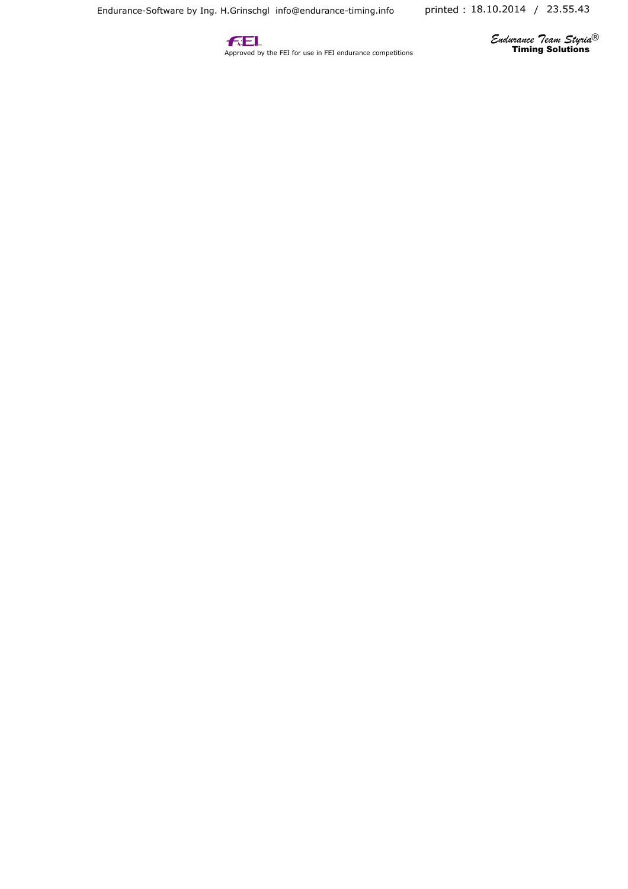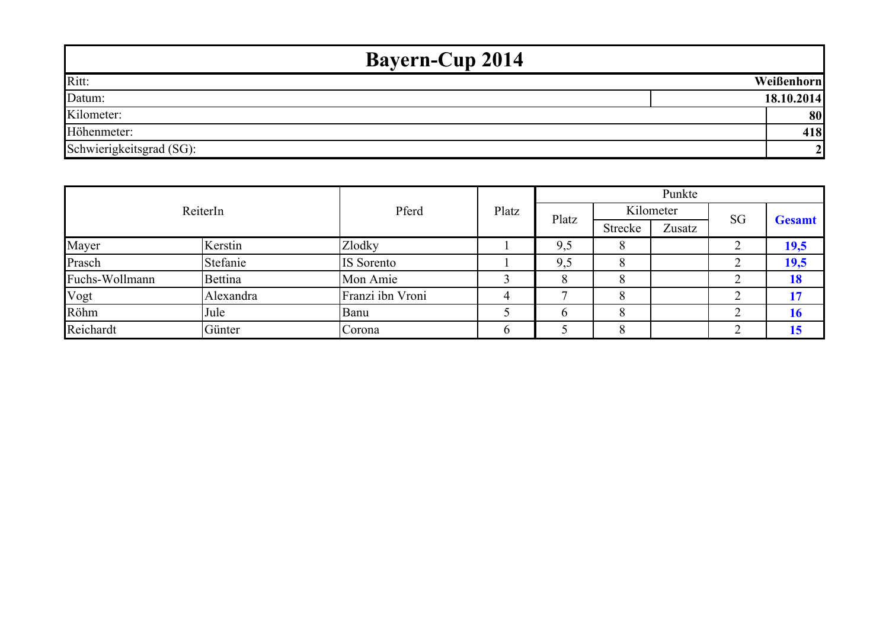|                          | <b>Bayern-Cup 2014</b> |
|--------------------------|------------------------|
| Ritt:                    | Weißenhorn             |
| Datum:                   | 18.10.2014             |
| Kilometer:               | 80                     |
| Höhenmeter:              | 418                    |
| Schwierigkeitsgrad (SG): | $\overline{2}$         |

| ReiterIn       |                |                  |       | Punkte |           |        |           |               |  |
|----------------|----------------|------------------|-------|--------|-----------|--------|-----------|---------------|--|
|                |                | Pferd            | Platz | Platz  | Kilometer |        | <b>SG</b> |               |  |
|                |                |                  |       |        | Strecke   | Zusatz |           | <b>Gesamt</b> |  |
| Mayer          | Kerstin        | Zlodky           |       | 9,5    | 8         |        |           | 19,5          |  |
| Prasch         | Stefanie       | IS Sorento       |       | 9,5    | 8         |        |           | 19,5          |  |
| Fuchs-Wollmann | <b>Bettina</b> | Mon Amie         |       |        | 8         |        | ⌒         | 18            |  |
| Vogt           | Alexandra      | Franzi ibn Vroni |       |        | 8         |        | ⌒         | 17            |  |
| Röhm           | Jule           | Banu             |       |        | 8         |        |           | 16            |  |
| Reichardt      | Günter         | Corona           | 6     |        | 8         |        |           | 15            |  |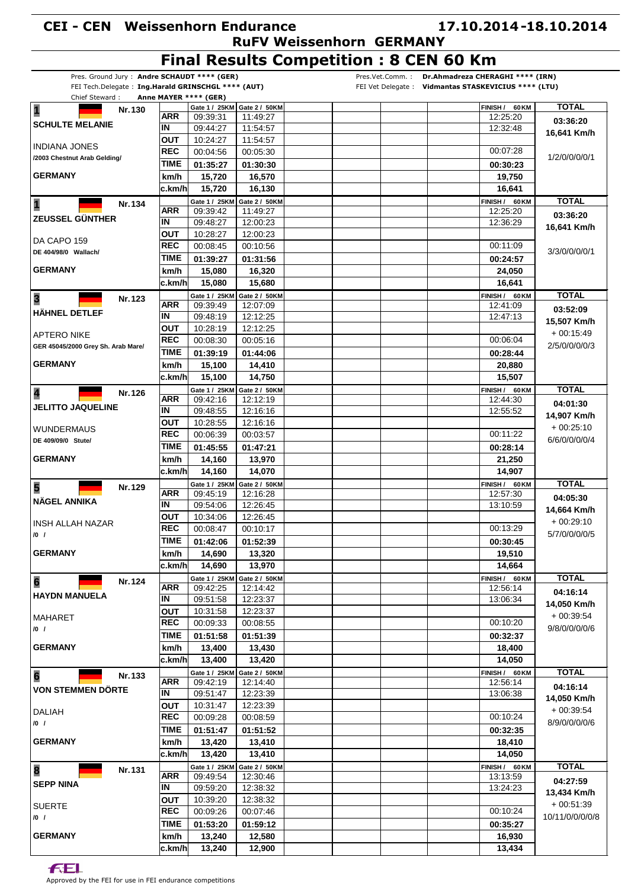### **Final Results Competition : 8 CEN 60 Km**

| Pres. Ground Jury: Andre SCHAUDT **** (GER)<br>FEI Tech.Delegate: Ing.Harald GRINSCHGL **** (AUT) |             |                       |                             | Pres.Vet.Comm.: Dr.Ahmadreza CHERAGHI **** (IRN)<br>FEI Vet Delegate: Vidmantas STASKEVICIUS **** (LTU) |                 |
|---------------------------------------------------------------------------------------------------|-------------|-----------------------|-----------------------------|---------------------------------------------------------------------------------------------------------|-----------------|
| Chief Steward:                                                                                    |             | Anne MAYER **** (GER) |                             |                                                                                                         |                 |
| $\overline{\mathbf{1}}$<br>Nr.130                                                                 |             |                       | Gate 1 / 25KM Gate 2 / 50KM | <b>FINISH /</b><br>60 KM                                                                                | <b>TOTAL</b>    |
| <b>SCHULTE MELANIE</b>                                                                            | <b>ARR</b>  | 09:39:31              | 11:49:27                    | 12:25:20                                                                                                | 03:36:20        |
|                                                                                                   | IN          | 09:44:27              | 11:54:57                    | 12:32:48                                                                                                | 16,641 Km/h     |
| <b>INDIANA JONES</b>                                                                              | <b>OUT</b>  | 10:24:27              | 11:54:57                    |                                                                                                         |                 |
| /2003 Chestnut Arab Gelding/                                                                      | <b>REC</b>  | 00:04:56              | 00:05:30                    | 00:07:28                                                                                                | 1/2/0/0/0/0/1   |
|                                                                                                   | TIME        | 01:35:27              | 01:30:30                    | 00:30:23                                                                                                |                 |
| <b>GERMANY</b>                                                                                    | km/h        | 15,720                | 16,570                      | 19,750                                                                                                  |                 |
|                                                                                                   | c.km/hl     | 15,720                | 16,130                      | 16,641                                                                                                  |                 |
| $\overline{\mathbf{1}}$<br>Nr. 134                                                                |             | Gate 1 / 25KM         | Gate 2 / 50KM               | FINISH / 60 KM                                                                                          | <b>TOTAL</b>    |
| <b>ZEUSSEL GÜNTHER</b>                                                                            | ARR         | 09:39:42              | 11:49:27                    | 12:25:20                                                                                                | 03:36:20        |
|                                                                                                   | IN          | 09:48:27              | 12:00:23                    | 12:36:29                                                                                                | 16,641 Km/h     |
| DA CAPO 159                                                                                       | <b>OUT</b>  | 10:28:27              | 12:00:23                    |                                                                                                         |                 |
| DE 404/98/0 Wallach/                                                                              | <b>REC</b>  | 00:08:45              | 00:10:56                    | 00:11:09                                                                                                | 3/3/0/0/0/0/1   |
|                                                                                                   | TIME        | 01:39:27              | 01:31:56                    | 00:24:57                                                                                                |                 |
| <b>GERMANY</b>                                                                                    | km/h        | 15,080                | 16,320                      | 24,050                                                                                                  |                 |
|                                                                                                   | c.km/hl     | 15,080                | 15.680                      | 16,641                                                                                                  |                 |
| $\overline{\mathbf{3}}$<br>Nr. 123                                                                |             | Gate 1 / 25KM         | Gate 2 / 50KM               | FINISH / 60 KM                                                                                          | <b>TOTAL</b>    |
|                                                                                                   | ARR         | 09:39:49              | 12:07:09                    | 12:41:09                                                                                                | 03:52:09        |
| <b>HÄHNEL DETLEF</b>                                                                              | IN          | 09:48:19              | 12:12:25                    | 12:47:13                                                                                                | 15,507 Km/h     |
| <b>APTERO NIKE</b>                                                                                | OUT         | 10:28:19              | 12:12:25                    |                                                                                                         | $+00.15.49$     |
| GER 45045/2000 Grey Sh. Arab Mare/                                                                | <b>REC</b>  | 00:08:30              | 00:05:16                    | 00:06:04                                                                                                | 2/5/0/0/0/0/3   |
|                                                                                                   | <b>TIME</b> | 01:39:19              | 01:44:06                    | 00:28:44                                                                                                |                 |
| <b>GERMANY</b>                                                                                    | km/h        | 15,100                | 14,410                      | 20,880                                                                                                  |                 |
|                                                                                                   | c.km/h      | 15,100                | 14,750                      | 15,507                                                                                                  |                 |
| $\overline{\mathbf{4}}$<br>Nr. 126                                                                |             | Gate 1 / 25KM         | Gate 2 / 50KM               | FINISH / 60 KM                                                                                          | <b>TOTAL</b>    |
|                                                                                                   | <b>ARR</b>  | 09:42:16              | 12:12:19                    | 12:44:30                                                                                                | 04:01:30        |
| <b>JELITTO JAQUELINE</b>                                                                          | IN          | 09:48:55              | 12:16:16                    | 12:55:52                                                                                                | 14,907 Km/h     |
| <b>WUNDERMAUS</b>                                                                                 | <b>OUT</b>  | 10:28:55              | 12:16:16                    |                                                                                                         | $+00:25:10$     |
| DE 409/09/0 Stute/                                                                                | <b>REC</b>  | 00:06:39              | 00:03:57                    | 00:11:22                                                                                                | 6/6/0/0/0/0/4   |
|                                                                                                   | TIME        | 01:45:55              | 01:47:21                    | 00:28:14                                                                                                |                 |
| <b>GERMANY</b>                                                                                    | km/h        | 14,160                | 13,970                      | 21,250                                                                                                  |                 |
|                                                                                                   | c.km/h      | 14,160                | 14,070                      | 14,907                                                                                                  |                 |
| 5<br>Nr.129                                                                                       |             | Gate 1 / 25KM         | Gate 2 / 50KM               | FINISH / 60 KM                                                                                          | <b>TOTAL</b>    |
|                                                                                                   | <b>ARR</b>  | 09:45:19              | 12:16:28                    | 12:57:30                                                                                                | 04:05:30        |
| NÄGEL ANNIKA                                                                                      | IN          | 09:54:06              | 12:26:45                    | 13:10:59                                                                                                | 14,664 Km/h     |
| INSH ALLAH NAZAR                                                                                  | OUT         | 10:34:06              | 12:26:45                    |                                                                                                         | $+00:29:10$     |
| $10-1$                                                                                            | <b>REC</b>  | 00:08:47              | 00:10:17                    | 00:13:29                                                                                                | 5/7/0/0/0/0/5   |
|                                                                                                   | <b>TIME</b> | 01:42:06              | 01:52:39                    | 00:30:45                                                                                                |                 |
| <b>GERMANY</b>                                                                                    | km/h        | 14,690                | 13,320                      | 19,510                                                                                                  |                 |
|                                                                                                   | c.km/h      | 14,690                | 13,970                      | 14,664                                                                                                  |                 |
| $6\phantom{a}$<br>Nr. 124                                                                         |             | Gate 1 / 25KM         | Gate 2 / 50KM               | FINISH / 60 KM                                                                                          | <b>TOTAL</b>    |
|                                                                                                   | <b>ARR</b>  | 09:42:25              | 12:14:42                    | 12:56:14                                                                                                | 04:16:14        |
| <b>HAYDN MANUELA</b>                                                                              | IN          | 09:51:58              | 12:23:37                    | 13:06:34                                                                                                | 14,050 Km/h     |
| <b>MAHARET</b>                                                                                    | <b>OUT</b>  | 10:31:58              | 12:23:37                    |                                                                                                         | $+00:39:54$     |
| $/0$ /                                                                                            | <b>REC</b>  | 00:09:33              | 00:08:55                    | 00:10:20                                                                                                | 9/8/0/0/0/0/6   |
|                                                                                                   | <b>TIME</b> | 01:51:58              | 01:51:39                    | 00:32:37                                                                                                |                 |
| <b>GERMANY</b>                                                                                    | km/h        | 13,400                | 13,430                      | 18,400                                                                                                  |                 |
|                                                                                                   | c.km/h      | 13,400                | 13,420                      | 14,050                                                                                                  |                 |
| $6\phantom{a}$<br>Nr.133                                                                          |             | Gate 1 / 25KM         | Gate 2 / 50KM               | FINISH / 60 KM                                                                                          | <b>TOTAL</b>    |
| <b>VON STEMMEN DÖRTE</b>                                                                          | <b>ARR</b>  | 09:42:19              | 12:14:40                    | 12:56:14                                                                                                | 04:16:14        |
|                                                                                                   | IN          | 09:51:47              | 12:23:39                    | 13:06:38                                                                                                | 14,050 Km/h     |
| <b>DALIAH</b>                                                                                     | <b>OUT</b>  | 10:31:47              | 12:23:39                    |                                                                                                         | $+00:39:54$     |
| $/0$ /                                                                                            | <b>REC</b>  | 00:09:28              | 00:08:59                    | 00:10:24                                                                                                | 8/9/0/0/0/0/6   |
|                                                                                                   | <b>TIME</b> | 01:51:47              | 01:51:52                    | 00:32:35                                                                                                |                 |
| <b>GERMANY</b>                                                                                    | km/h        | 13,420                | 13,410                      | 18,410                                                                                                  |                 |
|                                                                                                   | c.km/h      | 13,420                | 13,410                      | 14,050                                                                                                  |                 |
| 8<br>Nr.131                                                                                       |             | Gate 1 / 25KM         | Gate 2 / 50KM               | FINISH / 60 KM                                                                                          | <b>TOTAL</b>    |
|                                                                                                   | <b>ARR</b>  | 09:49:54              | 12:30:46                    | 13:13:59                                                                                                | 04:27:59        |
| <b>SEPP NINA</b>                                                                                  | IN          | 09:59:20              | 12:38:32                    | 13:24:23                                                                                                | 13,434 Km/h     |
| <b>SUERTE</b>                                                                                     | <b>OUT</b>  | 10:39:20              | 12:38:32                    |                                                                                                         | $+00:51:39$     |
|                                                                                                   | <b>REC</b>  | 00:09:26              | 00:07:46                    | 00:10:24                                                                                                | 10/11/0/0/0/0/8 |
| $/0$ /                                                                                            | <b>TIME</b> | 01:53:20              | 01:59:12                    | 00:35:27                                                                                                |                 |
| <b>GERMANY</b>                                                                                    | km/h        | 13,240                | 12,580                      | 16,930                                                                                                  |                 |
|                                                                                                   | c.km/h      | 13,240                | 12,900                      | 13,434                                                                                                  |                 |
|                                                                                                   |             |                       |                             |                                                                                                         |                 |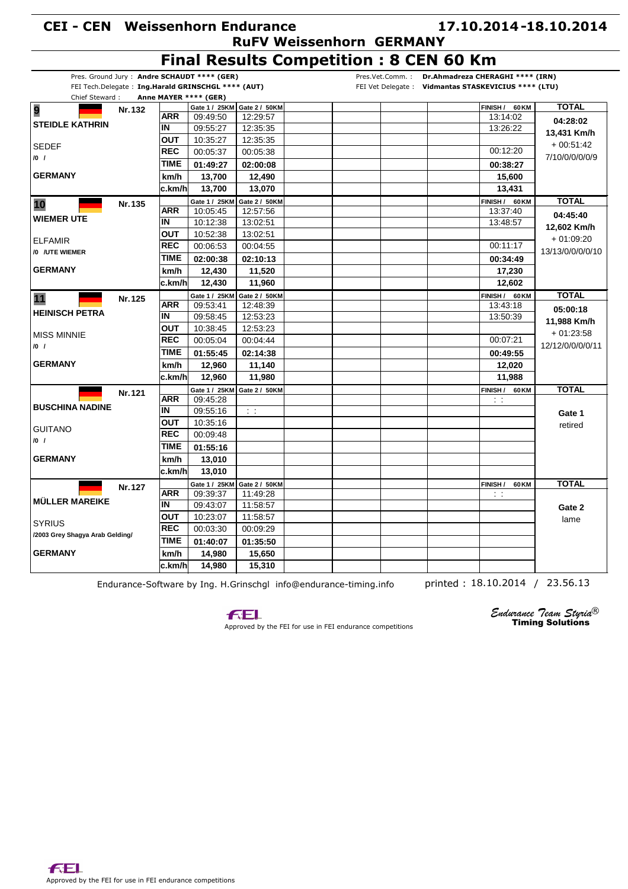### **Final Results Competition : 8 CEN 60 Km**

| Pres. Ground Jury: Andre SCHAUDT **** (GER)        |         |             |                       |                             |  |  | Pres.Vet.Comm.: Dr.Ahmadreza CHERAGHI **** (IRN)     |                  |
|----------------------------------------------------|---------|-------------|-----------------------|-----------------------------|--|--|------------------------------------------------------|------------------|
| FEI Tech.Delegate: Ing.Harald GRINSCHGL **** (AUT) |         |             |                       |                             |  |  | FEI Vet Delegate : Vidmantas STASKEVICIUS **** (LTU) |                  |
| Chief Steward:                                     |         |             | Anne MAYER **** (GER) |                             |  |  |                                                      |                  |
| 9                                                  | Nr. 132 |             |                       | Gate 1 / 25KM Gate 2 / 50KM |  |  | <b>FINISH/</b><br>60 KM                              | <b>TOTAL</b>     |
| <b>STEIDLE KATHRIN</b>                             |         | ARR         | 09:49:50              | 12:29:57                    |  |  | 13:14:02                                             | 04:28:02         |
|                                                    |         | IN          | 09:55:27              | 12:35:35                    |  |  | 13:26:22                                             | 13,431 Km/h      |
| <b>SEDEF</b>                                       |         | <b>OUT</b>  | 10:35:27              | 12:35:35                    |  |  |                                                      | $+00.51.42$      |
| $/0$ /                                             |         | <b>REC</b>  | 00:05:37              | 00:05:38                    |  |  | 00:12:20                                             | 7/10/0/0/0/0/9   |
|                                                    |         | <b>TIME</b> | 01:49:27              | 02:00:08                    |  |  | 00:38:27                                             |                  |
| <b>GERMANY</b>                                     |         | km/h        | 13,700                | 12,490                      |  |  | 15,600                                               |                  |
|                                                    |         | c.km/h      | 13,700                | 13,070                      |  |  | 13,431                                               |                  |
| 10                                                 | Nr.135  |             | Gate 1 / 25KM         | Gate 2 / 50KM               |  |  | FINISH / 60 KM                                       | <b>TOTAL</b>     |
|                                                    |         | ARR         | 10:05:45              | 12:57:56                    |  |  | 13:37:40                                             | 04:45:40         |
| <b>WIEMER UTE</b>                                  |         | IN          | 10:12:38              | 13:02:51                    |  |  | 13:48:57                                             | 12,602 Km/h      |
|                                                    |         | OUT         | 10:52:38              | 13:02:51                    |  |  |                                                      | $+01:09:20$      |
| <b>ELFAMIR</b><br>/0 /UTE WIEMER                   |         | <b>REC</b>  | 00:06:53              | 00:04:55                    |  |  | 00:11:17                                             | 13/13/0/0/0/0/10 |
|                                                    |         | <b>TIME</b> | 02:00:38              | 02:10:13                    |  |  | 00:34:49                                             |                  |
| <b>GERMANY</b>                                     |         | km/h        | 12,430                | 11,520                      |  |  | 17,230                                               |                  |
|                                                    |         | c.km/h      | 12,430                | 11,960                      |  |  | 12,602                                               |                  |
| 11                                                 | Nr. 125 |             | Gate 1 / 25KM         | Gate 2 / 50KM               |  |  | FINISH / 60 KM                                       | <b>TOTAL</b>     |
|                                                    |         | ARR         | 09:53:41              | 12:48:39                    |  |  | 13:43:18                                             | 05:00:18         |
| <b>HEINISCH PETRA</b>                              |         | IN          | 09:58:45              | 12:53:23                    |  |  | 13:50:39                                             | 11,988 Km/h      |
|                                                    |         | <b>OUT</b>  | 10:38:45              | 12:53:23                    |  |  |                                                      | $+01:23:58$      |
| <b>MISS MINNIE</b><br>$/0$ /                       |         | <b>REC</b>  | 00:05:04              | 00:04:44                    |  |  | 00:07:21                                             | 12/12/0/0/0/0/11 |
|                                                    |         | <b>TIME</b> | 01:55:45              | 02:14:38                    |  |  | 00:49:55                                             |                  |
| <b>GERMANY</b>                                     |         | km/h        | 12,960                | 11,140                      |  |  | 12,020                                               |                  |
|                                                    |         | c.km/h      | 12,960                | 11,980                      |  |  | 11,988                                               |                  |
|                                                    | Nr. 121 |             | Gate 1 / 25KM         | Gate 2 / 50KM               |  |  | FINISH / 60 KM                                       | <b>TOTAL</b>     |
| <b>BUSCHINA NADINE</b>                             |         | <b>ARR</b>  | 09:45:28              |                             |  |  | $\sim 10$                                            |                  |
|                                                    |         | IN          | 09:55:16              | $\sim 10$                   |  |  |                                                      | Gate 1           |
| <b>GUITANO</b>                                     |         | <b>OUT</b>  | 10:35:16              |                             |  |  |                                                      | retired          |
| $/0$ /                                             |         | <b>REC</b>  | 00:09:48              |                             |  |  |                                                      |                  |
|                                                    |         | <b>TIME</b> | 01:55:16              |                             |  |  |                                                      |                  |
| <b>GERMANY</b>                                     |         | km/h        | 13,010                |                             |  |  |                                                      |                  |
|                                                    |         | c.km/h      | 13,010                |                             |  |  |                                                      |                  |
|                                                    | Nr. 127 |             | Gate 1 / 25KM         | Gate 2 / 50KM               |  |  | FINISH / 60 KM                                       | <b>TOTAL</b>     |
|                                                    |         | ARR         | 09:39:37              | 11:49:28                    |  |  | $\sim 1$                                             |                  |
| <b>MÜLLER MAREIKE</b>                              |         | IN          | 09:43:07              | 11:58:57                    |  |  |                                                      | Gate 2           |
| <b>SYRIUS</b>                                      |         | OUT         | 10:23:07              | 11:58:57                    |  |  |                                                      | lame             |
| /2003 Grey Shagya Arab Gelding/                    |         | REC         | 00:03:30              | 00:09:29                    |  |  |                                                      |                  |
|                                                    |         | <b>TIME</b> | 01:40:07              | 01:35:50                    |  |  |                                                      |                  |
| <b>GERMANY</b>                                     |         | km/h        | 14,980                | 15,650                      |  |  |                                                      |                  |
|                                                    |         | c.km/h      | 14,980                | 15,310                      |  |  |                                                      |                  |

Endurance-Software by Ing. H.Grinschgl info@endurance-timing.info printed : 18.10.2014 / 23.56.13

**FEL** 

*Endurance Team Styria*  Timing Solutions ®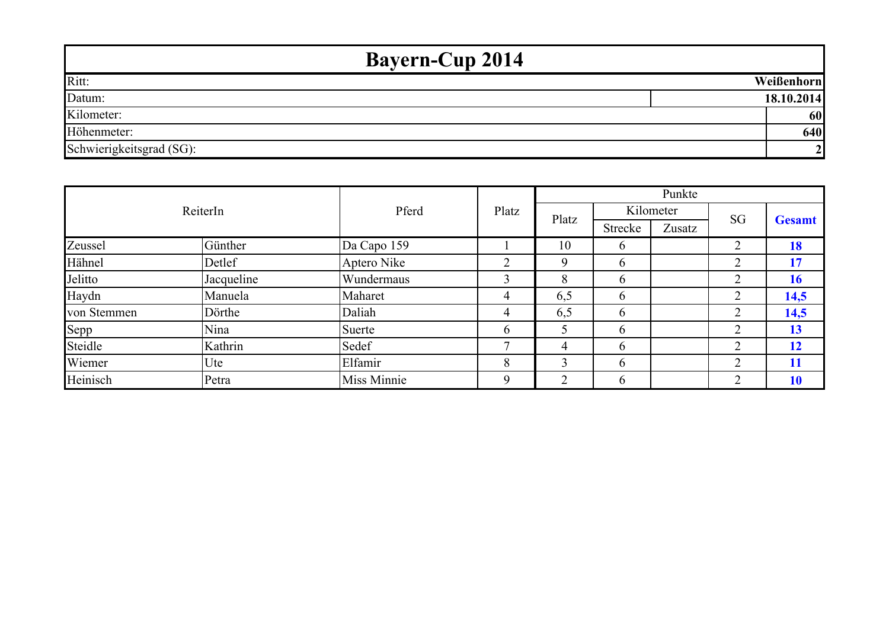| <b>Bayern-Cup 2014</b>   |                |
|--------------------------|----------------|
| Ritt:                    | Weißenhorn     |
| Datum:                   | 18.10.2014     |
| Kilometer:               | 60             |
| Höhenmeter:              | 640            |
| Schwierigkeitsgrad (SG): | $\overline{2}$ |

|             |            |             |               | Punkte |               |        |    |               |
|-------------|------------|-------------|---------------|--------|---------------|--------|----|---------------|
|             | ReiterIn   |             | Platz         |        | Kilometer     |        |    |               |
|             |            |             |               | Platz  | Strecke       | Zusatz | SG | <b>Gesamt</b> |
| Zeussel     | Günther    | Da Capo 159 |               | 10     | $\sigma$      |        | 2  | 18            |
| Hähnel      | Detlef     | Aptero Nike |               | 9      | $\mathbf b$   |        | າ  | 17            |
| Jelitto     | Jacqueline | Wundermaus  | $\rightarrow$ | 8      | 6             |        | 2  | <b>16</b>     |
| Haydn       | Manuela    | Maharet     | 4             | 6,5    | 6             |        | 2  | 14,5          |
| von Stemmen | Dörthe     | Daliah      | 4             | 6,5    | 6             |        | 2  | 14,5          |
| Sepp        | Nina       | Suerte      | 6             |        | 6             |        | 2  | 13            |
| Steidle     | Kathrin    | Sedef       |               | 4      | $\theta$      |        | C  | 12            |
| Wiemer      | Ute        | Elfamir     | 8             | 3      | 6             |        | C. | 11            |
| Heinisch    | Petra      | Miss Minnie | 9             | ↑      | $\mathfrak b$ |        | ↑  | 10            |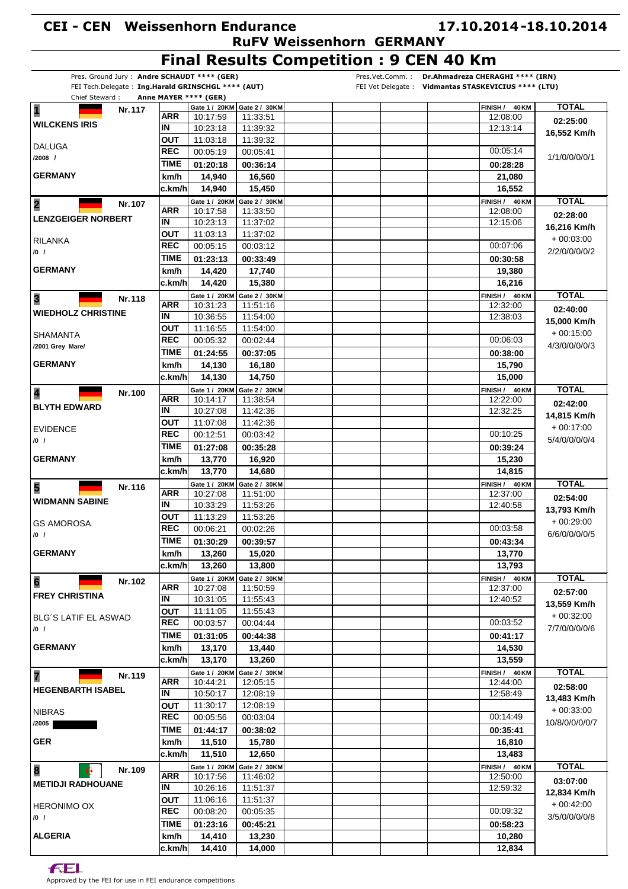### **Final Results Competition : 9 CEN 40 Km**

| FEI Tech.Delegate: Ing.Harald GRINSCHGL **** (AUT)                                                                                                                                                                                                                            |                       |                      |                           | FEI Vet Delegate : Vidmantas STASKEVICIUS **** (LTU) |                |
|-------------------------------------------------------------------------------------------------------------------------------------------------------------------------------------------------------------------------------------------------------------------------------|-----------------------|----------------------|---------------------------|------------------------------------------------------|----------------|
| Chief Steward:                                                                                                                                                                                                                                                                | Anne MAYER **** (GER) |                      |                           |                                                      |                |
| $\overline{\mathbf{1}}$<br>Nr. 117                                                                                                                                                                                                                                            |                       | Gate 1 / 20KM        | Gate 2 / 30KM             | FINISH / 40 KM                                       | <b>TOTAL</b>   |
| <b>WILCKENS IRIS</b>                                                                                                                                                                                                                                                          | ARR<br>IN             | 10:17:59             | 11:33:51                  | 12:08:00                                             | 02:25:00       |
|                                                                                                                                                                                                                                                                               |                       | 10:23:18             | 11:39:32                  | 12:13:14                                             | 16,552 Km/h    |
| <b>DALUGA</b>                                                                                                                                                                                                                                                                 | <b>OUT</b>            | 11:03:18             | 11:39:32                  |                                                      |                |
| $/2008$ /                                                                                                                                                                                                                                                                     | <b>REC</b>            | 00:05:19             | 00:05:41                  | 00:05:14                                             | 1/1/0/0/0/0/1  |
|                                                                                                                                                                                                                                                                               | TIME                  | 01:20:18             | 00:36:14                  | 00:28:28                                             |                |
| <b>GERMANY</b>                                                                                                                                                                                                                                                                | km/h                  | 14,940               | 16,560                    | 21,080                                               |                |
|                                                                                                                                                                                                                                                                               | c.km/h                | 14,940               | 15,450                    | 16,552                                               |                |
| $\overline{\mathbf{2}}$<br>Nr. 107                                                                                                                                                                                                                                            |                       | Gate 1 / 20KM        | Gate 2 / 30KM             | FINISH /<br>40 KM                                    | <b>TOTAL</b>   |
| <b>LENZGEIGER NORBERT</b>                                                                                                                                                                                                                                                     | <b>ARR</b>            | 10:17:58             | 11:33:50                  | 12:08:00                                             | 02:28:00       |
|                                                                                                                                                                                                                                                                               | IN                    | 10:23:13             | 11:37:02                  | 12:15:06                                             | 16,216 Km/h    |
| <b>RILANKA</b>                                                                                                                                                                                                                                                                | <b>OUT</b>            | 11:03:13             | 11:37:02                  |                                                      | $+00:03:00$    |
| $\frac{1}{0}$                                                                                                                                                                                                                                                                 | <b>REC</b>            | 00:05:15             | 00:03:12                  | 00:07:06                                             | 2/2/0/0/0/0/2  |
|                                                                                                                                                                                                                                                                               | TIME                  | 01:23:13             | 00:33:49                  | 00:30:58                                             |                |
| <b>GERMANY</b>                                                                                                                                                                                                                                                                | km/h                  | 14,420               | 17,740                    | 19,380                                               |                |
|                                                                                                                                                                                                                                                                               | c.km/h                | 14,420               | 15,380                    | 16,216                                               |                |
| 3<br>Nr. 118                                                                                                                                                                                                                                                                  |                       | Gate 1 / 20KM        | Gate 2 / 30KM             | FINISH / 40 KM                                       | <b>TOTAL</b>   |
|                                                                                                                                                                                                                                                                               | <b>ARR</b>            | 10:31:23             | 11:51:16                  | 12:32:00                                             | 02:40:00       |
| <b>WIEDHOLZ CHRISTINE</b>                                                                                                                                                                                                                                                     | IN                    | 10:36:55             | 11:54:00                  | 12:38:03                                             | 15,000 Km/h    |
| SHAMANTA                                                                                                                                                                                                                                                                      | <b>OUT</b>            | 11:16:55             | 11:54:00                  |                                                      | $+00:15:00$    |
| /2001 Grey Mare/                                                                                                                                                                                                                                                              | <b>REC</b>            | 00:05:32             | 00:02:44                  | 00:06:03                                             | 4/3/0/0/0/0/3  |
|                                                                                                                                                                                                                                                                               | <b>TIME</b>           | 01:24:55             | 00:37:05                  | 00:38:00                                             |                |
| <b>GERMANY</b>                                                                                                                                                                                                                                                                | km/h                  | 14,130               | 16,180                    | 15,790                                               |                |
|                                                                                                                                                                                                                                                                               | c.km/h                | 14,130               | 14,750                    | 15,000                                               |                |
| 4<br>Nr.100                                                                                                                                                                                                                                                                   |                       | Gate 1 / 20KM        | Gate 2 / 30KM             | FINISH / 40 KM                                       | <b>TOTAL</b>   |
|                                                                                                                                                                                                                                                                               | <b>ARR</b>            | 10:14:17             | 11:38:54                  | 12:22:00                                             | 02:42:00       |
| <b>BLYTH EDWARD</b>                                                                                                                                                                                                                                                           | IN                    | 10:27:08             | 11:42:36                  | 12:32:25                                             | 14,815 Km/h    |
|                                                                                                                                                                                                                                                                               | <b>OUT</b>            | 11:07:08             | 11:42:36                  |                                                      | $+00:17:00$    |
| <b>EVIDENCE</b>                                                                                                                                                                                                                                                               | <b>REC</b>            | 00:12:51             | 00:03:42                  | 00:10:25                                             |                |
| $\frac{1}{0}$                                                                                                                                                                                                                                                                 | <b>TIME</b>           | 01:27:08             | 00:35:28                  | 00:39:24                                             | 5/4/0/0/0/0/4  |
| <b>GERMANY</b>                                                                                                                                                                                                                                                                | km/h                  | 13,770               | 16,920                    | 15,230                                               |                |
|                                                                                                                                                                                                                                                                               | c.km/h                | 13,770               | 14,680                    | 14,815                                               |                |
| 5<br>Nr. 116                                                                                                                                                                                                                                                                  |                       | Gate 1 / 20KM        | Gate 2 / 30KM             | FINISH / 40 KM                                       | <b>TOTAL</b>   |
|                                                                                                                                                                                                                                                                               | <b>ARR</b>            | 10:27:08             | 11:51:00                  | 12:37:00                                             | 02:54:00       |
| <b>WIDMANN SABINE</b>                                                                                                                                                                                                                                                         | IN                    | 10:33:29             | 11:53:26                  | 12:40:58                                             | 13,793 Km/h    |
|                                                                                                                                                                                                                                                                               | <b>OUT</b>            | 11:13:29             | 11:53:26                  |                                                      | $+00:29:00$    |
| <b>GS AMOROSA</b>                                                                                                                                                                                                                                                             | <b>REC</b>            | 00:06:21             | 00:02:26                  | 00:03:58                                             |                |
| $/0$ /                                                                                                                                                                                                                                                                        | <b>TIME</b>           | 01:30:29             | 00:39:57                  | 00:43:34                                             | 6/6/0/0/0/0/5  |
| <b>GERMANY</b>                                                                                                                                                                                                                                                                | km/h                  | 13,260               | 15,020                    |                                                      |                |
|                                                                                                                                                                                                                                                                               |                       |                      |                           |                                                      |                |
|                                                                                                                                                                                                                                                                               |                       |                      |                           | 13,770                                               |                |
|                                                                                                                                                                                                                                                                               | c.km/h                | 13,260               | 13,800                    | 13,793                                               |                |
| Nr.102                                                                                                                                                                                                                                                                        | <b>ARR</b>            | Gate 1 / 20KM        | Gate 2 / 30KM<br>11:50:59 | FINISH / 40 KM                                       | <b>TOTAL</b>   |
|                                                                                                                                                                                                                                                                               | <b>IN</b>             | 10:27:08             |                           | 12:37:00                                             | 02:57:00       |
|                                                                                                                                                                                                                                                                               | <b>OUT</b>            | 10:31:05<br>11:11:05 | 11:55:43<br>11:55:43      | 12:40:52                                             | 13,559 Km/h    |
|                                                                                                                                                                                                                                                                               | <b>REC</b>            | 00:03:57             | 00:04:44                  | 00:03:52                                             | $+00:32:00$    |
|                                                                                                                                                                                                                                                                               | <b>TIME</b>           |                      |                           |                                                      | 7/7/0/0/0/0/6  |
|                                                                                                                                                                                                                                                                               |                       | 01:31:05             | 00:44:38                  | 00:41:17                                             |                |
|                                                                                                                                                                                                                                                                               | km/h                  | 13,170               | 13,440                    | 14,530                                               |                |
|                                                                                                                                                                                                                                                                               | c.km/h                | 13,170               | 13,260                    | 13,559                                               |                |
| Nr. 119                                                                                                                                                                                                                                                                       |                       | Gate 1 / 20KM        | Gate 2 / 30KM             | FINISH / 40 KM                                       | <b>TOTAL</b>   |
|                                                                                                                                                                                                                                                                               | <b>ARR</b><br>IN      | 10:44:21<br>10:50:17 | 12:05:15<br>12:08:19      | 12:44:00<br>12:58:49                                 | 02:58:00       |
|                                                                                                                                                                                                                                                                               |                       |                      |                           |                                                      | 13,483 Km/h    |
|                                                                                                                                                                                                                                                                               | <b>OUT</b>            | 11:30:17             | 12:08:19                  | 00:14:49                                             | $+00:33:00$    |
|                                                                                                                                                                                                                                                                               | <b>REC</b>            | 00:05:56             | 00:03:04                  |                                                      | 10/8/0/0/0/0/7 |
|                                                                                                                                                                                                                                                                               | <b>TIME</b>           | 01:44:17             | 00:38:02                  | 00:35:41                                             |                |
|                                                                                                                                                                                                                                                                               | km/h                  | 11,510               | 15,780                    | 16,810                                               |                |
|                                                                                                                                                                                                                                                                               | c.km/h                | 11,510               | 12,650                    | 13,483                                               |                |
| Nr.109                                                                                                                                                                                                                                                                        |                       | Gate 1 / 20KM        | Gate 2 / 30KM             | FINISH / 40 KM                                       | <b>TOTAL</b>   |
|                                                                                                                                                                                                                                                                               | <b>ARR</b>            | 10:17:56             | 11:46:02                  | 12:50:00                                             | 03:07:00       |
|                                                                                                                                                                                                                                                                               | IN                    | 10:26:16             | 11:51:37                  | 12:59:32                                             | 12,834 Km/h    |
|                                                                                                                                                                                                                                                                               | <b>OUT</b>            | 11:06:16             | 11:51:37                  |                                                      | $+00:42:00$    |
|                                                                                                                                                                                                                                                                               | <b>REC</b>            | 00:08:20             | 00:05:35                  | 00:09:32                                             | 3/5/0/0/0/0/8  |
|                                                                                                                                                                                                                                                                               | <b>TIME</b>           | 01:23:16             | 00:45:21                  | 00:58:23                                             |                |
| $6\overline{6}$<br><b>FREY CHRISTINA</b><br> BLG´S LATIF EL ASWAD<br>$\frac{1}{0}$<br><b>GERMANY</b><br>$\overline{7}$<br><b>HEGENBARTH ISABEL</b><br>NIBRAS<br>/2005<br><b>GER</b><br>$\bf{8}$<br><b>METIDJI RADHOUANE</b><br>HERONIMO OX<br>$ 101\rangle$<br><b>ALGERIA</b> | km/h<br>c.km/h        | 14,410<br>14,410     | 13,230<br>14,000          | 10,280<br>12,834                                     |                |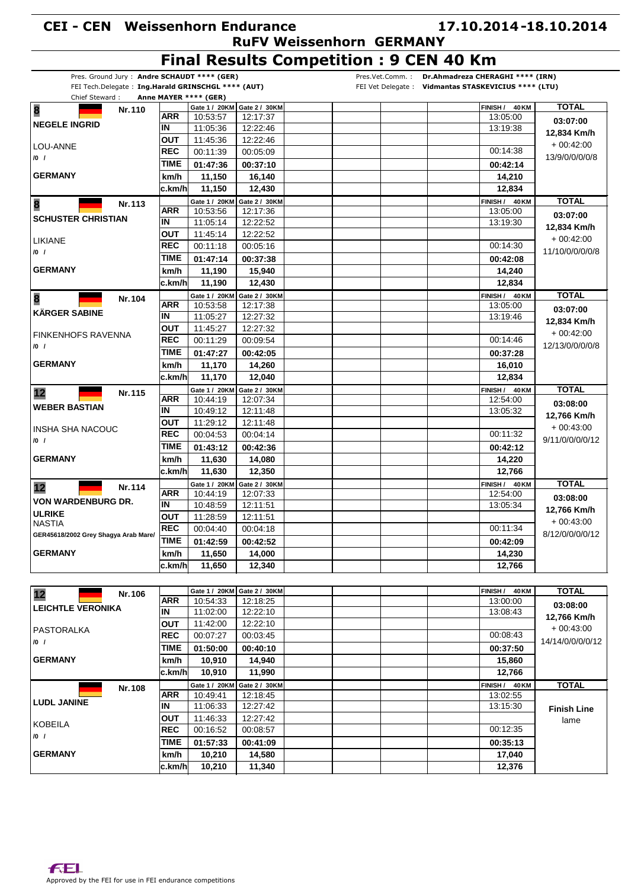### **Final Results Competition : 9 CEN 40 Km**

| Pres. Ground Jury: Andre SCHAUDT **** (GER)        |             |                       |                             | Pres.Vet.Comm.: | Dr.Ahmadreza CHERAGHI **** (IRN)                    |                    |
|----------------------------------------------------|-------------|-----------------------|-----------------------------|-----------------|-----------------------------------------------------|--------------------|
| FEI Tech.Delegate: Ing.Harald GRINSCHGL **** (AUT) |             |                       |                             |                 | FEI Vet Delegate: Vidmantas STASKEVICIUS **** (LTU) |                    |
| Chief Steward:                                     |             | Anne MAYER **** (GER) |                             |                 |                                                     |                    |
| 8<br>Nr.110                                        |             | Gate 1 / 20KM         | Gate 2 / 30KM               |                 | <b>FINISH /</b><br>40 KM                            | <b>TOTAL</b>       |
| <b>NEGELE INGRID</b>                               | ARR         | 10:53:57              | 12:17:37                    |                 | 13:05:00                                            | 03:07:00           |
|                                                    | IN          | 11:05:36              | 12:22:46                    |                 | 13:19:38                                            | 12,834 Km/h        |
|                                                    | OUT         | 11:45:36              | 12:22:46                    |                 |                                                     |                    |
| LOU-ANNE                                           | <b>REC</b>  | 00:11:39              | 00:05:09                    |                 | 00:14:38                                            | $+00:42:00$        |
| $\frac{1}{0}$                                      | <b>TIME</b> | 01:47:36              |                             |                 |                                                     | 13/9/0/0/0/0/8     |
|                                                    |             |                       | 00:37:10                    |                 | 00:42:14                                            |                    |
| <b>GERMANY</b>                                     | km/h        | 11,150                | 16,140                      |                 | 14,210                                              |                    |
|                                                    | c.km/h      | 11,150                | 12,430                      |                 | 12,834                                              |                    |
| 8<br>Nr.113                                        |             | Gate 1 / 20KM         | Gate 2 / 30KM               |                 | FINISH /<br>40 KM                                   | <b>TOTAL</b>       |
|                                                    | <b>ARR</b>  | 10:53:56              | 12:17:36                    |                 | 13:05:00                                            | 03:07:00           |
| <b>SCHUSTER CHRISTIAN</b>                          | IN          | 11:05:14              | 12:22:52                    |                 | 13:19:30                                            |                    |
|                                                    | OUT         | 11:45:14              | 12:22:52                    |                 |                                                     | 12,834 Km/h        |
| LIKIANE                                            | <b>REC</b>  | 00:11:18              | 00:05:16                    |                 | 00:14:30                                            | $+00:42:00$        |
| $\frac{1}{0}$                                      | <b>TIME</b> |                       |                             |                 |                                                     | 11/10/0/0/0/0/8    |
|                                                    |             | 01:47:14              | 00:37:38                    |                 | 00:42:08                                            |                    |
| <b>GERMANY</b>                                     | km/h        | 11,190                | 15,940                      |                 | 14,240                                              |                    |
|                                                    | c.km/h      | 11,190                | 12,430                      |                 | 12,834                                              |                    |
| 8<br>Nr.104                                        |             | Gate 1 / 20KM         | Gate 2 / 30KM               |                 | FINISH / 40 KM                                      | <b>TOTAL</b>       |
|                                                    | <b>ARR</b>  | 10:53:58              | 12:17:38                    |                 | 13:05:00                                            | 03:07:00           |
| <b>KÄRGER SABINE</b>                               | IN          | 11:05:27              | 12:27:32                    |                 | 13:19:46                                            |                    |
|                                                    | <b>OUT</b>  | 11:45:27              | 12:27:32                    |                 |                                                     | 12,834 Km/h        |
| FINKENHOFS RAVENNA                                 | <b>REC</b>  | 00:11:29              | 00:09:54                    |                 | 00:14:46                                            | $+00.42:00$        |
| 101                                                |             |                       |                             |                 |                                                     | 12/13/0/0/0/0/8    |
|                                                    | <b>TIME</b> | 01:47:27              | 00:42:05                    |                 | 00:37:28                                            |                    |
| <b>GERMANY</b>                                     | km/h        | 11,170                | 14,260                      |                 | 16,010                                              |                    |
|                                                    | c.km/hl     | 11,170                | 12,040                      |                 | 12,834                                              |                    |
| 12<br>Nr.115                                       |             | Gate 1 / 20KM         | Gate 2 / 30KM               |                 | FINISH / 40 KM                                      | <b>TOTAL</b>       |
|                                                    | ARR         | 10:44:19              | 12:07:34                    |                 | 12:54:00                                            |                    |
| <b>WEBER BASTIAN</b>                               | IN          | 10:49:12              | 12:11:48                    |                 | 13:05:32                                            | 03:08:00           |
|                                                    | <b>OUT</b>  | 11:29:12              | 12:11:48                    |                 |                                                     | 12,766 Km/h        |
| INSHA SHA NACOUC                                   |             |                       |                             |                 |                                                     | $+00.43:00$        |
| 101                                                | <b>REC</b>  | 00:04:53              | 00:04:14                    |                 | 00:11:32                                            | 9/11/0/0/0/0/12    |
|                                                    | TIME        | 01:43:12              | 00:42:36                    |                 | 00:42:12                                            |                    |
| <b>GERMANY</b>                                     | km/h        | 11,630                | 14,080                      |                 | 14,220                                              |                    |
|                                                    | c.km/hl     | 11,630                | 12,350                      |                 | 12,766                                              |                    |
|                                                    |             | Gate 1 / 20KM         | Gate 2 / 30KM               |                 | FINISH / 40 KM                                      | <b>TOTAL</b>       |
| 12<br>Nr.114                                       | ARR         | 10:44:19              | 12:07:33                    |                 | 12:54:00                                            |                    |
| <b>VON WARDENBURG DR.</b>                          | IN          | 10:48:59              | 12:11:51                    |                 | 13:05:34                                            | 03:08:00           |
| <b>ULRIKE</b>                                      |             |                       |                             |                 |                                                     | 12,766 Km/h        |
| NASTIA                                             | <b>OUT</b>  | 11:28:59              | 12:11:51                    |                 |                                                     | $+00:43:00$        |
| GER45618/2002 Grey Shagya Arab Mare/               | <b>REC</b>  | 00:04:40              | 00:04:18                    |                 | 00:11:34                                            | 8/12/0/0/0/0/12    |
|                                                    | <b>TIME</b> | 01:42:59              | 00:42:52                    |                 | 00:42:09                                            |                    |
| <b>GERMANY</b>                                     | km/h        | 11,650                | 14,000                      |                 | 14,230                                              |                    |
|                                                    | c.km/h      | 11,650                | 12,340                      |                 | 12,766                                              |                    |
|                                                    |             |                       |                             |                 |                                                     |                    |
|                                                    |             |                       |                             |                 |                                                     |                    |
| 12<br>Nr.106                                       |             |                       | Gate 1 / 20KM Gate 2 / 30KM |                 | FINISH / 40 KM                                      | <b>TOTAL</b>       |
| <b>LEICHTLE VERONIKA</b>                           | <b>ARR</b>  | 10:54:33              | 12:18:25                    |                 | 13:00:00                                            | 03:08:00           |
|                                                    | IN          | 11:02:00              | 12:22:10                    |                 | 13:08:43                                            | 12,766 Km/h        |
|                                                    | OUT         | 11:42:00              | 12:22:10                    |                 |                                                     | $+00:43:00$        |
| PASTORALKA                                         | <b>REC</b>  | 00:07:27              | 00:03:45                    |                 | 00:08:43                                            |                    |
| $\frac{1}{0}$                                      | <b>TIME</b> | 01:50:00              | 00:40:10                    |                 | 00:37:50                                            | 14/14/0/0/0/0/12   |
|                                                    |             |                       |                             |                 |                                                     |                    |
| <b>GERMANY</b>                                     | km/h        | 10,910                | 14,940                      |                 | 15,860                                              |                    |
|                                                    | c.km/h      | 10,910                | 11,990                      |                 | 12,766                                              |                    |
| Nr.108                                             |             | Gate 1 / 20KM         | Gate 2 / 30KM               |                 | FINISH / 40 KM                                      | <b>TOTAL</b>       |
|                                                    | <b>ARR</b>  | 10:49:41              | 12:18:45                    |                 | 13:02:55                                            |                    |
| LUDL JANINE                                        | IN          | 11:06:33              | 12:27:42                    |                 | 13:15:30                                            | <b>Finish Line</b> |
| $V$ $\cap$ $\Gamma$ $\cup$ $\Lambda$               | <b>OUT</b>  | 11:46:33              | 12:27:42                    |                 |                                                     | lame               |
|                                                    |             |                       |                             |                 |                                                     |                    |

**01:57:33 10,210**

**00:41:09 14,580**

00:08:57 00:12:35

**c.km/h 11,340 10,210 12,376**

**17,040**

**00:35:13**

**REC** 00:16:52

**km/h**

**TIME**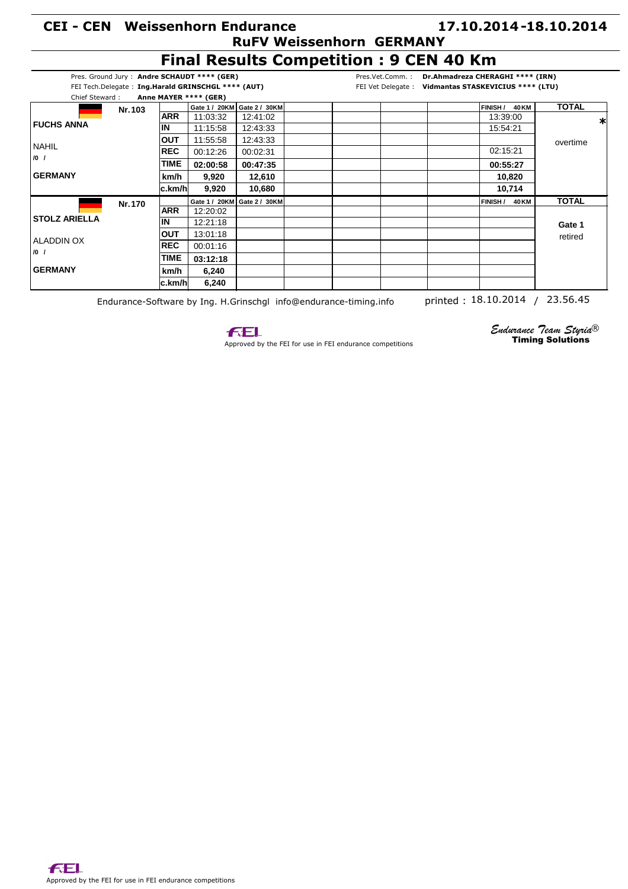### **Final Results Competition : 9 CEN 40 Km**

| Pres. Ground Jury: Andre SCHAUDT **** (GER) |         |            |                                                    |                             | Pres.Vet.Comm.: Dr.Ahmadreza CHERAGHI **** (IRN) |                                                     |              |
|---------------------------------------------|---------|------------|----------------------------------------------------|-----------------------------|--------------------------------------------------|-----------------------------------------------------|--------------|
|                                             |         |            | FEI Tech.Delegate: Ing.Harald GRINSCHGL **** (AUT) |                             |                                                  | FEI Vet Delegate: Vidmantas STASKEVICIUS **** (LTU) |              |
| Chief Steward:                              |         |            | Anne MAYER **** (GER)                              |                             |                                                  |                                                     |              |
|                                             | Nr.103  |            |                                                    | Gate 1 / 20KM Gate 2 / 30KM |                                                  | FINISH /<br>40 KM                                   | <b>TOTAL</b> |
|                                             |         | <b>ARR</b> | 11:03:32                                           | 12:41:02                    |                                                  | 13:39:00                                            | $\ast$       |
| <b>FUCHS ANNA</b>                           |         | IN         | 11:15:58                                           | 12:43:33                    |                                                  | 15:54:21                                            |              |
|                                             |         | <b>OUT</b> | 11:55:58                                           | 12:43:33                    |                                                  |                                                     | overtime     |
| l NAHIL<br>10 /                             |         | <b>REC</b> | 00:12:26                                           | 00:02:31                    |                                                  | 02:15:21                                            |              |
|                                             |         | TIME       | 02:00:58                                           | 00:47:35                    |                                                  | 00:55:27                                            |              |
| <b>GERMANY</b>                              |         | km/h       | 9,920                                              | 12,610                      |                                                  | 10,820                                              |              |
|                                             |         | lc.km/hl   | 9,920                                              | 10,680                      |                                                  | 10,714                                              |              |
|                                             | Nr. 170 |            |                                                    | Gate 1 / 20KM Gate 2 / 30KM |                                                  | <b>FINISH</b> /<br>40 KM                            | <b>TOTAL</b> |
|                                             |         | <b>ARR</b> | 12:20:02                                           |                             |                                                  |                                                     |              |
| <b>STOLZ ARIELLA</b>                        |         | ΙN         | 12:21:18                                           |                             |                                                  |                                                     | Gate 1       |
|                                             |         | <b>OUT</b> | 13:01:18                                           |                             |                                                  |                                                     | retired      |
| l ALADDIN OX                                |         | <b>REC</b> | 00:01:16                                           |                             |                                                  |                                                     |              |
| 10 /                                        |         | TIME       | 03:12:18                                           |                             |                                                  |                                                     |              |
| <b>GERMANY</b>                              |         | km/h       | 6,240                                              |                             |                                                  |                                                     |              |
|                                             |         | c.km/hl    | 6,240                                              |                             |                                                  |                                                     |              |

Endurance-Software by Ing. H.Grinschgl info@endurance-timing.info printed : 18.10.2014 / 23.56.45

**FEL** 

Approved by the FEI for use in FEI endurance competitions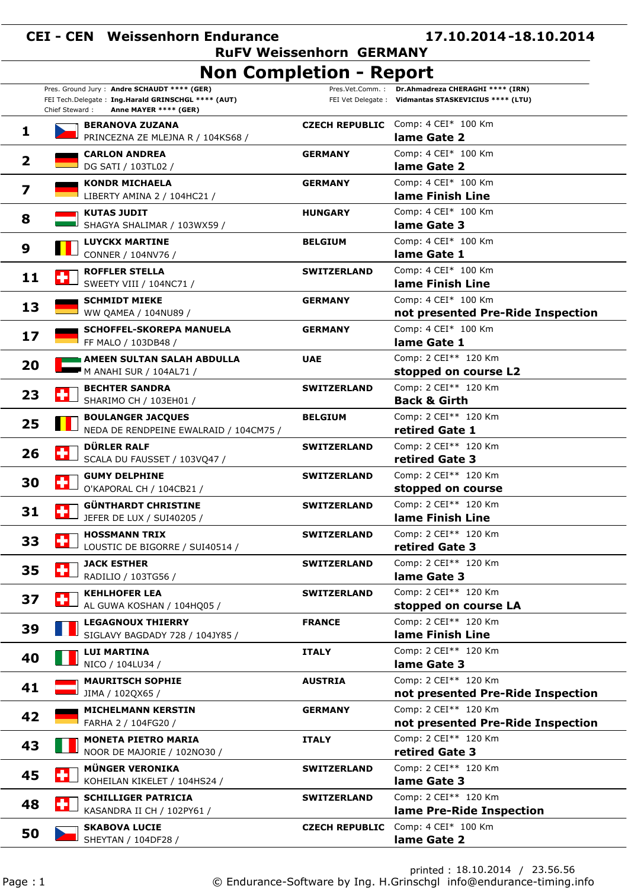#### **CEI - CEN Weissenhorn Endurance 17.10.2014 18.10.2014 -**

Pres. Ground Jury : **Andre SCHAUDT \*\*\*\* (GER)**

 **RuFV Weissenhorn GERMANY**

### **Non Completion - Report**

Pres.Vet.Comm. : **Dr.Ahmadreza CHERAGHI \*\*\*\* (IRN)** FEI Vet Delegate : **Vidmantas STASKEVICIUS \*\*\*\* (LTU)**

|              | Chief Steward: | FEI Tech.Delegate: Ing.Harald GRINSCHGL **** (AUT)<br>Anne MAYER **** (GER) |                       | FEI Vet Delegate: Vidmantas STASKEVICIUS **** (LTU) |
|--------------|----------------|-----------------------------------------------------------------------------|-----------------------|-----------------------------------------------------|
|              |                | <b>BERANOVA ZUZANA</b>                                                      |                       | CZECH REPUBLIC Comp: 4 CEI* 100 Km                  |
| 1            |                | PRINCEZNA ZE MLEJNA R / 104KS68 /                                           |                       | lame Gate 2                                         |
|              |                | <b>CARLON ANDREA</b>                                                        | <b>GERMANY</b>        | Comp: 4 CEI* 100 Km                                 |
| $\mathbf{2}$ |                | DG SATI / 103TL02 /                                                         |                       | lame Gate 2                                         |
| 7            |                | <b>KONDR MICHAELA</b>                                                       | <b>GERMANY</b>        | Comp: 4 CEI* 100 Km                                 |
|              |                | LIBERTY AMINA 2 / 104HC21 /                                                 |                       | lame Finish Line                                    |
| 8            |                | <b>KUTAS JUDIT</b>                                                          | <b>HUNGARY</b>        | Comp: 4 CEI* 100 Km                                 |
|              |                | SHAGYA SHALIMAR / 103WX59 /                                                 |                       | lame Gate 3                                         |
| 9            |                | <b>LUYCKX MARTINE</b>                                                       | <b>BELGIUM</b>        | Comp: 4 CEI* 100 Km                                 |
|              |                | CONNER / 104NV76 /                                                          |                       | lame Gate 1                                         |
| 11           | ÷              | <b>ROFFLER STELLA</b>                                                       | <b>SWITZERLAND</b>    | Comp: 4 CEI* 100 Km                                 |
|              |                | SWEETY VIII / 104NC71 /                                                     |                       | lame Finish Line                                    |
| 13           |                | <b>SCHMIDT MIEKE</b>                                                        | <b>GERMANY</b>        | Comp: 4 CEI* 100 Km                                 |
|              |                | WW QAMEA / 104NU89 /                                                        |                       | not presented Pre-Ride Inspection                   |
| 17           |                | <b>SCHOFFEL-SKOREPA MANUELA</b>                                             | <b>GERMANY</b>        | Comp: 4 CEI* 100 Km                                 |
|              |                | FF MALO / 103DB48 /                                                         |                       | lame Gate 1                                         |
| 20           |                | AMEEN SULTAN SALAH ABDULLA                                                  | <b>UAE</b>            | Comp: 2 CEI** 120 Km                                |
|              |                | M ANAHI SUR / 104AL71 /                                                     |                       | stopped on course L2                                |
| 23           |                | <b>BECHTER SANDRA</b>                                                       | <b>SWITZERLAND</b>    | Comp: 2 CEI** 120 Km<br><b>Back &amp; Girth</b>     |
|              |                | SHARIMO CH / 103EH01 /                                                      |                       |                                                     |
| 25           |                | <b>BOULANGER JACQUES</b><br>NEDA DE RENDPEINE EWALRAID / 104CM75 /          | <b>BELGIUM</b>        | Comp: 2 CEI** 120 Km<br>retired Gate 1              |
|              |                |                                                                             |                       |                                                     |
| 26           | H.             | DÜRLER RALF<br>SCALA DU FAUSSET / 103VQ47 /                                 | <b>SWITZERLAND</b>    | Comp: 2 CEI** 120 Km<br>retired Gate 3              |
|              |                | <b>GUMY DELPHINE</b>                                                        | <b>SWITZERLAND</b>    | Comp: 2 CEI** 120 Km                                |
| 30           |                | O'KAPORAL CH / 104CB21 /                                                    |                       | stopped on course                                   |
|              |                | <b>GÜNTHARDT CHRISTINE</b>                                                  | <b>SWITZERLAND</b>    | Comp: 2 CEI** 120 Km                                |
| 31           |                | JEFER DE LUX / SUI40205 /                                                   |                       | lame Finish Line                                    |
|              |                | <b>HOSSMANN TRIX</b>                                                        | <b>SWITZERLAND</b>    | Comp: 2 CEI** 120 Km                                |
| 33           |                | LOUSTIC DE BIGORRE / SUI40514 /                                             |                       | retired Gate 3                                      |
|              | <b>FLI</b>     | <b>JACK ESTHER</b>                                                          | <b>SWITZERLAND</b>    | Comp: 2 CEI** 120 Km                                |
| 35           |                | RADILIO / 103TG56 /                                                         |                       | lame Gate 3                                         |
|              |                | <b>KEHLHOFER LEA</b>                                                        | <b>SWITZERLAND</b>    | Comp: 2 CEI** 120 Km                                |
| 37           | ÷              | AL GUWA KOSHAN / 104HQ05 /                                                  |                       | stopped on course LA                                |
| 39           |                | <b>LEGAGNOUX THIERRY</b>                                                    | <b>FRANCE</b>         | Comp: 2 CEI** 120 Km                                |
|              |                | SIGLAVY BAGDADY 728 / 104JY85 /                                             |                       | lame Finish Line                                    |
| 40           |                | <b>LUI MARTINA</b>                                                          | <b>ITALY</b>          | Comp: 2 CEI** 120 Km                                |
|              |                | NICO / 104LU34 /                                                            |                       | lame Gate 3                                         |
| 41           |                | <b>MAURITSCH SOPHIE</b>                                                     | <b>AUSTRIA</b>        | Comp: 2 CEI** 120 Km                                |
|              |                | JIMA / 102QX65 /                                                            |                       | not presented Pre-Ride Inspection                   |
| 42           |                | <b>MICHELMANN KERSTIN</b>                                                   | <b>GERMANY</b>        | Comp: 2 CEI** 120 Km                                |
|              |                | FARHA 2 / 104FG20 /                                                         |                       | not presented Pre-Ride Inspection                   |
| 43           |                | <b>MONETA PIETRO MARIA</b>                                                  | <b>ITALY</b>          | Comp: 2 CEI** 120 Km                                |
|              |                | NOOR DE MAJORIE / 102NO30 /                                                 |                       | retired Gate 3                                      |
| 45           | ÷              | MÜNGER VERONIKA<br>KOHEILAN KIKELET / 104HS24 /                             | <b>SWITZERLAND</b>    | Comp: 2 CEI** 120 Km                                |
|              |                |                                                                             |                       | lame Gate 3                                         |
| 48           |                | <b>SCHILLIGER PATRICIA</b><br>KASANDRA II CH / 102PY61 /                    | <b>SWITZERLAND</b>    | Comp: 2 CEI** 120 Km                                |
|              |                |                                                                             |                       | lame Pre-Ride Inspection                            |
| 50           |                | <b>SKABOVA LUCIE</b><br>SHEYTAN / 104DF28 /                                 | <b>CZECH REPUBLIC</b> | Comp: 4 CEI* 100 Km<br>lame Gate 2                  |
|              |                |                                                                             |                       |                                                     |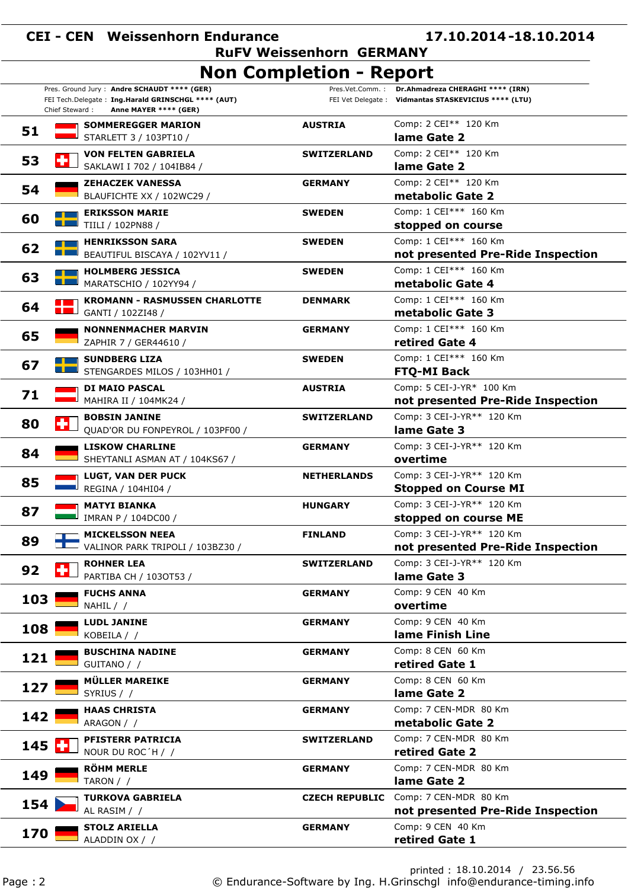# **CEI - CEN Weissenhorn Endurance**

Pres. Ground Jury : **Andre SCHAUDT \*\*\*\* (GER)**

### **17.10.2014 18.10.2014 -**

 **RuFV Weissenhorn GERMANY**

### **Non Completion - Report**

Pres.Vet.Comm. : **Dr.Ahmadreza CHERAGHI \*\*\*\* (IRN)** FEI Vet Delegate : **Vidmantas STASKEVICIUS \*\*\*\* (LTU)**

|                  | Chief Steward:       | FEI Tech.Delegate: Ing.Harald GRINSCHGL **** (AUT)<br>Anne MAYER **** (GER) |                    | FEI Vet Delegate: Vidmantas STASKEVICIUS **** (LTU) |
|------------------|----------------------|-----------------------------------------------------------------------------|--------------------|-----------------------------------------------------|
|                  |                      | <b>SOMMEREGGER MARION</b>                                                   | <b>AUSTRIA</b>     | Comp: 2 CEI** 120 Km                                |
| 51               |                      | STARLETT 3 / 103PT10 /                                                      |                    | lame Gate 2                                         |
|                  |                      | <b>VON FELTEN GABRIELA</b>                                                  | <b>SWITZERLAND</b> | Comp: 2 CEI** 120 Km                                |
| 53               |                      | SAKLAWI I 702 / 104IB84 /                                                   |                    | lame Gate 2                                         |
|                  |                      | <b>ZEHACZEK VANESSA</b>                                                     | <b>GERMANY</b>     | Comp: 2 CEI** 120 Km                                |
| 54               |                      | BLAUFICHTE XX / 102WC29 /                                                   |                    | metabolic Gate 2                                    |
|                  |                      | <b>ERIKSSON MARIE</b>                                                       | <b>SWEDEN</b>      | Comp: 1 CEI*** 160 Km                               |
| 60               |                      | TIILI / 102PN88 /                                                           |                    | stopped on course                                   |
| 62               |                      | <b>HENRIKSSON SARA</b>                                                      | <b>SWEDEN</b>      | Comp: 1 CEI*** 160 Km                               |
|                  |                      | BEAUTIFUL BISCAYA / 102YV11 /                                               |                    | not presented Pre-Ride Inspection                   |
| 63               |                      | <b>HOLMBERG JESSICA</b>                                                     | <b>SWEDEN</b>      | Comp: 1 CEI*** 160 Km                               |
|                  |                      | MARATSCHIO / 102YY94 /                                                      |                    | metabolic Gate 4                                    |
| 64               |                      | <b>KROMANN - RASMUSSEN CHARLOTTE</b>                                        | <b>DENMARK</b>     | Comp: 1 CEI*** 160 Km                               |
|                  |                      | GANTI / 102ZI48 /                                                           |                    | metabolic Gate 3                                    |
| 65               |                      | <b>NONNENMACHER MARVIN</b>                                                  | <b>GERMANY</b>     | Comp: 1 CEI*** 160 Km                               |
|                  |                      | ZAPHIR 7 / GER44610 /                                                       |                    | retired Gate 4                                      |
| 67               |                      | <b>SUNDBERG LIZA</b>                                                        | <b>SWEDEN</b>      | Comp: 1 CEI*** 160 Km                               |
|                  |                      | STENGARDES MILOS / 103HH01 /                                                |                    | <b>FTQ-MI Back</b>                                  |
| 71               |                      | <b>DI MAIO PASCAL</b>                                                       | <b>AUSTRIA</b>     | Comp: 5 CEI-J-YR* 100 Km                            |
|                  |                      | MAHIRA II / 104MK24 /                                                       |                    | not presented Pre-Ride Inspection                   |
| 80               |                      | <b>BOBSIN JANINE</b>                                                        | <b>SWITZERLAND</b> | Comp: 3 CEI-J-YR** 120 Km                           |
|                  |                      | QUAD'OR DU FONPEYROL / 103PF00 /                                            |                    | lame Gate 3                                         |
| 84               |                      | <b>LISKOW CHARLINE</b>                                                      | <b>GERMANY</b>     | Comp: 3 CEI-J-YR** 120 Km                           |
|                  |                      | SHEYTANLI ASMAN AT / 104KS67 /                                              |                    | overtime                                            |
| 85               |                      | <b>LUGT, VAN DER PUCK</b>                                                   | <b>NETHERLANDS</b> | Comp: 3 CEI-J-YR** 120 Km                           |
|                  |                      | REGINA / 104HI04 /                                                          |                    | <b>Stopped on Course MI</b>                         |
| 87               |                      | <b>MATYI BIANKA</b>                                                         | <b>HUNGARY</b>     | Comp: 3 CEI-J-YR** 120 Km                           |
|                  |                      | IMRAN P / 104DC00 /                                                         |                    | stopped on course ME                                |
| 89               |                      | <b>MICKELSSON NEEA</b>                                                      | <b>FINLAND</b>     | Comp: 3 CEI-J-YR** 120 Km                           |
|                  |                      | VALINOR PARK TRIPOLI / 103BZ30 /                                            |                    | not presented Pre-Ride Inspection                   |
| 92               | <b>STEP</b><br>6 H H | <b>ROHNER LEA</b>                                                           | <b>SWITZERLAND</b> | Comp: 3 CEI-J-YR** 120 Km                           |
|                  |                      | PARTIBA CH / 1030T53 /                                                      |                    | lame Gate 3                                         |
| 103              |                      | <b>FUCHS ANNA</b>                                                           | <b>GERMANY</b>     | Comp: 9 CEN 40 Km                                   |
|                  |                      | NAHIL / /                                                                   |                    | overtime                                            |
| 108              |                      | <b>LUDL JANINE</b><br>KOBEILA / /                                           | <b>GERMANY</b>     | Comp: 9 CEN 40 Km<br>lame Finish Line               |
|                  |                      |                                                                             |                    |                                                     |
| 121              |                      | <b>BUSCHINA NADINE</b>                                                      | <b>GERMANY</b>     | Comp: 8 CEN 60 Km<br>retired Gate 1                 |
|                  |                      | GUITANO / /<br><b>MÜLLER MAREIKE</b>                                        | <b>GERMANY</b>     | Comp: 8 CEN 60 Km                                   |
| 127              |                      | SYRIUS / /                                                                  |                    | lame Gate 2                                         |
|                  |                      | <b>HAAS CHRISTA</b>                                                         | <b>GERMANY</b>     | Comp: 7 CEN-MDR 80 Km                               |
| 142              |                      | ARAGON / /                                                                  |                    | metabolic Gate 2                                    |
|                  |                      | <b>PFISTERR PATRICIA</b>                                                    | <b>SWITZERLAND</b> | Comp: 7 CEN-MDR 80 Km                               |
| 145 $\Box$       |                      | NOUR DU ROC'H / /                                                           |                    | retired Gate 2                                      |
|                  |                      | <b>RÖHM MERLE</b>                                                           | <b>GERMANY</b>     | Comp: 7 CEN-MDR 80 Km                               |
| 149              |                      | TARON / /                                                                   |                    | lame Gate 2                                         |
|                  |                      | <b>TURKOVA GABRIELA</b>                                                     |                    | CZECH REPUBLIC Comp: 7 CEN-MDR 80 Km                |
| 154 <sub>2</sub> |                      | AL RASIM / /                                                                |                    | not presented Pre-Ride Inspection                   |
|                  |                      | <b>STOLZ ARIELLA</b>                                                        | <b>GERMANY</b>     | Comp: 9 CEN 40 Km                                   |
| 170              |                      | ALADDIN OX / /                                                              |                    | retired Gate 1                                      |

 $\overline{a}$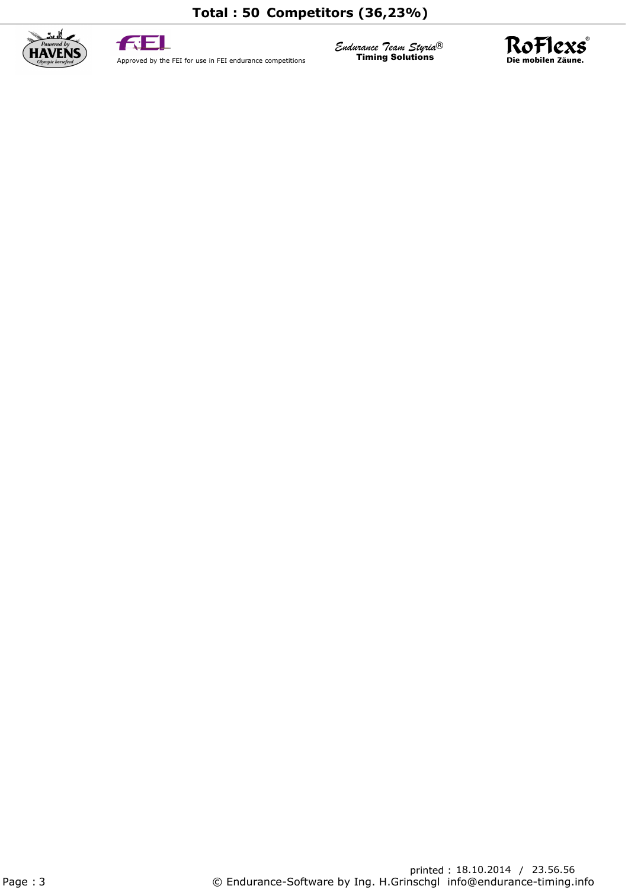



Approved by the FEI for use in FEI endurance competitions

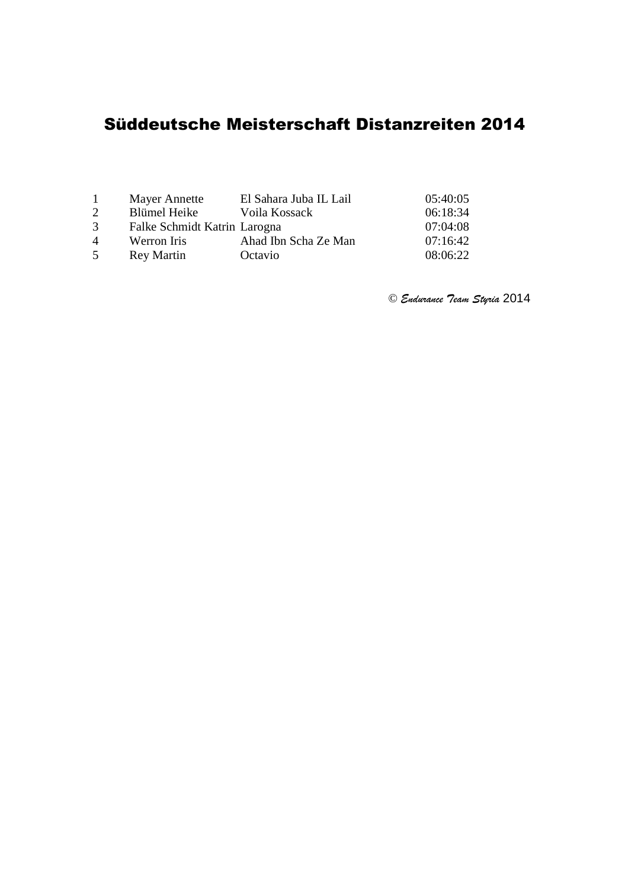# Süddeutsche Meisterschaft Distanzreiten 2014

| $\mathbf{1}$   | <b>Mayer Annette</b>         | El Sahara Juba IL Lail | 05:40:05 |
|----------------|------------------------------|------------------------|----------|
| 2              | <b>Blümel Heike</b>          | Voila Kossack          | 06:18:34 |
| 3              | Falke Schmidt Katrin Larogna |                        | 07:04:08 |
| $\overline{4}$ | Werron Iris                  | Ahad Ibn Scha Ze Man   | 07:16:42 |
| 5              | <b>Rey Martin</b>            | Octavio                | 08:06:22 |

© *Endurance Team Styria* 2014